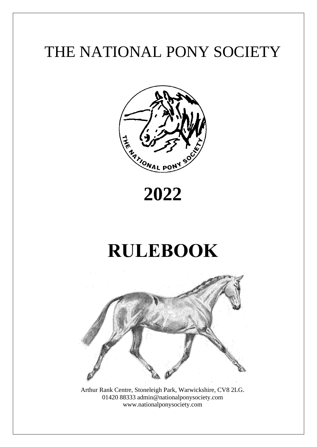# THE NATIONAL PONY SOCIETY



# **2022**

# **RULEBOOK**



Arthur Rank Centre, Stoneleigh Park, Warwickshire, CV8 2LG. 01420 88333 admin@nationalponysociety.com www.nationalponysociety.com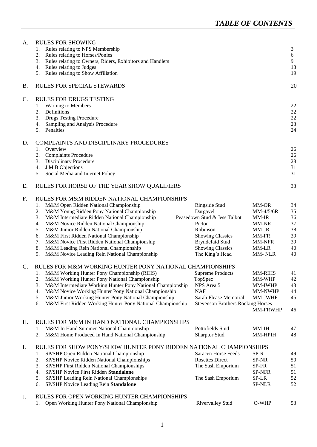| A.        | <b>RULES FOR SHOWING</b><br>Rules relating to NPS Membership<br>1.<br>Rules relating to Horses/Ponies<br>2.<br>Rules relating to Owners, Riders, Exhibitors and Handlers<br>3.<br>Rules relating to Judges<br>4.<br>Rules relating to Show Affiliation<br>5.                                                                                                                                                                                                                                                           |                                                                                                                                                                             |                                                                                            | 3<br>6<br>9<br>13<br>19                            |
|-----------|------------------------------------------------------------------------------------------------------------------------------------------------------------------------------------------------------------------------------------------------------------------------------------------------------------------------------------------------------------------------------------------------------------------------------------------------------------------------------------------------------------------------|-----------------------------------------------------------------------------------------------------------------------------------------------------------------------------|--------------------------------------------------------------------------------------------|----------------------------------------------------|
| <b>B.</b> | <b>RULES FOR SPECIAL STEWARDS</b>                                                                                                                                                                                                                                                                                                                                                                                                                                                                                      |                                                                                                                                                                             |                                                                                            | 20                                                 |
| C.        | <b>RULES FOR DRUGS TESTING</b><br><b>Warning to Members</b><br>1.<br>Definitions<br>2.<br><b>Drugs Testing Procedure</b><br>3.<br>Sampling and Analysis Procedure<br>4.<br>Penalties<br>5.                                                                                                                                                                                                                                                                                                                             |                                                                                                                                                                             |                                                                                            | 22<br>22<br>22<br>23<br>24                         |
| D.        | <b>COMPLAINTS AND DISCIPLINARY PROCEDURES</b><br>Overview<br>1.<br><b>Complaints Procedure</b><br>2.<br><b>Disciplinary Procedure</b><br>3.<br>J.M.B Objections<br>4.<br>5.<br>Social Media and Internet Policy                                                                                                                                                                                                                                                                                                        |                                                                                                                                                                             |                                                                                            | 26<br>26<br>28<br>31<br>31                         |
| Е.        | RULES FOR HORSE OF THE YEAR SHOW QUALIFIERS                                                                                                                                                                                                                                                                                                                                                                                                                                                                            |                                                                                                                                                                             |                                                                                            | 33                                                 |
| F.        | RULES FOR M&M RIDDEN NATIONAL CHAMPIONSHIPS<br>M&M Open Ridden National Championship<br>1.<br>M&M Young Ridden Pony National Championship<br>2.<br>M&M Intermediate Ridden National Championship<br>3.<br>M&M Novice Ridden National Championship<br>4.<br>M&M Junior Ridden National Championship<br>5.<br>M&M First Ridden National Championship<br>6.<br>M&M Novice First Ridden National Championship<br>7.<br>8.<br>M&M Leading Rein National Championship<br>M&M Novice Leading Rein National Championship<br>9. | Ringside Stud<br>Dargavel<br>Peasedown Stud & Jess Talbot<br>Picton<br>Robinson<br><b>Showing Classics</b><br>Bryndefaid Stud<br><b>Showing Classics</b><br>The King's Head | MM-OR<br>MM-4/5/6R<br>MM-IR<br>MM-NR<br>MM-JR<br>MM-FR<br><b>MM-NFR</b><br>MM-LR<br>MM-NLR | 34<br>35<br>36<br>37<br>38<br>39<br>39<br>40<br>40 |
| G.        | RULES FOR M&M WORKING HUNTER PONY NATIONAL CHAMPIONSHIPS<br>M&M Working Hunter Pony Championship (RIHS)<br>M&M Working Hunter Pony National Championship<br>2.<br>M&M Intermediate Working Hunter Pony National Championship<br>3.<br>M&M Novice Working Hunter Pony National Championship<br>4.<br>M&M Junior Working Hunter Pony National Championship<br>5.<br>M&M First Ridden Working Hunter Pony National Championship<br>6.                                                                                     | <b>Supreme Products</b><br>TopSpec<br>NPS Area 5<br><b>NAF</b><br>Sarah Please Memorial<br><b>Stevenson Brothers Rocking Horses</b>                                         | <b>MM-RIHS</b><br>MM-WHP<br><b>MM-IWHP</b><br>MM-NWHP<br><b>MM-JWHP</b><br><b>MM-FRWHP</b> | 41<br>42<br>43<br>44<br>45<br>46                   |
| Н.        | RULES FOR M&M IN HAND NATIONAL CHAMPIONSHIPS<br>M&M In Hand Summer National Championship<br>1.<br>M&M Home Produced In Hand National Championship<br>2.                                                                                                                                                                                                                                                                                                                                                                | Pottofields Stud<br><b>Sharptor Stud</b>                                                                                                                                    | MM-IH<br>MM-HPIH                                                                           | 47<br>48                                           |
| Ι.        | RULES FOR SHOW PONY/SHOW HUNTER PONY RIDDEN NATIONAL CHAMPIONSHIPS<br>SP/SHP Open Ridden National Championship<br>1.<br>2.<br>SP/SHP Novice Ridden National Championships<br>SP/SHP First Ridden National Championships<br>3.<br>SP/SHP Novice First Ridden Standalone<br>4.<br>SP/SHP Leading Rein National Championships<br>5.<br>SP/SHP Novice Leading Rein Standalone<br>6.                                                                                                                                        | Saracen Horse Feeds<br><b>Rosettes Direct</b><br>The Sash Emporium<br>The Sash Emporium                                                                                     | SP-R<br>SP-NR<br>SP-FR<br>SP-NFR<br>SP-LR<br>SP-NLR                                        | 49<br>50<br>51<br>51<br>52<br>52                   |
| J.        | RULES FOR OPEN WORKING HUNTER CHAMPIONSHIPS<br>Open Working Hunter Pony National Championship                                                                                                                                                                                                                                                                                                                                                                                                                          | <b>Rivervalley Stud</b>                                                                                                                                                     | O-WHP                                                                                      | 53                                                 |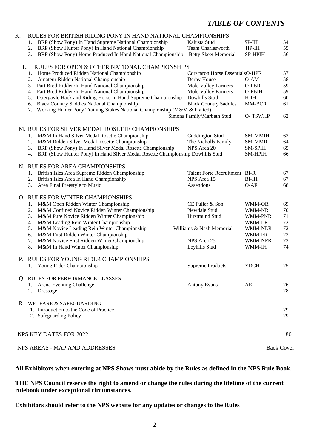# *TABLE OF CONTENTS*

| K. |    | RULES FOR BRITISH RIDING PONY IN HAND NATIONAL CHAMPIONSHIPS                   |                                        |                |                   |
|----|----|--------------------------------------------------------------------------------|----------------------------------------|----------------|-------------------|
|    | 1. | BRP (Show Pony) In Hand Supreme National Championship                          | Kalusta Stud                           | SP-IH          | 54                |
|    | 2. | BRP (Show Hunter Pony) In Hand National Championship                           | <b>Team Charlesworth</b>               | $HP-IH$        | 55                |
|    | 3. | BRP (Show Pony) Home Produced In Hand National Championship                    | <b>Betty Skeet Memorial</b>            | SP-HPIH        | 56                |
| L. |    | RULES FOR OPEN & OTHER NATIONAL CHAMPIONSHIPS                                  |                                        |                |                   |
|    | 1. | Home Produced Ridden National Championship                                     | <b>Corscaron Horse EssentialsO-HPR</b> |                | 57                |
|    | 2. | Amateur Ridden National Championship                                           | Derby House                            | $O-AM$         | 58                |
|    | 3  | Part Bred Ridden/In Hand National Championship                                 | Mole Valley Farmers                    | O-PBR          | 59                |
|    | 4  | Part Bred Ridden/In Hand National Championship                                 | Mole Valley Farmers                    | O-PBIH         | 59                |
|    | 5. | Ottergayle Hack and Riding Horse In Hand Supreme Championship                  | Dowhills Stud                          | $H$ -IH        | 60                |
|    | 6. | <b>Black Country Saddles National Championship</b>                             | <b>Black Country Saddles</b>           | MM-BCR         | 61                |
|    | 7. | Working Hunter Pony Training Stakes National Championship (M&M & Plaited)      |                                        |                |                   |
|    |    |                                                                                | Simons Family/Marbeth Stud             | O-TSWHP        | 62                |
|    |    | M. RULES FOR SILVER MEDAL ROSETTE CHAMPIONSHIPS                                |                                        |                |                   |
|    | 1. | M&M In Hand Silver Medal Rosette Championship                                  | <b>Cuddington Stud</b>                 | <b>SM-MMIH</b> | 63                |
|    | 2. | M&M Ridden Silver Medal Rosette Championship                                   | The Nicholls Family                    | <b>SM-MMR</b>  | 64                |
|    | 3. | BRP (Show Pony) In Hand Silver Medal Rosette Championship                      | NPS Area 20                            | <b>SM-SPIH</b> | 65                |
|    | 4. | BRP (Show Hunter Pony) In Hand Silver Medal Rosette Championship Dowhills Stud |                                        | <b>SM-HPIH</b> | 66                |
|    |    | N. RULES FOR AREA CHAMPIONSHIPS                                                |                                        |                |                   |
|    | 1. | British Isles Area Supreme Ridden Championship                                 | Talent Forte Recruitment BI-R          |                | 67                |
|    | 2. | British Isles Area In Hand Championship                                        | NPS Area 15                            | $BI-IH$        | 67                |
|    | 3. | Area Final Freestyle to Music                                                  | Assendons                              | $O-AF$         | 68                |
|    |    |                                                                                |                                        |                |                   |
|    |    | O. RULES FOR WINTER CHAMPIONSHIPS                                              |                                        |                |                   |
|    | 1. | M&M Open Ridden Winter Championship                                            | CE Fuller & Son                        | WMM-OR         | 69                |
|    | 2. | M&M Confined Novice Ridden Winter Championship                                 | Newdale Stud                           | WMM-NR         | 70                |
|    | 3. | M&M Pure Novice Ridden Winter Championship                                     | Hirstmund Stud                         | WMM-PNR        | 71                |
|    | 4. | M&M Leading Rein Winter Championship                                           |                                        | WMM-LR         | 72                |
|    | 5. | M&M Novice Leading Rein Winter Championship                                    | Williams & Nash Memorial               | WMM-NLR        | 72                |
|    | 6. | M&M First Ridden Winter Championship                                           |                                        | WMM-FR         | 73                |
|    | 7. | M&M Novice First Ridden Winter Championship                                    | NPS Area 25                            | WMM-NFR        | 73                |
|    | 8. | M&M In Hand Winter Championship                                                | Leyhills Stud                          | WMM-IH         | 74                |
|    |    | P. RULES FOR YOUNG RIDER CHAMPIONSHIPS                                         |                                        |                |                   |
|    | 1. | Young Rider Championship                                                       | <b>Supreme Products</b>                | <b>YRCH</b>    | 75                |
|    |    | Q. RULES FOR PERFORMANCE CLASSES                                               |                                        |                |                   |
|    |    | 1. Arena Eventing Challenge                                                    | <b>Antony Evans</b>                    | AE             | 76                |
|    |    | 2. Dressage                                                                    |                                        |                | 78                |
|    |    | R. WELFARE & SAFEGUARDING                                                      |                                        |                |                   |
|    |    | 1. Introduction to the Code of Practice                                        |                                        |                | 79                |
|    |    | 2. Safeguarding Policy                                                         |                                        |                | 79                |
|    |    |                                                                                |                                        |                |                   |
|    |    | NPS KEY DATES FOR 2022                                                         |                                        |                | 80                |
|    |    | NPS AREAS - MAP AND ADDRESSES                                                  |                                        |                | <b>Back Cover</b> |
|    |    |                                                                                |                                        |                |                   |

#### **All Exhibitors when entering at NPS Shows must abide by the Rules as defined in the NPS Rule Book.**

**THE NPS Council reserve the right to amend or change the rules during the lifetime of the current rulebook under exceptional circumstances.**

**Exhibitors should refer to the NPS website for any updates or changes to the Rules**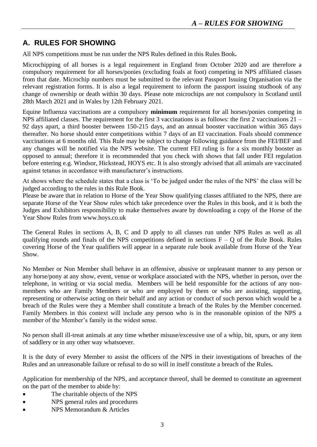# **A. RULES FOR SHOWING**

All NPS competitions must be run under the NPS Rules defined in this Rules Book**.** 

Microchipping of all horses is a legal requirement in England from October 2020 and are therefore a compulsory requirement for all horses/ponies (excluding foals at foot) competing in NPS affiliated classes from that date. Microchip numbers must be submitted to the relevant Passport Issuing Organisation via the relevant registration forms. It is also a legal requirement to inform the passport issuing studbook of any change of ownership or death within 30 days. Please note microchips are not compulsory in Scotland until 28th March 2021 and in Wales by 12th February 2021.

Equine Influenza vaccinations are a compulsory **minimum** requirement for all horses/ponies competing in NPS affiliated classes. The requirement for the first 3 vaccinations is as follows: the first 2 vaccinations 21 – 92 days apart, a third booster between 150-215 days, and an annual booster vaccination within 365 days thereafter. No horse should enter competitions within 7 days of an EI vaccination. Foals should commence vaccinations at 6 months old. This Rule may be subject to change following guidance from the FEI/BEF and any changes will be notified via the NPS website. The current FEI ruling is for a six monthly booster as opposed to annual; therefore it is recommended that you check with shows that fall under FEI regulation before entering e.g. Windsor, Hickstead, HOYS etc. It is also strongly advised that all animals are vaccinated against tetanus in accordance with manufacturer's instructions.

At shows where the schedule states that a class is 'To be judged under the rules of the NPS' the class will be judged according to the rules in this Rule Book.

Please be aware that in relation to Horse of the Year Show qualifying classes affiliated to the NPS, there are separate Horse of the Year Show rules which take precedence over the Rules in this book, and it is both the Judges and Exhibitors responsibility to make themselves aware by downloading a copy of the Horse of the Year Show Rules from www.hoys.co.uk

The General Rules in sections A, B, C and D apply to all classes run under NPS Rules as well as all qualifying rounds and finals of the NPS competitions defined in sections  $F - Q$  of the Rule Book. Rules covering Horse of the Year qualifiers will appear in a separate rule book available from Horse of the Year Show.

No Member or Non Member shall behave in an offensive, abusive or unpleasant manner to any person or any horse/pony at any show, event, venue or workplace associated with the NPS, whether in person, over the telephone, in writing or via social media. Members will be held responsible for the actions of any nonmembers who are Family Members or who are employed by them or who are assisting, supporting, representing or otherwise acting on their behalf and any action or conduct of such person which would be a breach of the Rules were they a Member shall constitute a breach of the Rules by the Member concerned. Family Members in this context will include any person who is in the reasonable opinion of the NPS a member of the Member's family in the widest sense.

No person shall ill-treat animals at any time whether misuse/excessive use of a whip, bit, spurs, or any item of saddlery or in any other way whatsoever.

It is the duty of every Member to assist the officers of the NPS in their investigations of breaches of the Rules and an unreasonable failure or refusal to do so will in itself constitute a breach of the Rules**.**

Application for membership of the NPS, and acceptance thereof, shall be deemed to constitute an agreement on the part of the member to abide by:

- The charitable objects of the NPS
- NPS general rules and procedures
- NPS Memorandum & Articles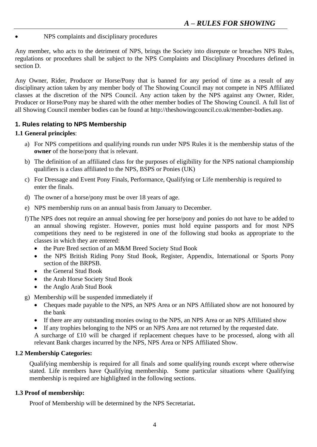• NPS complaints and disciplinary procedures

Any member, who acts to the detriment of NPS, brings the Society into disrepute or breaches NPS Rules, regulations or procedures shall be subject to the NPS Complaints and Disciplinary Procedures defined in section D.

Any Owner, Rider, Producer or Horse/Pony that is banned for any period of time as a result of any disciplinary action taken by any member body of The Showing Council may not compete in NPS Affiliated classes at the discretion of the NPS Council. Any action taken by the NPS against any Owner, Rider, Producer or Horse/Pony may be shared with the other member bodies of The Showing Council. A full list of all Showing Council member bodies can be found at http://theshowingcouncil.co.uk/member-bodies.asp.

## **1. Rules relating to NPS Membership**

### **1.1 General principles**:

- a) For NPS competitions and qualifying rounds run under NPS Rules it is the membership status of the **owner** of the horse/pony that is relevant.
- b) The definition of an affiliated class for the purposes of eligibility for the NPS national championship qualifiers is a class affiliated to the NPS, BSPS or Ponies (UK)
- c) For Dressage and Event Pony Finals, Performance, Qualifying or Life membership is required to enter the finals.
- d) The owner of a horse/pony must be over 18 years of age.
- e) NPS membership runs on an annual basis from January to December.
- f)The NPS does not require an annual showing fee per horse/pony and ponies do not have to be added to an annual showing register. However, ponies must hold equine passports and for most NPS competitions they need to be registered in one of the following stud books as appropriate to the classes in which they are entered:
	- the Pure Bred section of an M&M Breed Society Stud Book
	- the NPS British Riding Pony Stud Book, Register, Appendix, International or Sports Pony section of the BRPSB.
	- the General Stud Book
	- the Arab Horse Society Stud Book
	- the Anglo Arab Stud Book
- g) Membership will be suspended immediately if
	- Cheques made payable to the NPS, an NPS Area or an NPS Affiliated show are not honoured by the bank
	- If there are any outstanding monies owing to the NPS, an NPS Area or an NPS Affiliated show
	- If any trophies belonging to the NPS or an NPS Area are not returned by the requested date.

A surcharge of £10 will be charged if replacement cheques have to be processed, along with all relevant Bank charges incurred by the NPS, NPS Area or NPS Affiliated Show.

#### **1.2 Membership Categories:**

Qualifying membership is required for all finals and some qualifying rounds except where otherwise stated. Life members have Qualifying membership. Some particular situations where Qualifying membership is required are highlighted in the following sections.

#### **1.3 Proof of membership:**

Proof of Membership will be determined by the NPS Secretariat**.**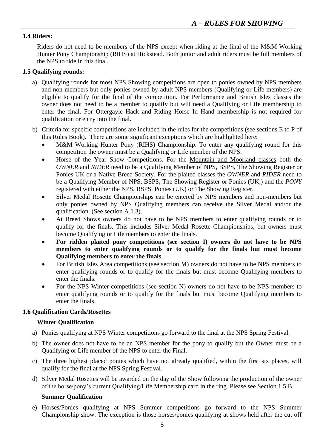### **1.4 Riders:**

Riders do not need to be members of the NPS except when riding at the final of the M&M Working Hunter Pony Championship (RIHS) at Hickstead. Both junior and adult riders must be full members of the NPS to ride in this final.

#### **1.5 Qualifying rounds:**

- a) Qualifying rounds for most NPS Showing competitions are open to ponies owned by NPS members and non-members but only ponies owned by adult NPS members (Qualifying or Life members) are eligible to qualify for the final of the competition. For Performance and British Isles classes the owner does not need to be a member to qualify but will need a Qualifying or Life membership to enter the final. For Ottergayle Hack and Riding Horse In Hand membership is not required for qualification or entry into the final.
- b) Criteria for specific competitions are included in the rules for the competitions (see sections E to P of this Rules Book). There are some significant exceptions which are highlighted here:
	- M&M Working Hunter Pony (RIHS) Championship. To enter any qualifying round for this competition the owner must be a Qualifying or Life member of the NPS.
	- Horse of the Year Show Competitions. For the Mountain and Moorland classes both the *OWNER* and *RIDER* need to be a Qualifying Member of NPS, BSPS, The Showing Register or Ponies UK or a Native Breed Society. For the plaited classes the *OWNER* and *RIDER* need to be a Qualifying Member of NPS, BSPS, The Showing Register or Ponies (UK,) and the *PONY* registered with either the NPS, BSPS, Ponies (UK) or The Showing Register.
	- Silver Medal Rosette Championships can be entered by NPS members and non-members but only ponies owned by NPS Qualifying members can receive the Silver Medal and/or the qualification. (See section A 1.3).
	- At Breed Shows owners do not have to be NPS members to enter qualifying rounds or to qualify for the finals. This includes Silver Medal Rosette Championships, but owners must become Qualifying or Life members to enter the finals.
	- **For ridden plaited pony competitions (see section I) owners do not have to be NPS members to enter qualifying rounds or to qualify for the finals but must become Qualifying members to enter the finals**.
	- For British Isles Area competitions (see section M) owners do not have to be NPS members to enter qualifying rounds or to qualify for the finals but must become Qualifying members to enter the finals.
	- For the NPS Winter competitions (see section N) owners do not have to be NPS members to enter qualifying rounds or to qualify for the finals but must become Qualifying members to enter the finals.

#### **1.6 Qualification Cards/Rosettes**

#### **Winter Qualification**

- a) Ponies qualifying at NPS Winter competitions go forward to the final at the NPS Spring Festival.
- b) The owner does not have to be an NPS member for the pony to qualify but the Owner must be a Qualifying or Life member of the NPS to enter the Final.
- c) The three highest placed ponies which have not already qualified, within the first six places, will qualify for the final at the NPS Spring Festival.
- d) Silver Medal Rosettes will be awarded on the day of the Show following the production of the owner of the horse/pony's current Qualifying/Life Membership card in the ring. Please see Section 1.5 B

#### **Summer Qualification**

e) Horses/Ponies qualifying at NPS Summer competitions go forward to the NPS Summer Championship show. The exception is those horses/ponies qualifying at shows held after the cut off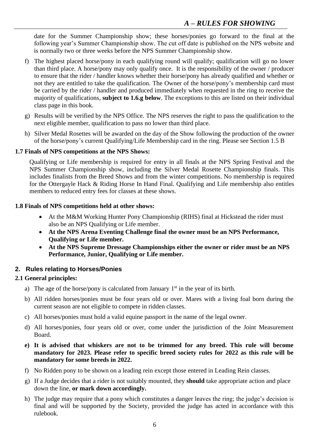date for the Summer Championship show; these horses/ponies go forward to the final at the following year's Summer Championship show. The cut off date is published on the NPS website and is normally two or three weeks before the NPS Summer Championship show.

- f) The highest placed horse/pony in each qualifying round will qualify; qualification will go no lower than third place. A horse/pony may only qualify once. It is the responsibility of the owner / producer to ensure that the rider / handler knows whether their horse/pony has already qualified and whether or not they are entitled to take the qualification. The Owner of the horse/pony's membership card must be carried by the rider / handler and produced immediately when requested in the ring to receive the majority of qualifications, **subject to 1.6.g below**. The exceptions to this are listed on their individual class page in this book.
- g) Results will be verified by the NPS Office. The NPS reserves the right to pass the qualification to the next eligible member, qualification to pass no lower than third place.
- h) Silver Medal Rosettes will be awarded on the day of the Show following the production of the owner of the horse/pony's current Qualifying/Life Membership card in the ring. Please see Section 1.5 B

### **1.7 Finals of NPS competitions at the NPS Shows:**

Qualifying or Life membership is required for entry in all finals at the NPS Spring Festival and the NPS Summer Championship show, including the Silver Medal Rosette Championship finals. This includes finalists from the Breed Shows and from the winter competitions. No membership is required for the Ottergayle Hack & Riding Horse In Hand Final. Qualifying and Life membership also entitles members to reduced entry fees for classes at these shows.

#### **1.8 Finals of NPS competitions held at other shows:**

- At the M&M Working Hunter Pony Championship (RIHS) final at Hickstead the rider must also be an NPS Qualifying or Life member.
- **At the NPS Arena Eventing Challenge final the owner must be an NPS Performance, Qualifying or Life member.**
- **At the NPS Supreme Dressage Championships either the owner or rider must be an NPS Performance, Junior, Qualifying or Life member.**

## **2. Rules relating to Horses/Ponies**

## **2.1 General principles:**

- a) The age of the horse/pony is calculated from January  $1<sup>st</sup>$  in the year of its birth.
- b) All ridden horses/ponies must be four years old or over. Mares with a living foal born during the current season are not eligible to compete in ridden classes.
- c) All horses/ponies must hold a valid equine passport in the name of the legal owner.
- d) All horses/ponies, four years old or over, come under the jurisdiction of the Joint Measurement Board.
- **e) It is advised that whiskers are not to be trimmed for any breed. This rule will become mandatory for 2023. Please refer to specific breed society rules for 2022 as this rule will be mandatory for some breeds in 2022.**
- f) No Ridden pony to be shown on a leading rein except those entered in Leading Rein classes.
- g) If a Judge decides that a rider is not suitably mounted, they **should** take appropriate action and place down the line, **or mark down accordingly.**
- h) The judge may require that a pony which constitutes a danger leaves the ring; the judge's decision is final and will be supported by the Society, provided the judge has acted in accordance with this rulebook.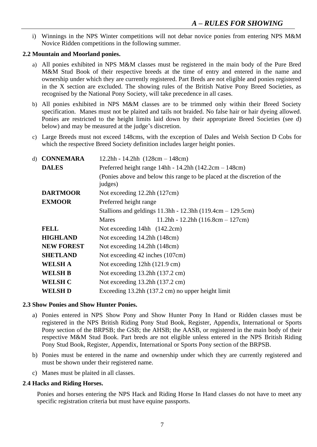i) Winnings in the NPS Winter competitions will not debar novice ponies from entering NPS M&M Novice Ridden competitions in the following summer.

#### **2.2 Mountain and Moorland ponies.**

- a) All ponies exhibited in NPS M&M classes must be registered in the main body of the Pure Bred M&M Stud Book of their respective breeds at the time of entry and entered in the name and ownership under which they are currently registered. Part Breds are not eligible and ponies registered in the X section are excluded. The showing rules of the British Native Pony Breed Societies, as recognised by the National Pony Society, will take precedence in all cases.
- b) All ponies exhibited in NPS M&M classes are to be trimmed only within their Breed Society specification. Manes must not be plaited and tails not braided. No false hair or hair dyeing allowed. Ponies are restricted to the height limits laid down by their appropriate Breed Societies (see d) below) and may be measured at the judge's discretion.
- c) Large Breeds must not exceed 148cms, with the exception of Dales and Welsh Section D Cobs for which the respective Breed Society definition includes larger height ponies.

| d) CONNEMARA<br>$12.2hh - 14.2hh$ $(128cm - 148cm)$ |                                                                                     |  |  |
|-----------------------------------------------------|-------------------------------------------------------------------------------------|--|--|
| <b>DALES</b>                                        | Preferred height range $14hh - 14.2hh$ ( $142.2cm - 148cm$ )                        |  |  |
|                                                     | (Ponies above and below this range to be placed at the discretion of the<br>judges) |  |  |
| <b>DARTMOOR</b>                                     | Not exceeding 12.2hh (127cm)                                                        |  |  |
| <b>EXMOOR</b>                                       | Preferred height range                                                              |  |  |
|                                                     | Stallions and geldings $11.3$ hh - $12.3$ hh $(119.4cm - 129.5cm)$                  |  |  |
|                                                     | $11.2hh - 12.2hh$ (116.8cm - 127cm)<br><b>Mares</b>                                 |  |  |
| <b>FELL</b>                                         | Not exceeding 14hh (142.2cm)                                                        |  |  |
| <b>HIGHLAND</b>                                     | Not exceeding 14.2hh (148cm)                                                        |  |  |
| <b>NEW FOREST</b>                                   | Not exceeding 14.2hh (148cm)                                                        |  |  |
| <b>SHETLAND</b>                                     | Not exceeding 42 inches (107cm)                                                     |  |  |
| <b>WELSH A</b>                                      | Not exceeding 12hh (121.9 cm)                                                       |  |  |
| <b>WELSH B</b>                                      | Not exceeding $13.2$ hh $(137.2 \text{ cm})$                                        |  |  |
| <b>WELSH C</b>                                      | Not exceeding $13.2$ hh $(137.2 \text{ cm})$                                        |  |  |
| WELSH D                                             | Exceeding 13.2hh (137.2 cm) no upper height limit                                   |  |  |

#### **2.3 Show Ponies and Show Hunter Ponies.**

- a) Ponies entered in NPS Show Pony and Show Hunter Pony In Hand or Ridden classes must be registered in the NPS British Riding Pony Stud Book, Register, Appendix, International or Sports Pony section of the BRPSB; the GSB; the AHSB; the AASB, or registered in the main body of their respective M&M Stud Book. Part breds are not eligible unless entered in the NPS British Riding Pony Stud Book, Register, Appendix, International or Sports Pony section of the BRPSB.
- b) Ponies must be entered in the name and ownership under which they are currently registered and must be shown under their registered name.
- c) Manes must be plaited in all classes.

## **2**.**4 Hacks and Riding Horses.**

Ponies and horses entering the NPS Hack and Riding Horse In Hand classes do not have to meet any specific registration criteria but must have equine passports.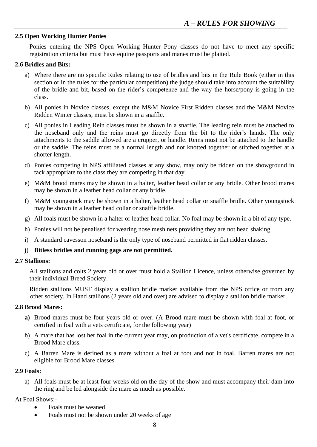#### **2.5 Open Working Hunter Ponies**

Ponies entering the NPS Open Working Hunter Pony classes do not have to meet any specific registration criteria but must have equine passports and manes must be plaited.

#### **2.6 Bridles and Bits:**

- a) Where there are no specific Rules relating to use of bridles and bits in the Rule Book (either in this section or in the rules for the particular competition) the judge should take into account the suitability of the bridle and bit, based on the rider's competence and the way the horse/pony is going in the class.
- b) All ponies in Novice classes, except the M&M Novice First Ridden classes and the M&M Novice Ridden Winter classes, must be shown in a snaffle.
- c) All ponies in Leading Rein classes must be shown in a snaffle. The leading rein must be attached to the noseband only and the reins must go directly from the bit to the rider's hands. The only attachments to the saddle allowed are a crupper, or handle. Reins must not be attached to the handle or the saddle. The reins must be a normal length and not knotted together or stitched together at a shorter length.
- d) Ponies competing in NPS affiliated classes at any show, may only be ridden on the showground in tack appropriate to the class they are competing in that day.
- e) M&M brood mares may be shown in a halter, leather head collar or any bridle. Other brood mares may be shown in a leather head collar or any bridle.
- f) M&M youngstock may be shown in a halter, leather head collar or snaffle bridle. Other youngstock may be shown in a leather head collar or snaffle bridle.
- g) All foals must be shown in a halter or leather head collar. No foal may be shown in a bit of any type.
- h) Ponies will not be penalised for wearing nose mesh nets providing they are not head shaking.
- i) A standard cavesson noseband is the only type of noseband permitted in flat ridden classes.
- j) **Bitless bridles and running gags are not permitted.**

#### **2.7 Stallions:**

All stallions and colts 2 years old or over must hold a Stallion Licence, unless otherwise governed by their individual Breed Society.

Ridden stallions MUST display a stallion bridle marker available from the NPS office or from any other society. In Hand stallions (2 years old and over) are advised to display a stallion bridle marker.

#### **2.8 Brood Mares:**

- **a)** Brood mares must be four years old or over. (A Brood mare must be shown with foal at foot, or certified in foal with a vets certificate, for the following year)
- b) A mare that has lost her foal in the current year may, on production of a vet's certificate, compete in a Brood Mare class.
- c) A Barren Mare is defined as a mare without a foal at foot and not in foal. Barren mares are not eligible for Brood Mare classes.

#### **2.9 Foals:**

a) All foals must be at least four weeks old on the day of the show and must accompany their dam into the ring and be led alongside the mare as much as possible.

#### At Foal Shows:-

- Foals must be weaned
- Foals must not be shown under 20 weeks of age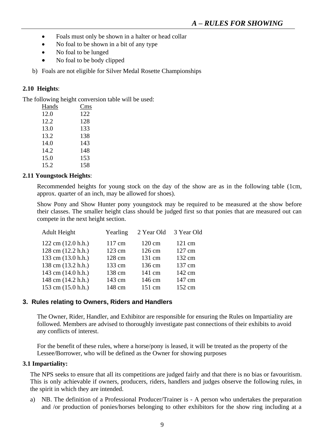- Foals must only be shown in a halter or head collar
- No foal to be shown in a bit of any type
- No foal to be lunged
- No foal to be body clipped
- b) Foals are not eligible for Silver Medal Rosette Championships

### **2.10 Heights**:

The following height conversion table will be used:

| Hands | Cms |
|-------|-----|
| 12.0  | 122 |
| 12.2  | 128 |
| 13.0  | 133 |
| 13.2  | 138 |
| 14.0  | 143 |
| 14.2  | 148 |
| 15.0  | 153 |
| 15.2  | 158 |

#### **2.11 Youngstock Heights**:

Recommended heights for young stock on the day of the show are as in the following table (1cm, approx. quarter of an inch, may be allowed for shoes).

Show Pony and Show Hunter pony youngstock may be required to be measured at the show before their classes. The smaller height class should be judged first so that ponies that are measured out can compete in the next height section.

| Adult Height                          | Yearling | 2 Year Old       | 3 Year Old       |
|---------------------------------------|----------|------------------|------------------|
| $122 \text{ cm } (12.0 \text{ h.h.})$ | 117 cm   | $120 \text{ cm}$ | $121 \text{ cm}$ |
| 128 cm (12.2 h.h.)                    | 123 cm   | 126 cm           | 127 cm           |
| 133 cm (13.0 h.h.)                    | 128 cm   | 131 cm           | 132 cm           |
| 138 cm (13.2 h.h.)                    | 133 cm   | 136 cm           | 137 cm           |
| 143 cm (14.0 h.h.)                    | 138 cm   | 141 cm           | 142 cm           |
| 148 cm (14.2 h.h.)                    | 143 cm   | 146 cm           | 147 cm           |
| 153 cm (15.0 h.h.)                    | 148 cm   | 151 cm           | 152 cm           |

#### **3. Rules relating to Owners, Riders and Handlers**

The Owner, Rider, Handler, and Exhibitor are responsible for ensuring the Rules on Impartiality are followed. Members are advised to thoroughly investigate past connections of their exhibits to avoid any conflicts of interest.

For the benefit of these rules, where a horse/pony is leased, it will be treated as the property of the Lessee/Borrower, who will be defined as the Owner for showing purposes

#### **3.1 Impartiality:**

The NPS seeks to ensure that all its competitions are judged fairly and that there is no bias or favouritism. This is only achievable if owners, producers, riders, handlers and judges observe the following rules, in the spirit in which they are intended.

a) NB. The definition of a Professional Producer/Trainer is - A person who undertakes the preparation and /or production of ponies/horses belonging to other exhibitors for the show ring including at a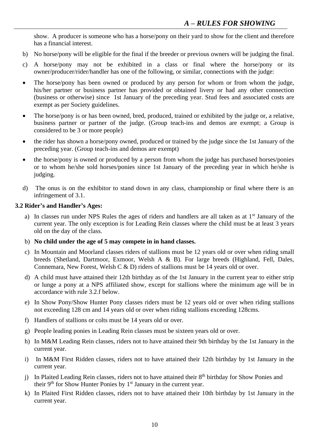show. A producer is someone who has a horse/pony on their yard to show for the client and therefore has a financial interest.

- b) No horse/pony will be eligible for the final if the breeder or previous owners will be judging the final.
- c) A horse/pony may not be exhibited in a class or final where the horse/pony or its owner/producer/rider/handler has one of the following, or similar, connections with the judge:
- The horse/pony has been owned or produced by any person for whom or from whom the judge, his/her partner or business partner has provided or obtained livery or had any other connection (business or otherwise) since 1st January of the preceding year. Stud fees and associated costs are exempt as per Society guidelines.
- The horse/pony is or has been owned, bred, produced, trained or exhibited by the judge or, a relative, business partner or partner of the judge. (Group teach-ins and demos are exempt; a Group is considered to be 3 or more people)
- the rider has shown a horse/pony owned, produced or trained by the judge since the 1st January of the preceding year. (Group teach-ins and demos are exempt)
- the horse/pony is owned or produced by a person from whom the judge has purchased horses/ponies or to whom he/she sold horses/ponies since 1st January of the preceding year in which he/she is judging.
- d) The onus is on the exhibitor to stand down in any class, championship or final where there is an infringement of 3.1.

#### **3.2 Rider's and Handler's Ages:**

- a) In classes run under NPS Rules the ages of riders and handlers are all taken as at 1<sup>st</sup> January of the current year. The only exception is for Leading Rein classes where the child must be at least 3 years old on the day of the class.
- b) **No child under the age of 5 may compete in in hand classes.**
- c) In Mountain and Moorland classes riders of stallions must be 12 years old or over when riding small breeds (Shetland, Dartmoor, Exmoor, Welsh A & B). For large breeds (Highland, Fell, Dales, Connemara, New Forest, Welsh C & D) riders of stallions must be 14 years old or over.
- d) A child must have attained their 12th birthday as of the 1st January in the current year to either strip or lunge a pony at a NPS affiliated show, except for stallions where the minimum age will be in accordance with rule 3.2.f below.
- e) In Show Pony/Show Hunter Pony classes riders must be 12 years old or over when riding stallions not exceeding 128 cm and 14 years old or over when riding stallions exceeding 128cms.
- f) Handlers of stallions or colts must be 14 years old or over.
- g) People leading ponies in Leading Rein classes must be sixteen years old or over.
- h) In M&M Leading Rein classes, riders not to have attained their 9th birthday by the 1st January in the current year.
- i) In M&M First Ridden classes, riders not to have attained their 12th birthday by 1st January in the current year.
- j) In Plaited Leading Rein classes, riders not to have attained their 8<sup>th</sup> birthday for Show Ponies and their  $9<sup>th</sup>$  for Show Hunter Ponies by  $1<sup>st</sup>$  January in the current year.
- k) In Plaited First Ridden classes, riders not to have attained their 10th birthday by 1st January in the current year.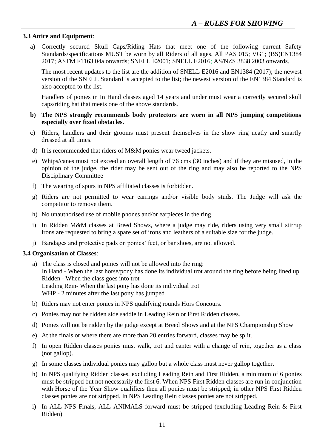#### **3.3 Attire and Equipment**:

a) Correctly secured Skull Caps/Riding Hats that meet one of the following current Safety Standards/specifications MUST be worn by all Riders of all ages. All PAS 015; VG1; (BS)EN1384 2017; ASTM F1163 04a onwards; SNELL E2001; SNELL E2016; AS/NZS 3838 2003 onwards.

The most recent updates to the list are the addition of SNELL E2016 and EN1384 (2017); the newest version of the SNELL Standard is accepted to the list; the newest version of the EN1384 Standard is also accepted to the list.

Handlers of ponies in In Hand classes aged 14 years and under must wear a correctly secured skull caps/riding hat that meets one of the above standards.

#### **b) The NPS strongly recommends body protectors are worn in all NPS jumping competitions especially over fixed obstacles.**

- c) Riders, handlers and their grooms must present themselves in the show ring neatly and smartly dressed at all times.
- d) It is recommended that riders of M&M ponies wear tweed jackets.
- e) Whips/canes must not exceed an overall length of 76 cms (30 inches) and if they are misused, in the opinion of the judge, the rider may be sent out of the ring and may also be reported to the NPS Disciplinary Committee
- f) The wearing of spurs in NPS affiliated classes is forbidden.
- g) Riders are not permitted to wear earrings and/or visible body studs. The Judge will ask the competitor to remove them.
- h) No unauthorised use of mobile phones and/or earpieces in the ring.
- i) In Ridden M&M classes at Breed Shows, where a judge may ride, riders using very small stirrup irons are requested to bring a spare set of irons and leathers of a suitable size for the judge.
- j) Bandages and protective pads on ponies' feet, or bar shoes, are not allowed.

#### **3.4 Organisation of Classes**:

- a) The class is closed and ponies will not be allowed into the ring: In Hand - When the last horse/pony has done its individual trot around the ring before being lined up Ridden - When the class goes into trot Leading Rein- When the last pony has done its individual trot WHP - 2 minutes after the last pony has jumped
- b) Riders may not enter ponies in NPS qualifying rounds Hors Concours.
- c) Ponies may not be ridden side saddle in Leading Rein or First Ridden classes.
- d) Ponies will not be ridden by the judge except at Breed Shows and at the NPS Championship Show
- e) At the finals or where there are more than 20 entries forward, classes may be split.
- f) In open Ridden classes ponies must walk, trot and canter with a change of rein, together as a class (not gallop).
- g) In some classes individual ponies may gallop but a whole class must never gallop together.
- h) In NPS qualifying Ridden classes, excluding Leading Rein and First Ridden, a minimum of 6 ponies must be stripped but not necessarily the first 6. When NPS First Ridden classes are run in conjunction with Horse of the Year Show qualifiers then all ponies must be stripped; in other NPS First Ridden classes ponies are not stripped. In NPS Leading Rein classes ponies are not stripped.
- i) In ALL NPS Finals, ALL ANIMALS forward must be stripped (excluding Leading Rein & First Ridden)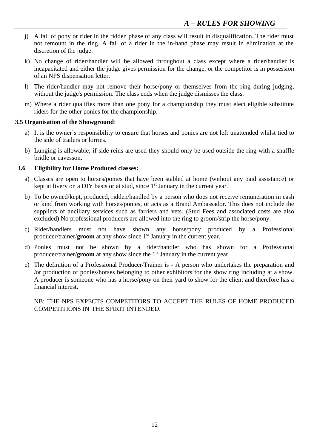- j) A fall of pony or rider in the ridden phase of any class will result in disqualification. The rider must not remount in the ring. A fall of a rider in the in-hand phase may result in elimination at the discretion of the judge.
- k) No change of rider/handler will be allowed throughout a class except where a rider/handler is incapacitated and either the judge gives permission for the change, or the competitor is in possession of an NPS dispensation letter.
- l) The rider/handler may not remove their horse/pony or themselves from the ring during judging, without the judge's permission. The class ends when the judge dismisses the class.
- m) Where a rider qualifies more than one pony for a championship they must elect eligible substitute riders for the other ponies for the championship.

#### **3.5 Organisation of the Showground**:

- a) It is the owner's responsibility to ensure that horses and ponies are not left unattended whilst tied to the side of trailers or lorries.
- b) Lunging is allowable; if side reins are used they should only be used outside the ring with a snaffle bridle or cavesson.

#### **3.6 Eligibility for Home Produced classes:**

- a) Classes are open to horses/ponies that have been stabled at home (without any paid assistance) or kept at livery on a DIY basis or at stud, since  $1<sup>st</sup>$  January in the current year.
- b) To be owned/kept, produced, ridden/handled by a person who does not receive remuneration in cash or kind from working with horses/ponies, or acts as a Brand Ambassador. This does not include the suppliers of ancillary services such as farriers and vets. (Stud Fees and associated costs are also excluded) No professional producers are allowed into the ring to groom/strip the horse/pony.
- c) Rider/handlers must not have shown any horse/pony produced by a Professional producer/trainer/**groom** at any show since 1<sup>st</sup> January in the current year.
- d) Ponies must not be shown by a rider/handler who has shown for a Professional producer/trainer/**groom** at any show since the 1st January in the current year.
- e) The definition of a Professional Producer/Trainer is A person who undertakes the preparation and /or production of ponies/horses belonging to other exhibitors for the show ring including at a show. A producer is someone who has a horse/pony on their yard to show for the client and therefore has a financial interest**.**

#### NB: THE NPS EXPECTS COMPETITORS TO ACCEPT THE RULES OF HOME PRODUCED COMPETITIONS IN THE SPIRIT INTENDED.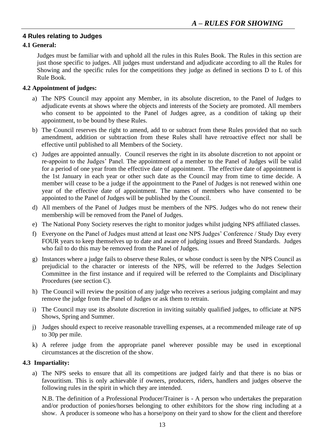### **4 Rules relating to Judges**

#### **4.1 General:**

Judges must be familiar with and uphold all the rules in this Rules Book. The Rules in this section are just those specific to judges. All judges must understand and adjudicate according to all the Rules for Showing and the specific rules for the competitions they judge as defined in sections D to L of this Rule Book.

#### **4.2 Appointment of judges:**

- a) The NPS Council may appoint any Member, in its absolute discretion, to the Panel of Judges to adjudicate events at shows where the objects and interests of the Society are promoted. All members who consent to be appointed to the Panel of Judges agree, as a condition of taking up their appointment, to be bound by these Rules.
- b) The Council reserves the right to amend, add to or subtract from these Rules provided that no such amendment, addition or subtraction from these Rules shall have retroactive effect nor shall be effective until published to all Members of the Society.
- c) Judges are appointed annually. Council reserves the right in its absolute discretion to not appoint or re-appoint to the Judges' Panel. The appointment of a member to the Panel of Judges will be valid for a period of one year from the effective date of appointment. The effective date of appointment is the 1st January in each year or other such date as the Council may from time to time decide. A member will cease to be a judge if the appointment to the Panel of Judges is not renewed within one year of the effective date of appointment. The names of members who have consented to be appointed to the Panel of Judges will be published by the Council.
- d) All members of the Panel of Judges must be members of the NPS. Judges who do not renew their membership will be removed from the Panel of Judges.
- e) The National Pony Society reserves the right to monitor judges whilst judging NPS affiliated classes.
- f) Everyone on the Panel of Judges must attend at least one NPS Judges' Conference / Study Day every FOUR years to keep themselves up to date and aware of judging issues and Breed Standards. Judges who fail to do this may be removed from the Panel of Judges.
- g) Instances where a judge fails to observe these Rules, or whose conduct is seen by the NPS Council as prejudicial to the character or interests of the NPS, will be referred to the Judges Selection Committee in the first instance and if required will be referred to the Complaints and Disciplinary Procedures (see section C).
- h) The Council will review the position of any judge who receives a serious judging complaint and may remove the judge from the Panel of Judges or ask them to retrain.
- i) The Council may use its absolute discretion in inviting suitably qualified judges, to officiate at NPS Shows, Spring and Summer.
- j) Judges should expect to receive reasonable travelling expenses, at a recommended mileage rate of up to 30p per mile.
- k) A referee judge from the appropriate panel wherever possible may be used in exceptional circumstances at the discretion of the show.

#### **4.3 Impartiality:**

a) The NPS seeks to ensure that all its competitions are judged fairly and that there is no bias or favouritism. This is only achievable if owners, producers, riders, handlers and judges observe the following rules in the spirit in which they are intended.

N.B. The definition of a Professional Producer/Trainer is - A person who undertakes the preparation and/or production of ponies/horses belonging to other exhibitors for the show ring including at a show. A producer is someone who has a horse/pony on their yard to show for the client and therefore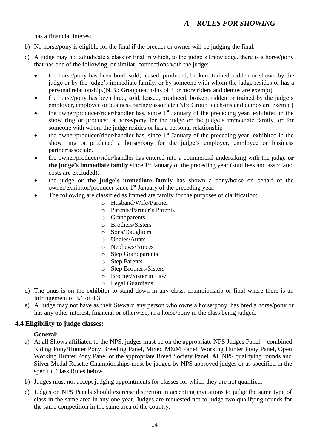has a financial interest.

- b) No horse/pony is eligible for the final if the breeder or owner will be judging the final.
- c) A judge may not adjudicate a class or final in which, to the judge's knowledge, there is a horse/pony that has one of the following, or similar, connections with the judge:
	- the horse/pony has been bred, sold, leased, produced, broken, trained, ridden or shown by the judge or by the judge's immediate family, or by someone with whom the judge resides or has a personal relationship.(N.B.: Group teach-ins of 3 or more riders and demos are exempt)
	- the horse/pony has been bred, sold, leased, produced, broken, ridden or trained by the judge's employer, employee or business partner/associate.(NB: Group teach-ins and demos are exempt)
	- the owner/producer/rider/handler has, since 1<sup>st</sup> January of the preceding year, exhibited in the show ring or produced a horse/pony for the judge or the judge's immediate family, or for someone with whom the judge resides or has a personal relationship
	- the owner/producer/rider/handler has, since 1<sup>st</sup> January of the preceding year, exhibited in the show ring or produced a horse/pony for the judge's employer, employee or business partner/associate.
	- the owner/producer/rider/handler has entered into a commercial undertaking with the judge **or the judge's immediate family** since 1<sup>st</sup> January of the preceding year (stud fees and associated costs are excluded).
	- the judge **or the judge's immediate family** has shown a pony/horse on behalf of the owner/exhibitor/producer since 1<sup>st</sup> January of the preceding year.
		- The following are classified as immediate family for the purposes of clarification:
			- o Husband/Wife/Partner
				- o Parents/Partner's Parents
				- o Grandparents
				- o Brothers/Sisters
				- o Sons/Daughters
			- o Uncles/Aunts
			- o Nephews/Nieces
			- o Step Grandparents
			- o Step Parents
			- o Step Brothers/Sisters
			- o Brother/Sister in Law
			- o Legal Guardians
- d) The onus is on the exhibitor to stand down in any class, championship or final where there is an infringement of 3.1 or 4.3.
- e) A Judge may not have as their Steward any person who owns a horse/pony, has bred a horse/pony or has any other interest, financial or otherwise, in a horse/pony in the class being judged.

#### **4.4 Eligibility to judge classes:**

#### **General:**

- a) At all Shows affiliated to the NPS, judges must be on the appropriate NPS Judges Panel combined Riding Pony/Hunter Pony Breeding Panel, Mixed M&M Panel, Working Hunter Pony Panel, Open Working Hunter Pony Panel or the appropriate Breed Society Panel. All NPS qualifying rounds and Silver Medal Rosette Championships must be judged by NPS approved judges or as specified in the specific Class Rules below.
- b) Judges must not accept judging appointments for classes for which they are not qualified.
- c) Judges on NPS Panels should exercise discretion in accepting invitations to judge the same type of class in the same area in any one year. Judges are requested not to judge two qualifying rounds for the same competition in the same area of the country.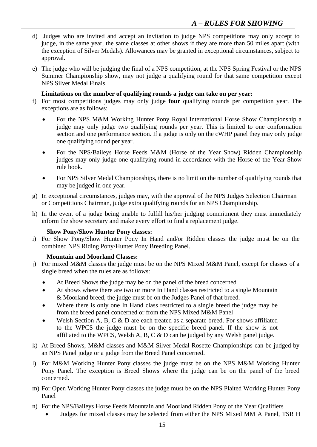- d) Judges who are invited and accept an invitation to judge NPS competitions may only accept to judge, in the same year, the same classes at other shows if they are more than 50 miles apart (with the exception of Silver Medals). Allowances may be granted in exceptional circumstances, subject to approval.
- e) The judge who will be judging the final of a NPS competition, at the NPS Spring Festival or the NPS Summer Championship show, may not judge a qualifying round for that same competition except NPS Silver Medal Finals.

#### **Limitations on the number of qualifying rounds a judge can take on per year:**

- f) For most competitions judges may only judge **four** qualifying rounds per competition year. The exceptions are as follows:
	- For the NPS M&M Working Hunter Pony Royal International Horse Show Championship a judge may only judge two qualifying rounds per year. This is limited to one conformation section and one performance section. If a judge is only on the cWHP panel they may only judge one qualifying round per year.
	- For the NPS/Baileys Horse Feeds M&M (Horse of the Year Show) Ridden Championship judges may only judge one qualifying round in accordance with the Horse of the Year Show rule book.
	- For NPS Silver Medal Championships, there is no limit on the number of qualifying rounds that may be judged in one year.
- g) In exceptional circumstances, judges may, with the approval of the NPS Judges Selection Chairman or Competitions Chairman, judge extra qualifying rounds for an NPS Championship.
- h) In the event of a judge being unable to fulfill his/her judging commitment they must immediately inform the show secretary and make every effort to find a replacement judge.

#### **Show Pony/Show Hunter Pony classes:**

i) For Show Pony/Show Hunter Pony In Hand and/or Ridden classes the judge must be on the combined NPS Riding Pony/Hunter Pony Breeding Panel.

#### **Mountain and Moorland Classes:**

- j) For mixed M&M classes the judge must be on the NPS Mixed M&M Panel, except for classes of a single breed when the rules are as follows:
	- At Breed Shows the judge may be on the panel of the breed concerned
	- At shows where there are two or more In Hand classes restricted to a single Mountain & Moorland breed, the judge must be on the Judges Panel of that breed.
	- Where there is only one In Hand class restricted to a single breed the judge may be from the breed panel concerned or from the NPS Mixed M&M Panel
	- Welsh Section A, B, C  $\&$  D are each treated as a separate breed. For shows affiliated to the WPCS the judge must be on the specific breed panel. If the show is not affiliated to the WPCS, Welsh A, B, C & D can be judged by any Welsh panel judge.
- k) At Breed Shows, M&M classes and M&M Silver Medal Rosette Championships can be judged by an NPS Panel judge or a judge from the Breed Panel concerned.
- l) For M&M Working Hunter Pony classes the judge must be on the NPS M&M Working Hunter Pony Panel. The exception is Breed Shows where the judge can be on the panel of the breed concerned.
- m) For Open Working Hunter Pony classes the judge must be on the NPS Plaited Working Hunter Pony Panel
- n) For the NPS/Baileys Horse Feeds Mountain and Moorland Ridden Pony of the Year Qualifiers
	- Judges for mixed classes may be selected from either the NPS Mixed MM A Panel, TSR H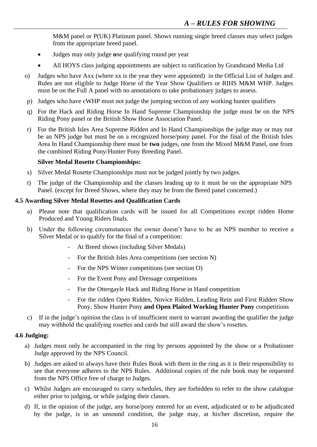M&M panel or P(UK) Platinum panel. Shows running single breed classes may select judges from the appropriate breed panel.

- Judges may only judge **o**ne qualifying round per year
- All HOYS class judging appointments are subject to ratification by Grandstand Media Ltd
- o) Judges who have Axx (where xx is the year they were appointed) in the Official List of Judges and Rules are not eligible to Judge Horse of the Year Show Qualifiers or RIHS M&M WHP. Judges must be on the Full A panel with no annotations to take probationary judges to assess.
- p) Judges who have cWHP must not judge the jumping section of any working hunter qualifiers
- q) For the Hack and Riding Horse In Hand Supreme Championship the judge must be on the NPS Riding Pony panel or the British Show Horse Association Panel.
- r) For the British Isles Area Supreme Ridden and In Hand Championships the judge may or may not be an NPS judge but must be on a recognized horse/pony panel. For the final of the British Isles Area In Hand Championship there must be **two** judges, one from the Mixed M&M Panel, one from the combined Riding Pony/Hunter Pony Breeding Panel.

#### **Silver Medal Rosette Championships:**

- s) Silver Medal Rosette Championships must not be judged jointly by two judges.
- t) The judge of the Championship and the classes leading up to it must be on the appropriate NPS Panel. (except for Breed Shows, where they may be from the Breed panel concerned.)

#### **4.5 Awarding Silver Medal Rosettes and Qualification Cards**

- Please note that qualification cards will be issued for all Competitions except ridden Home Produced and Young Riders finals.
- b) Under the following circumstances the owner doesn't have to be an NPS member to receive a Silver Medal or to qualify for the final of a competition:
	- At Breed shows (including Silver Medals)
	- For the British Isles Area competitions (see section N)
	- For the NPS Winter competitions (see section O)
	- For the Event Pony and Dressage competitions
	- For the Ottergayle Hack and Riding Horse in Hand competition
	- For the ridden Open Ridden, Novice Ridden, Leading Rein and First Ridden Show Pony, Show Hunter Pony **and Open Plaited Working Hunter Pony** competitions
- c) If in the judge's opinion the class is of insufficient merit to warrant awarding the qualifier the judge may withhold the qualifying rosettes and cards but still award the show's rosettes.

#### **4.6 Judging:**

- a) Judges must only be accompanied in the ring by persons appointed by the show or a Probationer Judge approved by the NPS Council.
- b) Judges are asked to always have their Rules Book with them in the ring as it is their responsibility to see that everyone adheres to the NPS Rules. Additional copies of the rule book may be requested from the NPS Office free of charge to Judges.
- c) Whilst Judges are encouraged to carry schedules, they are forbidden to refer to the show catalogue either prior to judging, or while judging their classes.
- d) If, in the opinion of the judge, any horse/pony entered for an event, adjudicated or to be adjudicated by the judge, is in an unsound condition, the judge may, at his/her discretion, require the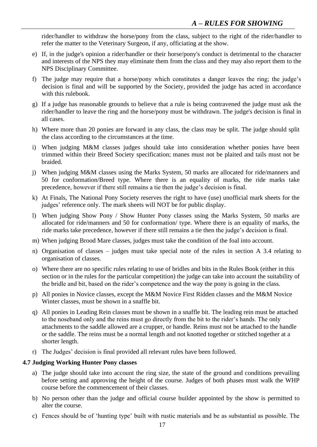rider/handler to withdraw the horse/pony from the class, subject to the right of the rider/handler to refer the matter to the Veterinary Surgeon, if any, officiating at the show.

- e) If, in the judge's opinion a rider/handler or their horse/pony's conduct is detrimental to the character and interests of the NPS they may eliminate them from the class and they may also report them to the NPS Disciplinary Committee.
- f) The judge may require that a horse/pony which constitutes a danger leaves the ring; the judge's decision is final and will be supported by the Society, provided the judge has acted in accordance with this rulebook.
- g) If a judge has reasonable grounds to believe that a rule is being contravened the judge must ask the rider/handler to leave the ring and the horse/pony must be withdrawn. The judge's decision is final in all cases.
- h) Where more than 20 ponies are forward in any class, the class may be split. The judge should split the class according to the circumstances at the time.
- i) When judging M&M classes judges should take into consideration whether ponies have been trimmed within their Breed Society specification; manes must not be plaited and tails must not be braided.
- j) When judging M&M classes using the Marks System, 50 marks are allocated for ride/manners and 50 for conformation/Breed type. Where there is an equality of marks, the ride marks take precedence, however if there still remains a tie then the judge's decision is final.
- k) At Finals, The National Pony Society reserves the right to have (use) unofficial mark sheets for the judges' reference only. The mark sheets will NOT be for public display.
- l) When judging Show Pony / Show Hunter Pony classes using the Marks System, 50 marks are allocated for ride/manners and 50 for conformation/ type. Where there is an equality of marks, the ride marks take precedence, however if there still remains a tie then the judge's decision is final.
- m) When judging Brood Mare classes, judges must take the condition of the foal into account.
- n) Organisation of classes judges must take special note of the rules in section A 3.4 relating to organisation of classes.
- o) Where there are no specific rules relating to use of bridles and bits in the Rules Book (either in this section or in the rules for the particular competition) the judge can take into account the suitability of the bridle and bit, based on the rider's competence and the way the pony is going in the class.
- p) All ponies in Novice classes, except the M&M Novice First Ridden classes and the M&M Novice Winter classes, must be shown in a snaffle bit.
- q) All ponies in Leading Rein classes must be shown in a snaffle bit. The leading rein must be attached to the noseband only and the reins must go directly from the bit to the rider's hands. The only attachments to the saddle allowed are a crupper, or handle. Reins must not be attached to the handle or the saddle. The reins must be a normal length and not knotted together or stitched together at a shorter length.
- r) The Judges' decision is final provided all relevant rules have been followed.

#### **4.7 Judging Working Hunter Pony classes**

- a) The judge should take into account the ring size, the state of the ground and conditions prevailing before setting and approving the height of the course. Judges of both phases must walk the WHP course before the commencement of their classes.
- b) No person other than the judge and official course builder appointed by the show is permitted to alter the course.
- c) Fences should be of 'hunting type' built with rustic materials and be as substantial as possible. The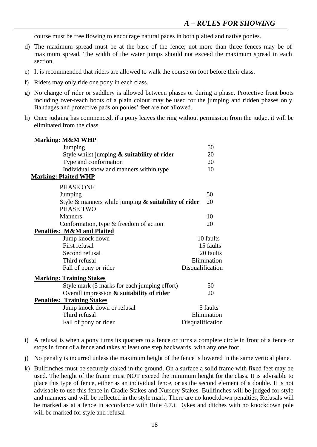course must be free flowing to encourage natural paces in both plaited and native ponies.

- d) The maximum spread must be at the base of the fence; not more than three fences may be of maximum spread. The width of the water jumps should not exceed the maximum spread in each section.
- e) It is recommended that riders are allowed to walk the course on foot before their class.
- f) Riders may only ride one pony in each class.
- g) No change of rider or saddlery is allowed between phases or during a phase. Protective front boots including over-reach boots of a plain colour may be used for the jumping and ridden phases only. Bandages and protective pads on ponies' feet are not allowed.
- h) Once judging has commenced, if a pony leaves the ring without permission from the judge, it will be eliminated from the class.

| <b>Marking: M&amp;M WHP</b>                                |                  |             |
|------------------------------------------------------------|------------------|-------------|
| Jumping                                                    |                  | 50          |
| Style whilst jumping $\&$ suitability of rider             |                  | 20          |
| Type and conformation                                      |                  | 20          |
| Individual show and manners within type                    |                  | 10          |
| <b>Marking: Plaited WHP</b>                                |                  |             |
| PHASE ONE                                                  |                  |             |
| Jumping                                                    |                  | 50          |
| Style $\&$ manners while jumping $\&$ suitability of rider |                  | 20          |
| PHASE TWO                                                  |                  |             |
| <b>Manners</b>                                             |                  | 10          |
| Conformation, type & freedom of action                     |                  | 20          |
| <b>Penalties: M&amp;M and Plaited</b>                      |                  |             |
| Jump knock down                                            |                  | 10 faults   |
| First refusal                                              |                  | 15 faults   |
| Second refusal                                             |                  | 20 faults   |
| Third refusal                                              |                  | Elimination |
| Fall of pony or rider                                      | Disqualification |             |
| <b>Marking: Training Stakes</b>                            |                  |             |
| Style mark (5 marks for each jumping effort)               |                  | 50          |
| Overall impression $\&$ suitability of rider               |                  | 20          |
| <b>Penalties: Training Stakes</b>                          |                  |             |
| Jump knock down or refusal                                 |                  | 5 faults    |
| Third refusal                                              |                  | Elimination |
| Fall of pony or rider                                      | Disqualification |             |
|                                                            |                  |             |

- i) A refusal is when a pony turns its quarters to a fence or turns a complete circle in front of a fence or stops in front of a fence and takes at least one step backwards, with any one foot.
- j) No penalty is incurred unless the maximum height of the fence is lowered in the same vertical plane.
- k) Bullfinches must be securely staked in the ground. On a surface a solid frame with fixed feet may be used. The height of the frame must NOT exceed the minimum height for the class. It is advisable to place this type of fence, either as an individual fence, or as the second element of a double. It is not advisable to use this fence in Cradle Stakes and Nursery Stakes. Bullfinches will be judged for style and manners and will be reflected in the style mark, There are no knockdown penalties, Refusals will be marked as at a fence in accordance with Rule 4.7.i. Dykes and ditches with no knockdown pole will be marked for style and refusal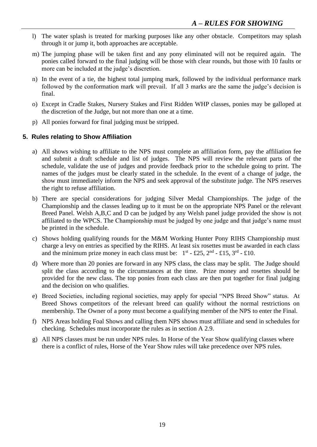- l) The water splash is treated for marking purposes like any other obstacle. Competitors may splash through it or jump it, both approaches are acceptable.
- m) The jumping phase will be taken first and any pony eliminated will not be required again. The ponies called forward to the final judging will be those with clear rounds, but those with 10 faults or more can be included at the judge's discretion.
- n) In the event of a tie, the highest total jumping mark, followed by the individual performance mark followed by the conformation mark will prevail. If all 3 marks are the same the judge's decision is final.
- o) Except in Cradle Stakes, Nursery Stakes and First Ridden WHP classes, ponies may be galloped at the discretion of the Judge, but not more than one at a time.
- p) All ponies forward for final judging must be stripped.

### **5. Rules relating to Show Affiliation**

- a) All shows wishing to affiliate to the NPS must complete an affiliation form, pay the affiliation fee and submit a draft schedule and list of judges. The NPS will review the relevant parts of the schedule, validate the use of judges and provide feedback prior to the schedule going to print. The names of the judges must be clearly stated in the schedule. In the event of a change of judge, the show must immediately inform the NPS and seek approval of the substitute judge. The NPS reserves the right to refuse affiliation.
- b) There are special considerations for judging Silver Medal Championships. The judge of the Championship and the classes leading up to it must be on the appropriate NPS Panel or the relevant Breed Panel. Welsh A,B,C and D can be judged by any Welsh panel judge provided the show is not affiliated to the WPCS. The Championship must be judged by one judge and that judge's name must be printed in the schedule.
- c) Shows holding qualifying rounds for the M&M Working Hunter Pony RIHS Championship must charge a levy on entries as specified by the RIHS. At least six rosettes must be awarded in each class and the minimum prize money in each class must be:  $1^{st}$  - £25,  $2^{nd}$  - £15,  $3^{rd}$  - £10.
- d) Where more than 20 ponies are forward in any NPS class, the class may be split. The Judge should split the class according to the circumstances at the time. Prize money and rosettes should be provided for the new class. The top ponies from each class are then put together for final judging and the decision on who qualifies.
- e) Breed Societies, including regional societies, may apply for special "NPS Breed Show" status. At Breed Shows competitors of the relevant breed can qualify without the normal restrictions on membership. The Owner of a pony must become a qualifying member of the NPS to enter the Final.
- f) NPS Areas holding Foal Shows and calling them NPS shows must affiliate and send in schedules for checking. Schedules must incorporate the rules as in section A 2.9.
- g) All NPS classes must be run under NPS rules. In Horse of the Year Show qualifying classes where there is a conflict of rules, Horse of the Year Show rules will take precedence over NPS rules.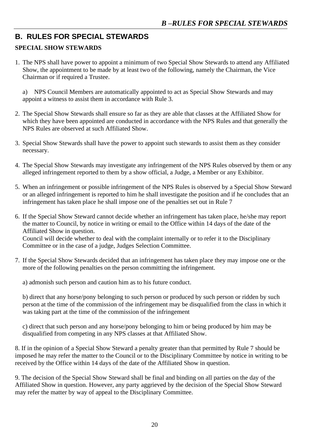# **B. RULES FOR SPECIAL STEWARDS**

# **SPECIAL SHOW STEWARDS**

1. The NPS shall have power to appoint a minimum of two Special Show Stewards to attend any Affiliated Show, the appointment to be made by at least two of the following, namely the Chairman, the Vice Chairman or if required a Trustee.

a) NPS Council Members are automatically appointed to act as Special Show Stewards and may appoint a witness to assist them in accordance with Rule 3.

- 2. The Special Show Stewards shall ensure so far as they are able that classes at the Affiliated Show for which they have been appointed are conducted in accordance with the NPS Rules and that generally the NPS Rules are observed at such Affiliated Show.
- 3. Special Show Stewards shall have the power to appoint such stewards to assist them as they consider necessary.
- 4. The Special Show Stewards may investigate any infringement of the NPS Rules observed by them or any alleged infringement reported to them by a show official, a Judge, a Member or any Exhibitor.
- 5. When an infringement or possible infringement of the NPS Rules is observed by a Special Show Steward or an alleged infringement is reported to him he shall investigate the position and if he concludes that an infringement has taken place he shall impose one of the penalties set out in Rule 7
- 6. If the Special Show Steward cannot decide whether an infringement has taken place, he/she may report the matter to Council, by notice in writing or email to the Office within 14 days of the date of the Affiliated Show in question. Council will decide whether to deal with the complaint internally or to refer it to the Disciplinary Committee or in the case of a judge, Judges Selection Committee.
- 7. If the Special Show Stewards decided that an infringement has taken place they may impose one or the more of the following penalties on the person committing the infringement.

a) admonish such person and caution him as to his future conduct.

b) direct that any horse/pony belonging to such person or produced by such person or ridden by such person at the time of the commission of the infringement may be disqualified from the class in which it was taking part at the time of the commission of the infringement

c) direct that such person and any horse/pony belonging to him or being produced by him may be disqualified from competing in any NPS classes at that Affiliated Show.

8. If in the opinion of a Special Show Steward a penalty greater than that permitted by Rule 7 should be imposed he may refer the matter to the Council or to the Disciplinary Committee by notice in writing to be received by the Office within 14 days of the date of the Affiliated Show in question.

9. The decision of the Special Show Steward shall be final and binding on all parties on the day of the Affiliated Show in question. However, any party aggrieved by the decision of the Special Show Steward may refer the matter by way of appeal to the Disciplinary Committee.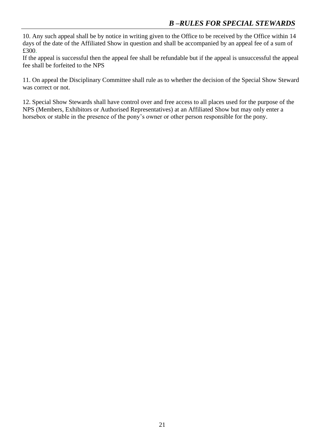10. Any such appeal shall be by notice in writing given to the Office to be received by the Office within 14 days of the date of the Affiliated Show in question and shall be accompanied by an appeal fee of a sum of £300.

If the appeal is successful then the appeal fee shall be refundable but if the appeal is unsuccessful the appeal fee shall be forfeited to the NPS

11. On appeal the Disciplinary Committee shall rule as to whether the decision of the Special Show Steward was correct or not.

12. Special Show Stewards shall have control over and free access to all places used for the purpose of the NPS (Members, Exhibitors or Authorised Representatives) at an Affiliated Show but may only enter a horsebox or stable in the presence of the pony's owner or other person responsible for the pony.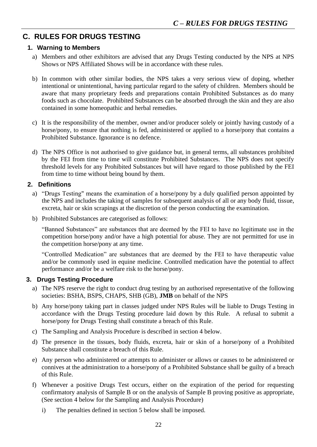# **C. RULES FOR DRUGS TESTING**

#### **1. Warning to Members**

- a) Members and other exhibitors are advised that any Drugs Testing conducted by the NPS at NPS Shows or NPS Affiliated Shows will be in accordance with these rules.
- b) In common with other similar bodies, the NPS takes a very serious view of doping, whether intentional or unintentional, having particular regard to the safety of children. Members should be aware that many proprietary feeds and preparations contain Prohibited Substances as do many foods such as chocolate. Prohibited Substances can be absorbed through the skin and they are also contained in some homeopathic and herbal remedies.
- c) It is the responsibility of the member, owner and/or producer solely or jointly having custody of a horse/pony, to ensure that nothing is fed, administered or applied to a horse/pony that contains a Prohibited Substance. Ignorance is no defence.
- d) The NPS Office is not authorised to give guidance but, in general terms, all substances prohibited by the FEI from time to time will constitute Prohibited Substances. The NPS does not specify threshold levels for any Prohibited Substances but will have regard to those published by the FEI from time to time without being bound by them.

### **2. Definitions**

- a) "Drugs Testing" means the examination of a horse/pony by a duly qualified person appointed by the NPS and includes the taking of samples for subsequent analysis of all or any body fluid, tissue, excreta, hair or skin scrapings at the discretion of the person conducting the examination.
- b) Prohibited Substances are categorised as follows:

"Banned Substances" are substances that are deemed by the FEI to have no legitimate use in the competition horse/pony and/or have a high potential for abuse. They are not permitted for use in the competition horse/pony at any time.

"Controlled Medication" are substances that are deemed by the FEI to have therapeutic value and/or be commonly used in equine medicine. Controlled medication have the potential to affect performance and/or be a welfare risk to the horse/pony.

## **3. Drugs Testing Procedure**

- a) The NPS reserve the right to conduct drug testing by an authorised representative of the following societies: BSHA, BSPS, CHAPS, SHB (GB), **JMB** on behalf of the NPS
- b) Any horse/pony taking part in classes judged under NPS Rules will be liable to Drugs Testing in accordance with the Drugs Testing procedure laid down by this Rule. A refusal to submit a horse/pony for Drugs Testing shall constitute a breach of this Rule.
- c) The Sampling and Analysis Procedure is described in section 4 below.
- d) The presence in the tissues, body fluids, excreta, hair or skin of a horse/pony of a Prohibited Substance shall constitute a breach of this Rule.
- e) Any person who administered or attempts to administer or allows or causes to be administered or connives at the administration to a horse/pony of a Prohibited Substance shall be guilty of a breach of this Rule.
- f) Whenever a positive Drugs Test occurs, either on the expiration of the period for requesting confirmatory analysis of Sample B or on the analysis of Sample B proving positive as appropriate, (See section 4 below for the Sampling and Analysis Procedure)
	- i) The penalties defined in section 5 below shall be imposed.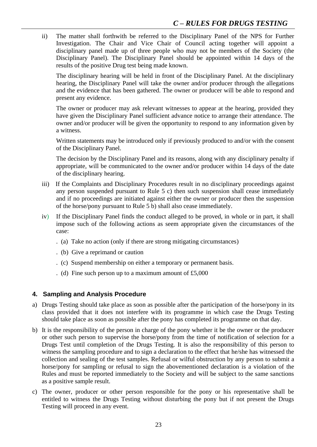ii) The matter shall forthwith be referred to the Disciplinary Panel of the NPS for Further Investigation. The Chair and Vice Chair of Council acting together will appoint a disciplinary panel made up of three people who may not be members of the Society (the Disciplinary Panel). The Disciplinary Panel should be appointed within 14 days of the results of the positive Drug test being made known.

The disciplinary hearing will be held in front of the Disciplinary Panel. At the disciplinary hearing, the Disciplinary Panel will take the owner and/or producer through the allegations and the evidence that has been gathered. The owner or producer will be able to respond and present any evidence.

The owner or producer may ask relevant witnesses to appear at the hearing, provided they have given the Disciplinary Panel sufficient advance notice to arrange their attendance. The owner and/or producer will be given the opportunity to respond to any information given by a witness.

Written statements may be introduced only if previously produced to and/or with the consent of the Disciplinary Panel.

The decision by the Disciplinary Panel and its reasons, along with any disciplinary penalty if appropriate, will be communicated to the owner and/or producer within 14 days of the date of the disciplinary hearing.

- iii) If the Complaints and Disciplinary Procedures result in no disciplinary proceedings against any person suspended pursuant to Rule 5 c) then such suspension shall cease immediately and if no proceedings are initiated against either the owner or producer then the suspension of the horse/pony pursuant to Rule 5 b) shall also cease immediately.
- iv) If the Disciplinary Panel finds the conduct alleged to be proved, in whole or in part, it shall impose such of the following actions as seem appropriate given the circumstances of the case:
	- . (a) Take no action (only if there are strong mitigating circumstances)
	- . (b) Give a reprimand or caution
	- . (c) Suspend membership on either a temporary or permanent basis.
	- . (d) Fine such person up to a maximum amount of £5,000

#### **4. Sampling and Analysis Procedure**

- a) Drugs Testing should take place as soon as possible after the participation of the horse/pony in its class provided that it does not interfere with its programme in which case the Drugs Testing should take place as soon as possible after the pony has completed its programme on that day.
- b) It is the responsibility of the person in charge of the pony whether it be the owner or the producer or other such person to supervise the horse/pony from the time of notification of selection for a Drugs Test until completion of the Drugs Testing. It is also the responsibility of this person to witness the sampling procedure and to sign a declaration to the effect that he/she has witnessed the collection and sealing of the test samples. Refusal or wilful obstruction by any person to submit a horse/pony for sampling or refusal to sign the abovementioned declaration is a violation of the Rules and must be reported immediately to the Society and will be subject to the same sanctions as a positive sample result.
- c) The owner, producer or other person responsible for the pony or his representative shall be entitled to witness the Drugs Testing without disturbing the pony but if not present the Drugs Testing will proceed in any event.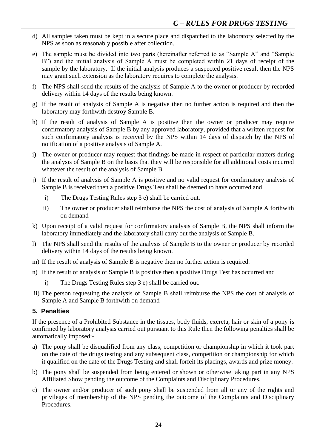- d) All samples taken must be kept in a secure place and dispatched to the laboratory selected by the NPS as soon as reasonably possible after collection.
- e) The sample must be divided into two parts (hereinafter referred to as "Sample A" and "Sample B") and the initial analysis of Sample A must be completed within 21 days of receipt of the sample by the laboratory. If the initial analysis produces a suspected positive result then the NPS may grant such extension as the laboratory requires to complete the analysis.
- f) The NPS shall send the results of the analysis of Sample A to the owner or producer by recorded delivery within 14 days of the results being known.
- g) If the result of analysis of Sample A is negative then no further action is required and then the laboratory may forthwith destroy Sample B.
- h) If the result of analysis of Sample A is positive then the owner or producer may require confirmatory analysis of Sample B by any approved laboratory, provided that a written request for such confirmatory analysis is received by the NPS within 14 days of dispatch by the NPS of notification of a positive analysis of Sample A.
- i) The owner or producer may request that findings be made in respect of particular matters during the analysis of Sample B on the basis that they will be responsible for all additional costs incurred whatever the result of the analysis of Sample B.
- j) If the result of analysis of Sample A is positive and no valid request for confirmatory analysis of Sample B is received then a positive Drugs Test shall be deemed to have occurred and
	- i) The Drugs Testing Rules step 3 e) shall be carried out.
	- ii) The owner or producer shall reimburse the NPS the cost of analysis of Sample A forthwith on demand
- k) Upon receipt of a valid request for confirmatory analysis of Sample B, the NPS shall inform the laboratory immediately and the laboratory shall carry out the analysis of Sample B.
- l) The NPS shall send the results of the analysis of Sample B to the owner or producer by recorded delivery within 14 days of the results being known.
- m) If the result of analysis of Sample B is negative then no further action is required.
- n) If the result of analysis of Sample B is positive then a positive Drugs Test has occurred and
	- i) The Drugs Testing Rules step 3 e) shall be carried out.
- ii) The person requesting the analysis of Sample B shall reimburse the NPS the cost of analysis of Sample A and Sample B forthwith on demand

#### **5. Penalties**

If the presence of a Prohibited Substance in the tissues, body fluids, excreta, hair or skin of a pony is confirmed by laboratory analysis carried out pursuant to this Rule then the following penalties shall be automatically imposed:-

- a) The pony shall be disqualified from any class, competition or championship in which it took part on the date of the drugs testing and any subsequent class, competition or championship for which it qualified on the date of the Drugs Testing and shall forfeit its placings, awards and prize money.
- b) The pony shall be suspended from being entered or shown or otherwise taking part in any NPS Affiliated Show pending the outcome of the Complaints and Disciplinary Procedures.
- c) The owner and/or producer of such pony shall be suspended from all or any of the rights and privileges of membership of the NPS pending the outcome of the Complaints and Disciplinary Procedures.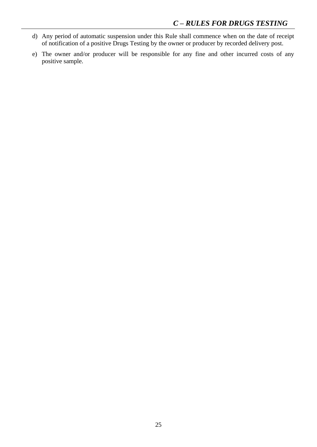- d) Any period of automatic suspension under this Rule shall commence when on the date of receipt of notification of a positive Drugs Testing by the owner or producer by recorded delivery post.
- e) The owner and/or producer will be responsible for any fine and other incurred costs of any positive sample.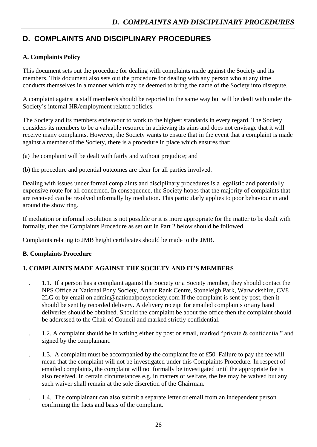# **D. COMPLAINTS AND DISCIPLINARY PROCEDURES**

# **A. Complaints Policy**

This document sets out the procedure for dealing with complaints made against the Society and its members. This document also sets out the procedure for dealing with any person who at any time conducts themselves in a manner which may be deemed to bring the name of the Society into disrepute.

A complaint against a staff member/s should be reported in the same way but will be dealt with under the Society's internal HR/employment related policies.

The Society and its members endeavour to work to the highest standards in every regard. The Society considers its members to be a valuable resource in achieving its aims and does not envisage that it will receive many complaints. However, the Society wants to ensure that in the event that a complaint is made against a member of the Society, there is a procedure in place which ensures that:

(a) the complaint will be dealt with fairly and without prejudice; and

(b) the procedure and potential outcomes are clear for all parties involved.

Dealing with issues under formal complaints and disciplinary procedures is a legalistic and potentially expensive route for all concerned. In consequence, the Society hopes that the majority of complaints that are received can be resolved informally by mediation. This particularly applies to poor behaviour in and around the show ring.

If mediation or informal resolution is not possible or it is more appropriate for the matter to be dealt with formally, then the Complaints Procedure as set out in Part 2 below should be followed.

Complaints relating to JMB height certificates should be made to the JMB.

## **B. Complaints Procedure**

# **1. COMPLAINTS MADE AGAINST THE SOCIETY AND IT'S MEMBERS**

- . 1.1. If a person has a complaint against the Society or a Society member, they should contact the NPS Office at National Pony Society, Arthur Rank Centre, Stoneleigh Park, Warwickshire, CV8 2LG or by email on admin@nationalponysociety.com If the complaint is sent by post, then it should be sent by recorded delivery. A delivery receipt for emailed complaints or any hand deliveries should be obtained. Should the complaint be about the office then the complaint should be addressed to the Chair of Council and marked strictly confidential.
- . 1.2. A complaint should be in writing either by post or email, marked "private & confidential" and signed by the complainant.
- . 1.3. A complaint must be accompanied by the complaint fee of £50. Failure to pay the fee will mean that the complaint will not be investigated under this Complaints Procedure. In respect of emailed complaints, the complaint will not formally be investigated until the appropriate fee is also received. In certain circumstances e.g. in matters of welfare, the fee may be waived but any such waiver shall remain at the sole discretion of the Chairman**.**
- . 1.4. The complainant can also submit a separate letter or email from an independent person confirming the facts and basis of the complaint.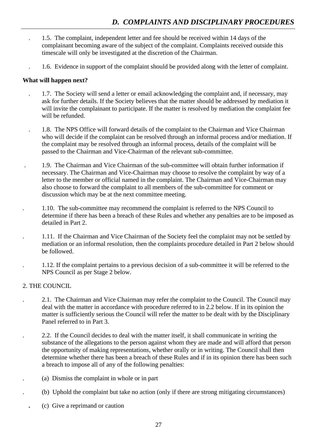- . 1.5. The complaint, independent letter and fee should be received within 14 days of the complainant becoming aware of the subject of the complaint. Complaints received outside this timescale will only be investigated at the discretion of the Chairman.
	- . 1.6. Evidence in support of the complaint should be provided along with the letter of complaint.

#### **What will happen next?**

- . 1.7. The Society will send a letter or email acknowledging the complaint and, if necessary, may ask for further details. If the Society believes that the matter should be addressed by mediation it will invite the complainant to participate. If the matter is resolved by mediation the complaint fee will be refunded.
- . 1.8. The NPS Office will forward details of the complaint to the Chairman and Vice Chairman who will decide if the complaint can be resolved through an informal process and/or mediation. If the complaint may be resolved through an informal process, details of the complaint will be passed to the Chairman and Vice-Chairman of the relevant sub-committee.
- . 1.9. The Chairman and Vice Chairman of the sub-committee will obtain further information if necessary. The Chairman and Vice-Chairman may choose to resolve the complaint by way of a letter to the member or official named in the complaint. The Chairman and Vice-Chairman may also choose to forward the complaint to all members of the sub-committee for comment or discussion which may be at the next committee meeting.
- . 1.10. The sub-committee may recommend the complaint is referred to the NPS Council to determine if there has been a breach of these Rules and whether any penalties are to be imposed as detailed in Part 2.
- . 1.11. If the Chairman and Vice Chairman of the Society feel the complaint may not be settled by mediation or an informal resolution, then the complaints procedure detailed in Part 2 below should be followed.
- . 1.12. If the complaint pertains to a previous decision of a sub-committee it will be referred to the NPS Council as per Stage 2 below.

#### 2. THE COUNCIL

- . 2.1. The Chairman and Vice Chairman may refer the complaint to the Council. The Council may deal with the matter in accordance with procedure referred to in 2.2 below. If in its opinion the matter is sufficiently serious the Council will refer the matter to be dealt with by the Disciplinary Panel referred to in Part 3.
- . 2.2. If the Council decides to deal with the matter itself, it shall communicate in writing the substance of the allegations to the person against whom they are made and will afford that person the opportunity of making representations, whether orally or in writing. The Council shall then determine whether there has been a breach of these Rules and if in its opinion there has been such a breach to impose all of any of the following penalties:
- . (a) Dismiss the complaint in whole or in part
- . (b) Uphold the complaint but take no action (only if there are strong mitigating circumstances)
- **.** (c) Give a reprimand or caution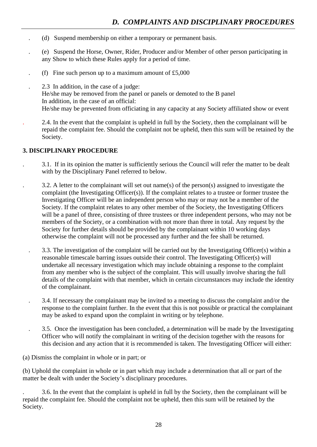- . (d) Suspend membership on either a temporary or permanent basis.
- . (e) Suspend the Horse, Owner, Rider, Producer and/or Member of other person participating in any Show to which these Rules apply for a period of time.
- (f) Fine such person up to a maximum amount of  $£5,000$
- . 2.3 In addition, in the case of a judge: He/she may be removed from the panel or panels or demoted to the B panel In addition, in the case of an official: He/she may be prevented from officiating in any capacity at any Society affiliated show or event
- . 2.4. In the event that the complaint is upheld in full by the Society, then the complainant will be repaid the complaint fee. Should the complaint not be upheld, then this sum will be retained by the Society.

#### **3. DISCIPLINARY PROCEDURE**

- . 3.1. If in its opinion the matter is sufficiently serious the Council will refer the matter to be dealt with by the Disciplinary Panel referred to below.
- . 3.2. A letter to the complainant will set out name(s) of the person(s) assigned to investigate the complaint (the Investigating Officer(s)). If the complaint relates to a trustee or former trustee the Investigating Officer will be an independent person who may or may not be a member of the Society. If the complaint relates to any other member of the Society, the Investigating Officers will be a panel of three, consisting of three trustees or three independent persons, who may not be members of the Society, or a combination with not more than three in total. Any request by the Society for further details should be provided by the complainant within 10 working days otherwise the complaint will not be processed any further and the fee shall be returned.
- . 3.3. The investigation of the complaint will be carried out by the Investigating Officer(s) within a reasonable timescale barring issues outside their control. The Investigating Officer(s) will undertake all necessary investigation which may include obtaining a response to the complaint from any member who is the subject of the complaint. This will usually involve sharing the full details of the complaint with that member, which in certain circumstances may include the identity of the complainant.
- . 3.4. If necessary the complainant may be invited to a meeting to discuss the complaint and/or the response to the complaint further. In the event that this is not possible or practical the complainant may be asked to expand upon the complaint in writing or by telephone.
- . 3.5. Once the investigation has been concluded, a determination will be made by the Investigating Officer who will notify the complainant in writing of the decision together with the reasons for this decision and any action that it is recommended is taken. The Investigating Officer will either:

(a) Dismiss the complaint in whole or in part; or

(b) Uphold the complaint in whole or in part which may include a determination that all or part of the matter be dealt with under the Society's disciplinary procedures.

. 3.6. In the event that the complaint is upheld in full by the Society, then the complainant will be repaid the complaint fee. Should the complaint not be upheld, then this sum will be retained by the Society.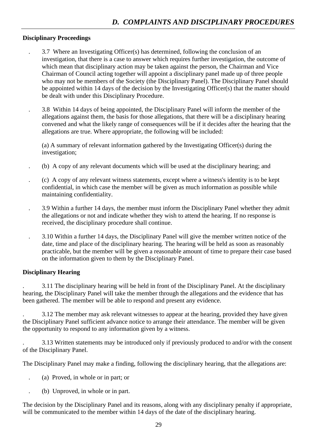#### **Disciplinary Proceedings**

- . 3.7 Where an Investigating Officer(s) has determined, following the conclusion of an investigation, that there is a case to answer which requires further investigation, the outcome of which mean that disciplinary action may be taken against the person, the Chairman and Vice Chairman of Council acting together will appoint a disciplinary panel made up of three people who may not be members of the Society (the Disciplinary Panel). The Disciplinary Panel should be appointed within 14 days of the decision by the Investigating Officer(s) that the matter should be dealt with under this Disciplinary Procedure.
- . 3.8 Within 14 days of being appointed, the Disciplinary Panel will inform the member of the allegations against them, the basis for those allegations, that there will be a disciplinary hearing convened and what the likely range of consequences will be if it decides after the hearing that the allegations are true. Where appropriate, the following will be included:

(a) A summary of relevant information gathered by the Investigating Officer(s) during the investigation;

- . (b) A copy of any relevant documents which will be used at the disciplinary hearing; and
- . (c) A copy of any relevant witness statements, except where a witness's identity is to be kept confidential, in which case the member will be given as much information as possible while maintaining confidentiality.
- . 3.9 Within a further 14 days, the member must inform the Disciplinary Panel whether they admit the allegations or not and indicate whether they wish to attend the hearing. If no response is received, the disciplinary procedure shall continue.
- . 3.10 Within a further 14 days, the Disciplinary Panel will give the member written notice of the date, time and place of the disciplinary hearing. The hearing will be held as soon as reasonably practicable, but the member will be given a reasonable amount of time to prepare their case based on the information given to them by the Disciplinary Panel.

#### **Disciplinary Hearing**

. 3.11 The disciplinary hearing will be held in front of the Disciplinary Panel. At the disciplinary hearing, the Disciplinary Panel will take the member through the allegations and the evidence that has been gathered. The member will be able to respond and present any evidence.

. 3.12 The member may ask relevant witnesses to appear at the hearing, provided they have given the Disciplinary Panel sufficient advance notice to arrange their attendance. The member will be given the opportunity to respond to any information given by a witness.

. 3.13 Written statements may be introduced only if previously produced to and/or with the consent of the Disciplinary Panel.

The Disciplinary Panel may make a finding, following the disciplinary hearing, that the allegations are:

- . (a) Proved, in whole or in part; or
- . (b) Unproved, in whole or in part.

The decision by the Disciplinary Panel and its reasons, along with any disciplinary penalty if appropriate, will be communicated to the member within 14 days of the date of the disciplinary hearing.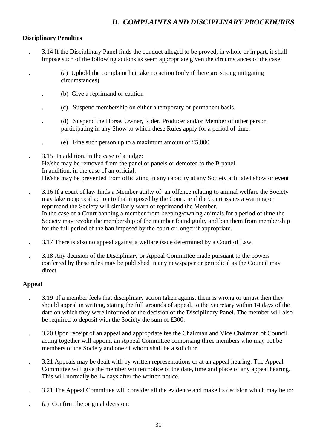### **Disciplinary Penalties**

- . 3.14 If the Disciplinary Panel finds the conduct alleged to be proved, in whole or in part, it shall impose such of the following actions as seem appropriate given the circumstances of the case:
	- . (a) Uphold the complaint but take no action (only if there are strong mitigating circumstances)
	- . (b) Give a reprimand or caution
	- . (c) Suspend membership on either a temporary or permanent basis.
	- . (d) Suspend the Horse, Owner, Rider, Producer and/or Member of other person participating in any Show to which these Rules apply for a period of time.
		- (e) Fine such person up to a maximum amount of  $£5,000$
- . 3.15 In addition, in the case of a judge: He/she may be removed from the panel or panels or demoted to the B panel In addition, in the case of an official: He/she may be prevented from officiating in any capacity at any Society affiliated show or event
- . 3.16 If a court of law finds a Member guilty of an offence relating to animal welfare the Society may take reciprocal action to that imposed by the Court. ie if the Court issues a warning or reprimand the Society will similarly warn or reprimand the Member. In the case of a Court banning a member from keeping/owning animals for a period of time the Society may revoke the membership of the member found guilty and ban them from membership for the full period of the ban imposed by the court or longer if appropriate.
- . 3.17 There is also no appeal against a welfare issue determined by a Court of Law.
- . 3.18 Any decision of the Disciplinary or Appeal Committee made pursuant to the powers conferred by these rules may be published in any newspaper or periodical as the Council may direct

#### **Appeal**

- . 3.19 If a member feels that disciplinary action taken against them is wrong or unjust then they should appeal in writing, stating the full grounds of appeal, to the Secretary within 14 days of the date on which they were informed of the decision of the Disciplinary Panel. The member will also be required to deposit with the Society the sum of £300.
- . 3.20 Upon receipt of an appeal and appropriate fee the Chairman and Vice Chairman of Council acting together will appoint an Appeal Committee comprising three members who may not be members of the Society and one of whom shall be a solicitor.
- . 3.21 Appeals may be dealt with by written representations or at an appeal hearing. The Appeal Committee will give the member written notice of the date, time and place of any appeal hearing. This will normally be 14 days after the written notice.
- . 3.21 The Appeal Committee will consider all the evidence and make its decision which may be to:
- . (a) Confirm the original decision;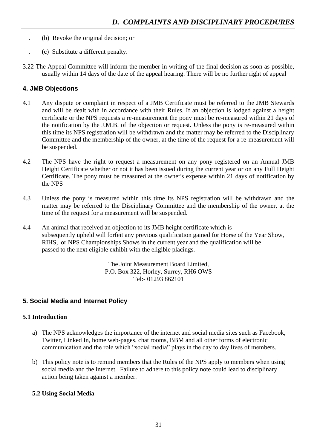- . (b) Revoke the original decision; or
- . (c) Substitute a different penalty.
- 3.22 The Appeal Committee will inform the member in writing of the final decision as soon as possible, usually within 14 days of the date of the appeal hearing. There will be no further right of appeal

# **4. JMB Objections**

- 4.1 Any dispute or complaint in respect of a JMB Certificate must be referred to the JMB Stewards and will be dealt with in accordance with their Rules. If an objection is lodged against a height certificate or the NPS requests a re-measurement the pony must be re-measured within 21 days of the notification by the J.M.B. of the objection or request. Unless the pony is re-measured within this time its NPS registration will be withdrawn and the matter may be referred to the Disciplinary Committee and the membership of the owner, at the time of the request for a re-measurement will be suspended.
- 4.2 The NPS have the right to request a measurement on any pony registered on an Annual JMB Height Certificate whether or not it has been issued during the current year or on any Full Height Certificate. The pony must be measured at the owner's expense within 21 days of notification by the NPS
- 4.3 Unless the pony is measured within this time its NPS registration will be withdrawn and the matter may be referred to the Disciplinary Committee and the membership of the owner, at the time of the request for a measurement will be suspended.
- 4.4 An animal that received an objection to its JMB height certificate which is subsequently upheld will forfeit any previous qualification gained for Horse of the Year Show, RIHS, or NPS Championships Shows in the current year and the qualification will be passed to the next eligible exhibit with the eligible placings.

The Joint Measurement Board Limited, P.O. Box 322, Horley, Surrey, RH6 OWS Tel:- 01293 862101

# **5. Social Media and Internet Policy**

## **5.1 Introduction**

- a) The NPS acknowledges the importance of the internet and social media sites such as Facebook, Twitter, Linked In, home web-pages, chat rooms, BBM and all other forms of electronic communication and the role which "social media" plays in the day to day lives of members.
- b) This policy note is to remind members that the Rules of the NPS apply to members when using social media and the internet. Failure to adhere to this policy note could lead to disciplinary action being taken against a member.

## **5.2 Using Social Media**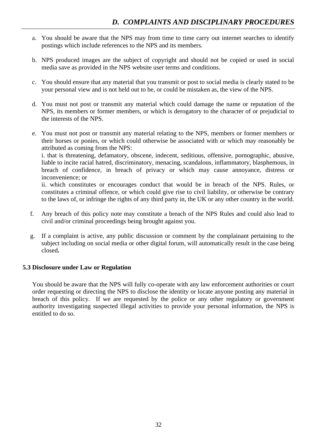- a. You should be aware that the NPS may from time to time carry out internet searches to identify postings which include references to the NPS and its members.
- b. NPS produced images are the subject of copyright and should not be copied or used in social media save as provided in the NPS website user terms and conditions.
- c. You should ensure that any material that you transmit or post to social media is clearly stated to be your personal view and is not held out to be, or could be mistaken as, the view of the NPS.
- d. You must not post or transmit any material which could damage the name or reputation of the NPS, its members or former members, or which is derogatory to the character of or prejudicial to the interests of the NPS.
- e. You must not post or transmit any material relating to the NPS, members or former members or their horses or ponies, or which could otherwise be associated with or which may reasonably be attributed as coming from the NPS:

i. that is threatening, defamatory, obscene, indecent, seditious, offensive, pornographic, abusive, liable to incite racial hatred, discriminatory, menacing, scandalous, inflammatory, blasphemous, in breach of confidence, in breach of privacy or which may cause annoyance, distress or inconvenience; or

ii. which constitutes or encourages conduct that would be in breach of the NPS. Rules, or constitutes a criminal offence, or which could give rise to civil liability, or otherwise be contrary to the laws of, or infringe the rights of any third party in, the UK or any other country in the world.

- f. Any breach of this policy note may constitute a breach of the NPS Rules and could also lead to civil and/or criminal proceedings being brought against you.
- g. If a complaint is active, any public discussion or comment by the complainant pertaining to the subject including on social media or other digital forum, will automatically result in the case being closed**.**

#### **5.3 Disclosure under Law or Regulation**

You should be aware that the NPS will fully co-operate with any law enforcement authorities or court order requesting or directing the NPS to disclose the identity or locate anyone posting any material in breach of this policy. If we are requested by the police or any other regulatory or government authority investigating suspected illegal activities to provide your personal information, the NPS is entitled to do so.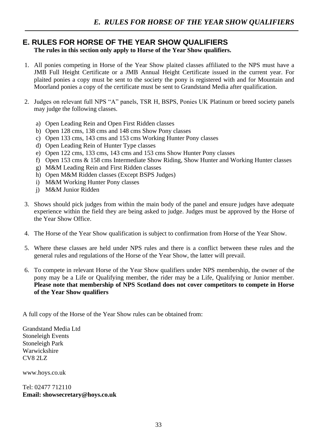# **E. RULES FOR HORSE OF THE YEAR SHOW QUALIFIERS**

**The rules in this section only apply to Horse of the Year Show qualifiers.**

- 1. All ponies competing in Horse of the Year Show plaited classes affiliated to the NPS must have a JMB Full Height Certificate or a JMB Annual Height Certificate issued in the current year. For plaited ponies a copy must be sent to the society the pony is registered with and for Mountain and Moorland ponies a copy of the certificate must be sent to Grandstand Media after qualification.
- 2. Judges on relevant full NPS "A" panels, TSR H, BSPS, Ponies UK Platinum or breed society panels may judge the following classes.
	- a) Open Leading Rein and Open First Ridden classes
	- b) Open 128 cms, 138 cms and 148 cms Show Pony classes
	- c) Open 133 cms, 143 cms and 153 cms Working Hunter Pony classes
	- d) Open Leading Rein of Hunter Type classes
	- e) Open 122 cms, 133 cms, 143 cms and 153 cms Show Hunter Pony classes
	- f) Open 153 cms & 158 cms Intermediate Show Riding, Show Hunter and Working Hunter classes
	- g) M&M Leading Rein and First Ridden classes
	- h) Open M&M Ridden classes (Except BSPS Judges)
	- i) M&M Working Hunter Pony classes
	- j) M&M Junior Ridden
- 3. Shows should pick judges from within the main body of the panel and ensure judges have adequate experience within the field they are being asked to judge. Judges must be approved by the Horse of the Year Show Office.
- 4. The Horse of the Year Show qualification is subject to confirmation from Horse of the Year Show.
- 5. Where these classes are held under NPS rules and there is a conflict between these rules and the general rules and regulations of the Horse of the Year Show, the latter will prevail.
- 6. To compete in relevant Horse of the Year Show qualifiers under NPS membership, the owner of the pony may be a Life or Qualifying member, the rider may be a Life, Qualifying or Junior member. **Please note that membership of NPS Scotland does not cover competitors to compete in Horse of the Year Show qualifiers**

A full copy of the Horse of the Year Show rules can be obtained from:

Grandstand Media Ltd Stoneleigh Events Stoneleigh Park Warwickshire CV8 2LZ

[www.hoys.co.uk](http://www.hoys.co.uk/)

Tel: 02477 712110 **Email: showsecretary@hoys.co.uk**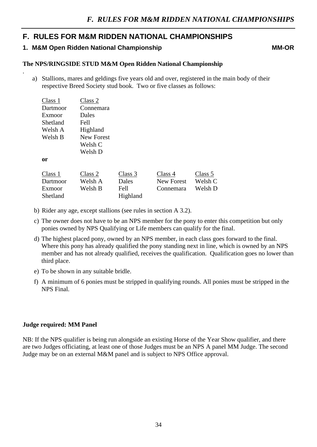# **F. RULES FOR M&M RIDDEN NATIONAL CHAMPIONSHIPS**

## **1. M&M Open Ridden National Championship MM-OR**

.

#### **The NPS/RINGSIDE STUD M&M Open Ridden National Championship**

a) Stallions, mares and geldings five years old and over, registered in the main body of their respective Breed Society stud book. Two or five classes as follows:

| Class 1  | Class 2    |          |                   |         |
|----------|------------|----------|-------------------|---------|
| Dartmoor | Connemara  |          |                   |         |
| Exmoor   | Dales      |          |                   |         |
| Shetland | Fell       |          |                   |         |
| Welsh A  | Highland   |          |                   |         |
| Welsh B  | New Forest |          |                   |         |
|          | Welsh C    |          |                   |         |
|          | Welsh D    |          |                   |         |
| 0r       |            |          |                   |         |
|          |            |          |                   |         |
| Class 1  | Class 2    | Class 3  | Class 4           | Class 5 |
| Dartmoor | Welsh A    | Dales    | <b>New Forest</b> | Welsh C |
| Exmoor   | Welsh B    | Fell     | Connemara         | Welsh D |
| Shetland |            | Highland |                   |         |

- b) Rider any age, except stallions (see rules in section A 3.2).
- c) The owner does not have to be an NPS member for the pony to enter this competition but only ponies owned by NPS Qualifying or Life members can qualify for the final.
- d) The highest placed pony, owned by an NPS member, in each class goes forward to the final. Where this pony has already qualified the pony standing next in line, which is owned by an NPS member and has not already qualified, receives the qualification. Qualification goes no lower than third place.
- e) To be shown in any suitable bridle.
- f) A minimum of 6 ponies must be stripped in qualifying rounds. All ponies must be stripped in the NPS Final.

#### **Judge required: MM Panel**

NB: If the NPS qualifier is being run alongside an existing Horse of the Year Show qualifier, and there are two Judges officiating, at least one of those Judges must be an NPS A panel MM Judge. The second Judge may be on an external M&M panel and is subject to NPS Office approval.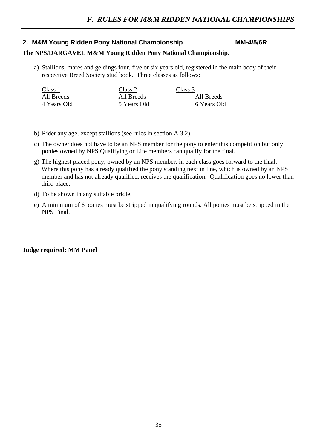# **2. M&M Young Ridden Pony National Championship MM-4/5/6R**

## **The NPS/DARGAVEL M&M Young Ridden Pony National Championship.**

a) Stallions, mares and geldings four, five or six years old, registered in the main body of their respective Breed Society stud book. Three classes as follows:

| Class 1     | Class 2     | Class 3     |
|-------------|-------------|-------------|
| All Breeds  | All Breeds  | All Breeds  |
| 4 Years Old | 5 Years Old | 6 Years Old |

- b) Rider any age, except stallions (see rules in section A 3.2).
- c) The owner does not have to be an NPS member for the pony to enter this competition but only ponies owned by NPS Qualifying or Life members can qualify for the final.
- g) The highest placed pony, owned by an NPS member, in each class goes forward to the final. Where this pony has already qualified the pony standing next in line, which is owned by an NPS member and has not already qualified, receives the qualification. Qualification goes no lower than third place.
- d) To be shown in any suitable bridle.
- e) A minimum of 6 ponies must be stripped in qualifying rounds. All ponies must be stripped in the NPS Final.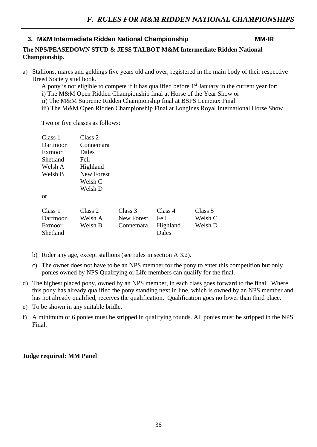# **3. M&M Intermediate Ridden National Championship MM-IR**

# **The NPS/PEASEDOWN STUD & JESS TALBOT M&M Intermediate Ridden National Championship.**

a) Stallions, mares and geldings five years old and over, registered in the main body of their respective Breed Society stud book.

A pony is not eligible to compete if it has qualified before  $1<sup>st</sup>$  January in the current year for:

- i) The M&M Open Ridden Championship final at Horse of the Year Show or
- ii) The M&M Supreme Ridden Championship final at BSPS Lemeiux Final.
- iii) The M&M Open Ridden Championship Final at Longines Royal International Horse Show

Two or five classes as follows:

| Class 1  | Class 2           |
|----------|-------------------|
| Dartmoor | Connemara         |
| Exmoor   | Dales             |
| Shetland | <b>Fell</b>       |
| Welsh A  | Highland          |
| Welsh B  | <b>New Forest</b> |
|          | Welsh C           |
|          | Welsh D           |

or

| Class 1  | Class 2 | Class 3    | Class 4  | Class 5 |
|----------|---------|------------|----------|---------|
| Dartmoor | Welsh A | New Forest | Fell     | Welsh C |
| Exmoor   | Welsh B | Connemara  | Highland | Welsh D |
| Shetland |         |            | Dales    |         |

- b) Rider any age, except stallions (see rules in section A 3.2).
- c) The owner does not have to be an NPS member for the pony to enter this competition but only ponies owned by NPS Qualifying or Life members can qualify for the final.
- d) The highest placed pony, owned by an NPS member, in each class goes forward to the final. Where this pony has already qualified the pony standing next in line, which is owned by an NPS member and has not already qualified, receives the qualification. Qualification goes no lower than third place.
- e) To be shown in any suitable bridle.
- f) A minimum of 6 ponies must be stripped in qualifying rounds. All ponies must be stripped in the NPS Final.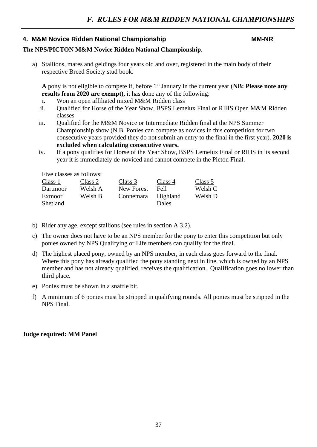# **4. M&M Novice Ridden National Championship MM-NR**

# **The NPS/PICTON M&M Novice Ridden National Championship.**

a) Stallions, mares and geldings four years old and over, registered in the main body of their respective Breed Society stud book.

**A** pony is not eligible to compete if, before 1st January in the current year (**NB: Please note any results from 2020 are exempt),** it has done any of the following:

- i. Won an open affiliated mixed M&M Ridden class
- ii. Qualified for Horse of the Year Show, BSPS Lemeiux Final or RIHS Open M&M Ridden classes
- iii. Qualified for the M&M Novice or Intermediate Ridden final at the NPS Summer Championship show (N.B. Ponies can compete as novices in this competition for two consecutive years provided they do not submit an entry to the final in the first year). **2020 is excluded when calculating consecutive years.**
- iv. If a pony qualifies for Horse of the Year Show, BSPS Lemeiux Final or RIHS in its second year it is immediately de-noviced and cannot compete in the Picton Final.

| Five classes as follows: |         |            |                   |         |
|--------------------------|---------|------------|-------------------|---------|
| Class 1                  | Class 2 | Class 3    | Class 4           | Class 5 |
| Dartmoor                 | Welsh A | New Forest | <b>Fell</b>       | Welsh C |
| Exmoor<br>Shetland       | Welsh B | Connemara  | Highland<br>Dales | Welsh D |

- b) Rider any age, except stallions (see rules in section A 3.2).
- c) The owner does not have to be an NPS member for the pony to enter this competition but only ponies owned by NPS Qualifying or Life members can qualify for the final.
- d) The highest placed pony, owned by an NPS member, in each class goes forward to the final. Where this pony has already qualified the pony standing next in line, which is owned by an NPS member and has not already qualified, receives the qualification. Qualification goes no lower than third place.
- e) Ponies must be shown in a snaffle bit.
- f) A minimum of 6 ponies must be stripped in qualifying rounds. All ponies must be stripped in the NPS Final.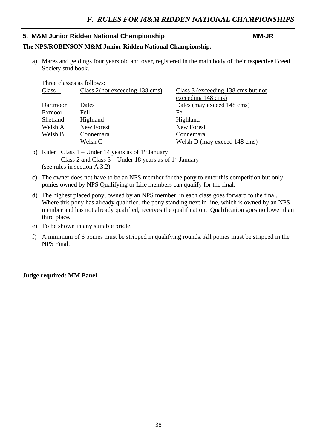# **5. M&M Junior Ridden National Championship MM-JR**

## **The NPS/ROBINSON M&M Junior Ridden National Championship.**

a) Mares and geldings four years old and over, registered in the main body of their respective Breed Society stud book.

| Three classes as follows: |                                   |                                    |
|---------------------------|-----------------------------------|------------------------------------|
| Class 1                   | Class $2$ (not exceeding 138 cms) | Class 3 (exceeding 138 cms but not |
|                           |                                   | exceeding 148 cms)                 |
| Dartmoor                  | <b>Dales</b>                      | Dales (may exceed 148 cms)         |
| Exmoor                    | Fell                              | Fell                               |
| <b>Shetland</b>           | Highland                          | Highland                           |
| Welsh A                   | <b>New Forest</b>                 | <b>New Forest</b>                  |
| Welsh B                   | Connemara                         | Connemara                          |
|                           | Welsh C                           | Welsh D (may exceed 148 cms)       |
|                           |                                   |                                    |

- b) Rider Class  $1 -$ Under 14 years as of  $1<sup>st</sup>$  January Class 2 and Class  $3$  – Under 18 years as of 1<sup>st</sup> January (see rules in section A 3.2)
- c) The owner does not have to be an NPS member for the pony to enter this competition but only ponies owned by NPS Qualifying or Life members can qualify for the final.
- d) The highest placed pony, owned by an NPS member, in each class goes forward to the final. Where this pony has already qualified, the pony standing next in line, which is owned by an NPS member and has not already qualified, receives the qualification. Qualification goes no lower than third place.
- e) To be shown in any suitable bridle.
- f) A minimum of 6 ponies must be stripped in qualifying rounds. All ponies must be stripped in the NPS Final.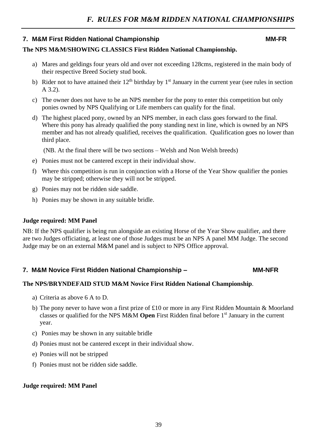# **7. M&M First Ridden National Championship MM-FR**

# **The NPS M&M/SHOWING CLASSICS First Ridden National Championship.**

- a) Mares and geldings four years old and over not exceeding 128cms, registered in the main body of their respective Breed Society stud book.
- b) Rider not to have attained their  $12<sup>th</sup>$  birthday by  $1<sup>st</sup>$  January in the current year (see rules in section A 3.2).
- c) The owner does not have to be an NPS member for the pony to enter this competition but only ponies owned by NPS Qualifying or Life members can qualify for the final.
- d) The highest placed pony, owned by an NPS member, in each class goes forward to the final. Where this pony has already qualified the pony standing next in line, which is owned by an NPS member and has not already qualified, receives the qualification. Qualification goes no lower than third place.

(NB. At the final there will be two sections – Welsh and Non Welsh breeds)

- e) Ponies must not be cantered except in their individual show.
- f) Where this competition is run in conjunction with a Horse of the Year Show qualifier the ponies may be stripped; otherwise they will not be stripped.
- g) Ponies may not be ridden side saddle.
- h) Ponies may be shown in any suitable bridle.

#### **Judge required: MM Panel**

NB: If the NPS qualifier is being run alongside an existing Horse of the Year Show qualifier, and there are two Judges officiating, at least one of those Judges must be an NPS A panel MM Judge. The second Judge may be on an external M&M panel and is subject to NPS Office approval.

# **7. M&M Novice First Ridden National Championship – The MM-NFR**

### **The NPS/BRYNDEFAID STUD M&M Novice First Ridden National Championship**.

- a) Criteria as above 6 A to D.
- b) The pony never to have won a first prize of £10 or more in any First Ridden Mountain & Moorland classes or qualified for the NPS M&M **Open** First Ridden final before 1st January in the current year.
- c) Ponies may be shown in any suitable bridle
- d) Ponies must not be cantered except in their individual show.
- e) Ponies will not be stripped
- f) Ponies must not be ridden side saddle.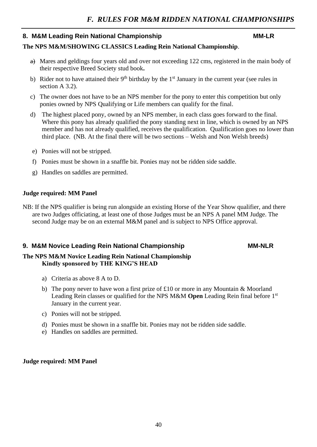# 8. M&M Leading Rein National Championship MM-LR

# **The NPS M&M/SHOWING CLASSICS Leading Rein National Championship**.

- a) Mares and geldings four years old and over not exceeding 122 cms, registered in the main body of their respective Breed Society stud book**.**
- b) Rider not to have attained their  $9<sup>th</sup>$  birthday by the  $1<sup>st</sup>$  January in the current year (see rules in section A 3.2).
- c) The owner does not have to be an NPS member for the pony to enter this competition but only ponies owned by NPS Qualifying or Life members can qualify for the final.
- d) The highest placed pony, owned by an NPS member, in each class goes forward to the final. Where this pony has already qualified the pony standing next in line, which is owned by an NPS member and has not already qualified, receives the qualification. Qualification goes no lower than third place. (NB. At the final there will be two sections – Welsh and Non Welsh breeds)
- e) Ponies will not be stripped.
- f) Ponies must be shown in a snaffle bit. Ponies may not be ridden side saddle.
- g) Handles on saddles are permitted.

# **Judge required: MM Panel**

NB: If the NPS qualifier is being run alongside an existing Horse of the Year Show qualifier, and there are two Judges officiating, at least one of those Judges must be an NPS A panel MM Judge. The second Judge may be on an external M&M panel and is subject to NPS Office approval.

# **9. M&M Novice Leading Rein National Championship MM-NUR**

# **The NPS M&M Novice Leading Rein National Championship Kindly sponsored by THE KING'S HEAD**

- a) Criteria as above 8 A to D.
- b) The pony never to have won a first prize of £10 or more in any Mountain & Moorland Leading Rein classes or qualified for the NPS M&M **Open** Leading Rein final before 1st January in the current year.
- c) Ponies will not be stripped.
- d) Ponies must be shown in a snaffle bit. Ponies may not be ridden side saddle.
- e) Handles on saddles are permitted.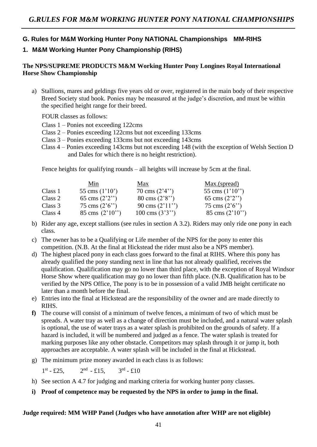# **G. Rules for M&M Working Hunter Pony NATIONAL Championships MM-RIHS 1. M&M Working Hunter Pony Championship (RIHS)**

# **The NPS/SUPREME PRODUCTS M&M Working Hunter Pony Longines Royal International Horse Show Championship**

a) Stallions, mares and geldings five years old or over, registered in the main body of their respective Breed Society stud book. Ponies may be measured at the judge's discretion, and must be within the specified height range for their breed.

FOUR classes as follows:

- Class 1 Ponies not exceeding 122cms
- Class 2 Ponies exceeding 122cms but not exceeding 133cms
- Class 3 Ponies exceeding 133cms but not exceeding 143cms
- Class 4 Ponies exceeding 143cms but not exceeding 148 (with the exception of Welsh Section D and Dales for which there is no height restriction).

Fence heights for qualifying rounds – all heights will increase by 5cm at the final.

| Min               | Max               | Max.(spread)              |
|-------------------|-------------------|---------------------------|
| 55 cms $(1'10')$  | 70 cms $(2'4'')$  | 55 cms $(1'10'')$         |
| 65 cms $(2'2'')$  | 80 cms $(2'8'')$  | 65 cms $(2'2'')$          |
| 75 cms $(2'6'')$  | 90 cms $(2'11'')$ | 75 cms $(2'6'')$          |
| 85 cms $(2'10'')$ | 100 cms $(3'3'')$ | $85 \text{ cms} (2'10'')$ |
|                   |                   |                           |

- b) Rider any age, except stallions (see rules in section A 3.2). Riders may only ride one pony in each class.
- c) The owner has to be a Qualifying or Life member of the NPS for the pony to enter this competition. (N.B. At the final at Hickstead the rider must also be a NPS member).
- d) The highest placed pony in each class goes forward to the final at RIHS. Where this pony has already qualified the pony standing next in line that has not already qualified, receives the qualification. Qualification may go no lower than third place, with the exception of Royal Windsor Horse Show where qualification may go no lower than fifth place. (N.B. Qualification has to be verified by the NPS Office, The pony is to be in possession of a valid JMB height certificate no later than a month before the final.
- e) Entries into the final at Hickstead are the responsibility of the owner and are made directly to RIHS.
- **f)** The course will consist of a minimum of twelve fences, a minimum of two of which must be spreads. A water tray as well as a change of direction must be included, and a natural water splash is optional, the use of water trays as a water splash is prohibited on the grounds of safety. If a hazard is included, it will be numbered and judged as a fence. The water splash is treated for marking purposes like any other obstacle. Competitors may splash through it or jump it, both approaches are acceptable. A water splash will be included in the final at Hickstead.
- g) The minimum prize money awarded in each class is as follows:

 $1^{\text{st}} - £25,$  2  $^{nd}$  - £15, 3  $\rm ^{rd}$  - £10

- h) See section A 4.7 for judging and marking criteria for working hunter pony classes.
- **i) Proof of competence may be requested by the NPS in order to jump in the final.**

#### **Judge required: MM WHP Panel (Judges who have annotation after WHP are not eligible)**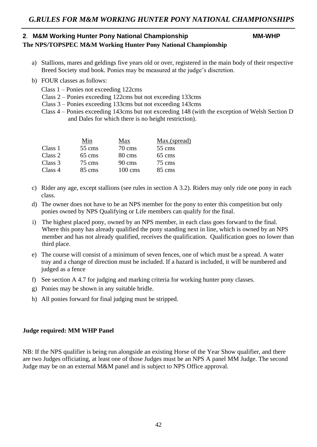# 2. M&M Working Hunter Pony National Championship MM-WHP **The NPS/TOPSPEC M&M Working Hunter Pony National Championship**

- a) Stallions, mares and geldings five years old or over, registered in the main body of their respective Breed Society stud book. Ponies may be measured at the judge's discretion.
- b) FOUR classes as follows:
	- Class 1 Ponies not exceeding 122cms
	- Class 2 Ponies exceeding 122cms but not exceeding 133cms
	- Class 3 Ponies exceeding 133cms but not exceeding 143cms
	- Class 4 Ponies exceeding 143cms but not exceeding 148 (with the exception of Welsh Section D and Dales for which there is no height restriction).

|         | Min    | Max                | Max.(spread) |
|---------|--------|--------------------|--------------|
| Class 1 | 55 cms | $70 \text{ cm}$ s  | 55 cms       |
| Class 2 | 65 cms | 80 cms             | 65 cms       |
| Class 3 | 75 cms | $90 \text{ cm}$ s  | 75 cms       |
| Class 4 | 85 cms | $100 \text{ cm}$ s | 85 cms       |

- c) Rider any age, except stallions (see rules in section A 3.2). Riders may only ride one pony in each class.
- d) The owner does not have to be an NPS member for the pony to enter this competition but only ponies owned by NPS Qualifying or Life members can qualify for the final.
- i) The highest placed pony, owned by an NPS member, in each class goes forward to the final. Where this pony has already qualified the pony standing next in line, which is owned by an NPS member and has not already qualified, receives the qualification. Qualification goes no lower than third place.
- e) The course will consist of a minimum of seven fences, one of which must be a spread. A water tray and a change of direction must be included. If a hazard is included, it will be numbered and judged as a fence
- f) See section A 4.7 for judging and marking criteria for working hunter pony classes.
- g) Ponies may be shown in any suitable bridle.
- h) All ponies forward for final judging must be stripped.

### **Judge required: MM WHP Panel**

NB: If the NPS qualifier is being run alongside an existing Horse of the Year Show qualifier, and there are two Judges officiating, at least one of those Judges must be an NPS A panel MM Judge. The second Judge may be on an external M&M panel and is subject to NPS Office approval.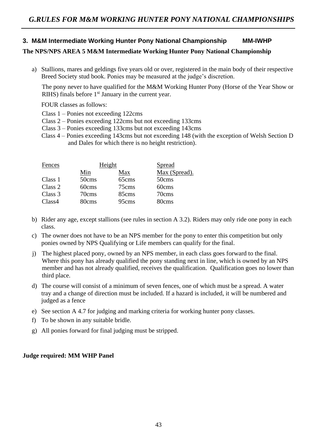# **3. M&M Intermediate Working Hunter Pony National Championship MM-IWHP The NPS/NPS AREA 5 M&M Intermediate Working Hunter Pony National Championship**

a) Stallions, mares and geldings five years old or over, registered in the main body of their respective Breed Society stud book. Ponies may be measured at the judge's discretion.

The pony never to have qualified for the M&M Working Hunter Pony (Horse of the Year Show or RIHS) finals before  $1<sup>st</sup>$  January in the current year.

FOUR classes as follows:

- Class 1 Ponies not exceeding 122cms
- Class 2 Ponies exceeding 122cms but not exceeding 133cms
- Class 3 Ponies exceeding 133cms but not exceeding 143cms
- Class 4 Ponies exceeding 143cms but not exceeding 148 (with the exception of Welsh Section D and Dales for which there is no height restriction).

| Fences  | Height |       | Spread        |
|---------|--------|-------|---------------|
|         | Min    | Max   | Max (Spread). |
| Class 1 | 50cms  | 65cms | 50cms         |
| Class 2 | 60cms  | 75cms | 60cms         |
| Class 3 | 70cms  | 85cms | 70cms         |
| Class4  | 80cms  | 95cms | 80cms         |

- b) Rider any age, except stallions (see rules in section A 3.2). Riders may only ride one pony in each class.
- c) The owner does not have to be an NPS member for the pony to enter this competition but only ponies owned by NPS Qualifying or Life members can qualify for the final.
- j) The highest placed pony, owned by an NPS member, in each class goes forward to the final. Where this pony has already qualified the pony standing next in line, which is owned by an NPS member and has not already qualified, receives the qualification. Qualification goes no lower than third place.
- d) The course will consist of a minimum of seven fences, one of which must be a spread. A water tray and a change of direction must be included. If a hazard is included, it will be numbered and judged as a fence
- e) See section A 4.7 for judging and marking criteria for working hunter pony classes.
- f) To be shown in any suitable bridle.
- g) All ponies forward for final judging must be stripped.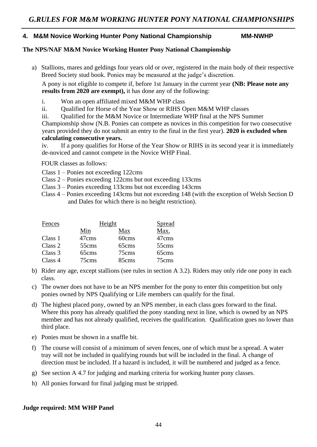#### **4. M&M Novice Working Hunter Pony National Championship MM-NWHP**

#### **The NPS/NAF M&M Novice Working Hunter Pony National Championship**

a) Stallions, mares and geldings four years old or over, registered in the main body of their respective Breed Society stud book. Ponies may be measured at the judge's discretion.

A pony is not eligible to compete if, before 1st January in the current year **(NB: Please note any results from 2020 are exempt),** it has done any of the following:

- i. Won an open affiliated mixed M&M WHP class
- ii. Qualified for Horse of the Year Show or RIHS Open M&M WHP classes
- iii. Qualified for the M&M Novice or Intermediate WHP final at the NPS Summer

Championship show (N.B. Ponies can compete as novices in this competition for two consecutive years provided they do not submit an entry to the final in the first year). **2020 is excluded when calculating consecutive years.**

iv. If a pony qualifies for Horse of the Year Show or RIHS in its second year it is immediately de-noviced and cannot compete in the Novice WHP Final.

FOUR classes as follows:

- Class 1 Ponies not exceeding 122cms
- Class 2 Ponies exceeding 122cms but not exceeding 133cms
- Class 3 Ponies exceeding 133cms but not exceeding 143cms
- Class 4 Ponies exceeding 143cms but not exceeding 148 (with the exception of Welsh Section D and Dales for which there is no height restriction).

| Fences  |       | Height | <b>Spread</b> |
|---------|-------|--------|---------------|
|         | Min   | Max    | Max.          |
| Class 1 | 47cms | 60cms  | 47cms         |
| Class 2 | 55cms | 65cms  | 55cms         |
| Class 3 | 65cms | 75cms  | 65cms         |
| Class 4 | 75cms | 85cms  | 75cms         |

- b) Rider any age, except stallions (see rules in section A 3.2). Riders may only ride one pony in each class.
- c) The owner does not have to be an NPS member for the pony to enter this competition but only ponies owned by NPS Qualifying or Life members can qualify for the final.
- d) The highest placed pony, owned by an NPS member, in each class goes forward to the final. Where this pony has already qualified the pony standing next in line, which is owned by an NPS member and has not already qualified, receives the qualification. Qualification goes no lower than third place.
- e) Ponies must be shown in a snaffle bit.
- f) The course will consist of a minimum of seven fences, one of which must be a spread. A water tray will not be included in qualifying rounds but will be included in the final. A change of direction must be included. If a hazard is included, it will be numbered and judged as a fence.
- g) See section A 4.7 for judging and marking criteria for working hunter pony classes.
- h) All ponies forward for final judging must be stripped.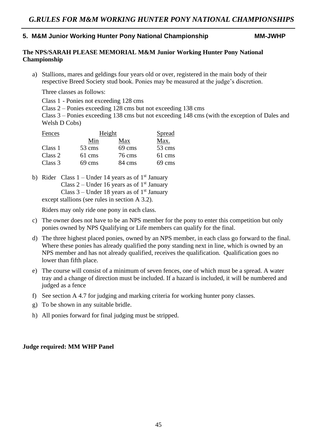## **5. M&M Junior Working Hunter Pony National Championship MM-JWHP**

# **The NPS/SARAH PLEASE MEMORIAL M&M Junior Working Hunter Pony National Championship**

a) Stallions, mares and geldings four years old or over, registered in the main body of their respective Breed Society stud book. Ponies may be measured at the judge's discretion.

Three classes as follows:

Class 1 - Ponies not exceeding 128 cms

Class 2 – Ponies exceeding 128 cms but not exceeding 138 cms

Class 3 – Ponies exceeding 138 cms but not exceeding 148 cms (with the exception of Dales and Welsh D Cobs)

| Fences  | Height |        | Spread |
|---------|--------|--------|--------|
|         | Min    | Max    | Max.   |
| Class 1 | 53 cms | 69 cms | 53 cms |
| Class 2 | 61 cms | 76 cms | 61 cms |
| Class 3 | 69 cms | 84 cms | 69 cms |

b) Rider Class  $1 -$ Under 14 years as of  $1<sup>st</sup>$  January Class  $2$  – Under 16 years as of 1<sup>st</sup> January Class  $3$  – Under 18 years as of 1<sup>st</sup> January except stallions (see rules in section A 3.2).

Riders may only ride one pony in each class.

- c) The owner does not have to be an NPS member for the pony to enter this competition but only ponies owned by NPS Qualifying or Life members can qualify for the final.
- d) The three highest placed ponies, owned by an NPS member, in each class go forward to the final. Where these ponies has already qualified the pony standing next in line, which is owned by an NPS member and has not already qualified, receives the qualification. Qualification goes no lower than fifth place.
- e) The course will consist of a minimum of seven fences, one of which must be a spread. A water tray and a change of direction must be included. If a hazard is included, it will be numbered and judged as a fence
- f) See section A 4.7 for judging and marking criteria for working hunter pony classes.
- g) To be shown in any suitable bridle.
- h) All ponies forward for final judging must be stripped.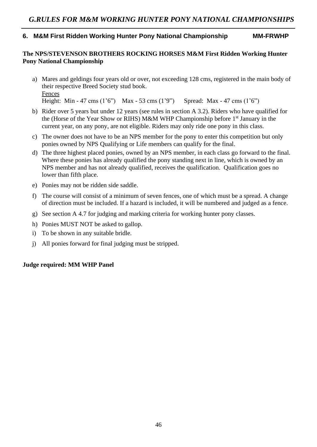# **6. M&M First Ridden Working Hunter Pony National Championship MM-FRWHP**

## **The NPS/STEVENSON BROTHERS ROCKING HORSES M&M First Ridden Working Hunter Pony National Championship**

- a) Mares and geldings four years old or over, not exceeding 128 cms, registered in the main body of their respective Breed Society stud book. Fences Height: Min - 47 cms (1'6") Max - 53 cms (1'9") Spread: Max - 47 cms (1'6")
- b) Rider over 5 years but under 12 years (see rules in section A 3.2). Riders who have qualified for the (Horse of the Year Show or RIHS) M&M WHP Championship before 1<sup>st</sup> January in the current year, on any pony, are not eligible. Riders may only ride one pony in this class.
- c) The owner does not have to be an NPS member for the pony to enter this competition but only ponies owned by NPS Qualifying or Life members can qualify for the final.
- d) The three highest placed ponies, owned by an NPS member, in each class go forward to the final. Where these ponies has already qualified the pony standing next in line, which is owned by an NPS member and has not already qualified, receives the qualification. Qualification goes no lower than fifth place.
- e) Ponies may not be ridden side saddle.
- f) The course will consist of a minimum of seven fences, one of which must be a spread. A change of direction must be included. If a hazard is included, it will be numbered and judged as a fence.
- g) See section A 4.7 for judging and marking criteria for working hunter pony classes.
- h) Ponies MUST NOT be asked to gallop.
- i) To be shown in any suitable bridle.
- j) All ponies forward for final judging must be stripped.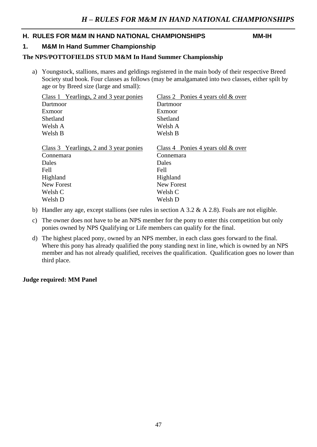# **H. RULES FOR M&M IN HAND NATIONAL CHAMPIONSHIPS MM-IH**

# **1. M&M In Hand Summer Championship**

## **The NPS/POTTOFIELDS STUD M&M In Hand Summer Championship**

a) Youngstock, stallions, mares and geldings registered in the main body of their respective Breed Society stud book. Four classes as follows (may be amalgamated into two classes, either spilt by age or by Breed size (large and small):

| Class 1 Yearlings, 2 and 3 year ponies | Class 2 Ponies 4 years old & over    |
|----------------------------------------|--------------------------------------|
| Dartmoor                               | Dartmoor                             |
| Exmoor                                 | Exmoor                               |
| Shetland                               | Shetland                             |
| Welsh A                                | Welsh A                              |
| Welsh B                                | Welsh B                              |
|                                        |                                      |
| Class 3 Yearlings, 2 and 3 year ponies | Class 4 Ponies 4 years old $\&$ over |
| Connemara                              | Connemara                            |
| <b>Dales</b>                           | Dales                                |
| Fell                                   | <b>Fell</b>                          |
| Highland                               | Highland                             |
| New Forest                             | <b>New Forest</b>                    |
| Welsh C                                | Welsh C                              |
| Welsh D                                | Welsh D                              |
|                                        |                                      |

- b) Handler any age, except stallions (see rules in section A 3.2 & A 2.8). Foals are not eligible.
- c) The owner does not have to be an NPS member for the pony to enter this competition but only ponies owned by NPS Qualifying or Life members can qualify for the final.
- d) The highest placed pony, owned by an NPS member, in each class goes forward to the final. Where this pony has already qualified the pony standing next in line, which is owned by an NPS member and has not already qualified, receives the qualification. Qualification goes no lower than third place.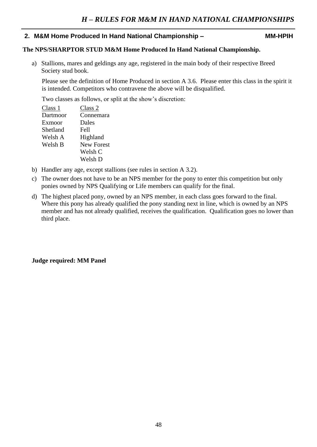## **2. M&M Home Produced In Hand National Championship – MM-HPIH**

### **The NPS/SHARPTOR STUD M&M Home Produced In Hand National Championship.**

a) Stallions, mares and geldings any age, registered in the main body of their respective Breed Society stud book.

Please see the definition of Home Produced in section A 3.6. Please enter this class in the spirit it is intended. Competitors who contravene the above will be disqualified.

Two classes as follows, or split at the show's discretion:

| Class 2           |
|-------------------|
| Connemara         |
| Dales             |
| <b>Fell</b>       |
| Highland          |
| <b>New Forest</b> |
| Welsh C           |
| Welsh D           |
|                   |

- b) Handler any age, except stallions (see rules in section A 3.2).
- c) The owner does not have to be an NPS member for the pony to enter this competition but only ponies owned by NPS Qualifying or Life members can qualify for the final.
- d) The highest placed pony, owned by an NPS member, in each class goes forward to the final. Where this pony has already qualified the pony standing next in line, which is owned by an NPS member and has not already qualified, receives the qualification. Qualification goes no lower than third place.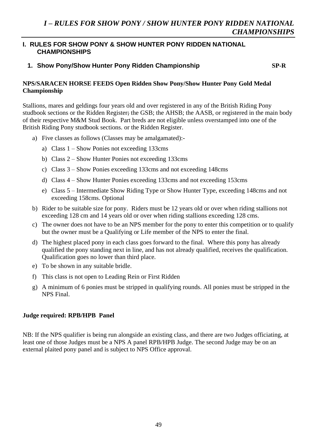# **I. RULES FOR SHOW PONY & SHOW HUNTER PONY RIDDEN NATIONAL CHAMPIONSHIPS**

# **1. Show Pony/Show Hunter Pony Ridden Championship** SP-R SP-R

## **NPS/SARACEN HORSE FEEDS Open Ridden Show Pony/Show Hunter Pony Gold Medal Championship**

Stallions, mares and geldings four years old and over registered in any of the British Riding Pony studbook sections or the Ridden Register; the GSB; the AHSB; the AASB, or registered in the main body of their respective M&M Stud Book. Part breds are not eligible unless overstamped into one of the British Riding Pony studbook sections. or the Ridden Register.

- a) Five classes as follows (Classes may be amalgamated):
	- a) Class 1 Show Ponies not exceeding 133cms
	- b) Class 2 Show Hunter Ponies not exceeding 133cms
	- c) Class 3 Show Ponies exceeding 133cms and not exceeding 148cms
	- d) Class 4 Show Hunter Ponies exceeding 133cms and not exceeding 153cms
	- e) Class 5 Intermediate Show Riding Type or Show Hunter Type, exceeding 148cms and not exceeding 158cms. Optional
- b) Rider to be suitable size for pony. Riders must be 12 years old or over when riding stallions not exceeding 128 cm and 14 years old or over when riding stallions exceeding 128 cms.
- c) The owner does not have to be an NPS member for the pony to enter this competition or to qualify but the owner must be a Qualifying or Life member of the NPS to enter the final.
- d) The highest placed pony in each class goes forward to the final. Where this pony has already qualified the pony standing next in line, and has not already qualified, receives the qualification. Qualification goes no lower than third place.
- e) To be shown in any suitable bridle.
- f) This class is not open to Leading Rein or First Ridden
- g) A minimum of 6 ponies must be stripped in qualifying rounds. All ponies must be stripped in the NPS Final.

### **Judge required: RPB/HPB Panel**

NB: If the NPS qualifier is being run alongside an existing class, and there are two Judges officiating, at least one of those Judges must be a NPS A panel RPB/HPB Judge. The second Judge may be on an external plaited pony panel and is subject to NPS Office approval.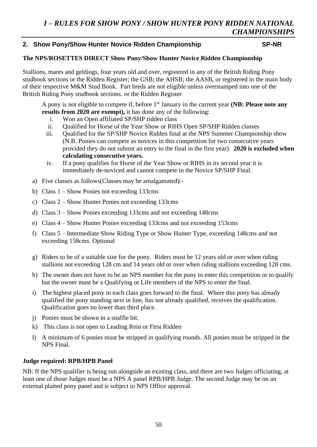# **2. Show Pony/Show Hunter Novice Ridden Championship SP-NR**

### **The NPS/ROSETTES DIRECT Show Pony/Show Hunter Novice Ridden Championship**

Stallions, mares and geldings, four years old and over, registered in any of the British Riding Pony studbook sections or the Ridden Register; the GSB; the AHSB; the AASB, or registered in the main body of their respective M&M Stud Book. Part breds are not eligible unless overstamped into one of the British Riding Pony studbook sections. or the Ridden Register

A pony is not eligible to compete if, before 1st January in the current year **(NB: Please note any results from 2020 are exempt),** it has done any of the following:

- i. Won an Open affiliated SP/SHP ridden class
- ii. Qualified for Horse of the Year Show or RIHS Open SP/SHP Ridden classes
- iii. Qualified for the SP/SHP Novice Ridden final at the NPS Summer Championship show (N.B. Ponies can compete as novices in this competition for two consecutive years provided they do not submit an entry to the final in the first year). **2020 is excluded when calculating consecutive years.**
- iv. If a pony qualifies for Horse of the Year Show or RIHS in its second year it is immediately de-noviced and cannot compete in the Novice SP/SHP Final.
- a) Five classes as follows(Classes may be amalgamated):-
- b) Class 1 Show Ponies not exceeding 133cms
- c) Class 2 Show Hunter Ponies not exceeding 133cms
- d) Class 3 Show Ponies exceeding 133cms and not exceeding 148cms
- e) Class 4 Show Hunter Ponies exceeding 133cms and not exceeding 153cms
- f) Class 5 Intermediate Show Riding Type or Show Hunter Type, exceeding 148cms and not exceeding 158cms. Optional
- g) Riders to be of a suitable size for the pony. Riders must be 12 years old or over when riding stallions not exceeding 128 cm and 14 years old or over when riding stallions exceeding 128 cms.
- h) The owner does not have to be an NPS member for the pony to enter this competition or to qualify but the owner must be a Qualifying or Life members of the NPS to enter the final.
- i) The highest placed pony in each class goes forward to the final. Where this pony has already qualified the pony standing next in line, has not already qualified, receives the qualification. Qualification goes no lower than third place.
- j) Ponies must be shown in a snaffle bit.
- k) This class is not open to Leading Rein or First Ridden
- l) A minimum of 6 ponies must be stripped in qualifying rounds. All ponies must be stripped in the NPS Final.

#### **Judge required: RPB/HPB Panel**

NB: If the NPS qualifier is being run alongside an existing class, and there are two Judges officiating, at least one of those Judges must be a NPS A panel RPB/HPB Judge. The second Judge may be on an external plaited pony panel and is subject to NPS Office approval.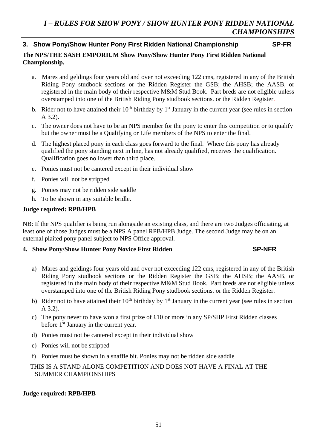# **3. Show Pony/Show Hunter Pony First Ridden National Championship SP-FR**

# **The NPS/THE SASH EMPORIUM Show Pony/Show Hunter Pony First Ridden National Championship.**

- a. Mares and geldings four years old and over not exceeding 122 cms, registered in any of the British Riding Pony studbook sections or the Ridden Register the GSB; the AHSB; the AASB, or registered in the main body of their respective M&M Stud Book. Part breds are not eligible unless overstamped into one of the British Riding Pony studbook sections. or the Ridden Register.
- b. Rider not to have attained their  $10<sup>th</sup>$  birthday by  $1<sup>st</sup>$  January in the current year (see rules in section A 3.2).
- c. The owner does not have to be an NPS member for the pony to enter this competition or to qualify but the owner must be a Qualifying or Life members of the NPS to enter the final.
- d. The highest placed pony in each class goes forward to the final. Where this pony has already qualified the pony standing next in line, has not already qualified, receives the qualification. Qualification goes no lower than third place.
- e. Ponies must not be cantered except in their individual show
- f. Ponies will not be stripped
- g. Ponies may not be ridden side saddle
- h. To be shown in any suitable bridle.

# **Judge required: RPB/HPB**

NB: If the NPS qualifier is being run alongside an existing class, and there are two Judges officiating, at least one of those Judges must be a NPS A panel RPB/HPB Judge. The second Judge may be on an external plaited pony panel subject to NPS Office approval.

# **4. Show Pony/Show Hunter Pony Novice First Ridden SP-NFR**

- a) Mares and geldings four years old and over not exceeding 122 cms, registered in any of the British Riding Pony studbook sections or the Ridden Register the GSB; the AHSB; the AASB, or registered in the main body of their respective M&M Stud Book. Part breds are not eligible unless overstamped into one of the British Riding Pony studbook sections. or the Ridden Register.
- b) Rider not to have attained their  $10<sup>th</sup>$  birthday by  $1<sup>st</sup>$  January in the current year (see rules in section A 3.2).
- c) The pony never to have won a first prize of  $\pounds 10$  or more in any SP/SHP First Ridden classes before 1st January in the current year.
- d) Ponies must not be cantered except in their individual show
- e) Ponies will not be stripped
- f) Ponies must be shown in a snaffle bit. Ponies may not be ridden side saddle

# THIS IS A STAND ALONE COMPETITION AND DOES NOT HAVE A FINAL AT THE SUMMER CHAMPIONSHIPS

# **Judge required: RPB/HPB**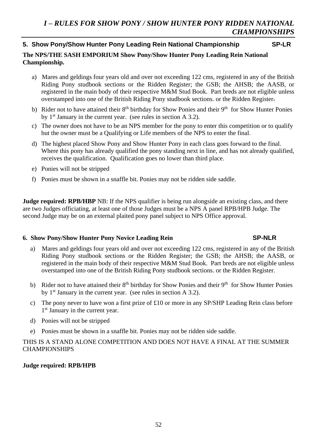# **5. Show Pony/Show Hunter Pony Leading Rein National Championship SP-LR**

# **The NPS/THE SASH EMPORIUM Show Pony/Show Hunter Pony Leading Rein National Championship.**

- a) Mares and geldings four years old and over not exceeding 122 cms, registered in any of the British Riding Pony studbook sections or the Ridden Register; the GSB; the AHSB; the AASB, or registered in the main body of their respective M&M Stud Book. Part breds are not eligible unless overstamped into one of the British Riding Pony studbook sections. or the Ridden Register.
- b) Rider not to have attained their 8<sup>th</sup> birthday for Show Ponies and their 9<sup>th</sup> for Show Hunter Ponies by  $1<sup>st</sup>$  January in the current year. (see rules in section A 3.2).
- c) The owner does not have to be an NPS member for the pony to enter this competition or to qualify but the owner must be a Qualifying or Life members of the NPS to enter the final.
- d) The highest placed Show Pony and Show Hunter Pony in each class goes forward to the final. Where this pony has already qualified the pony standing next in line, and has not already qualified, receives the qualification. Qualification goes no lower than third place.
- e) Ponies will not be stripped
- f) Ponies must be shown in a snaffle bit. Ponies may not be ridden side saddle.

**Judge required: RPB/HBP** NB: If the NPS qualifier is being run alongside an existing class, and there are two Judges officiating, at least one of those Judges must be a NPS A panel RPB/HPB Judge. The second Judge may be on an external plaited pony panel subject to NPS Office approval.

### **6. Show Pony/Show Hunter Pony Novice Leading Rein SP-NLR**

- a) Mares and geldings four years old and over not exceeding 122 cms, registered in any of the British Riding Pony studbook sections or the Ridden Register; the GSB; the AHSB; the AASB, or registered in the main body of their respective M&M Stud Book. Part breds are not eligible unless overstamped into one of the British Riding Pony studbook sections. or the Ridden Register.
- b) Rider not to have attained their 8<sup>th</sup> birthday for Show Ponies and their 9<sup>th</sup> for Show Hunter Ponies by  $1<sup>st</sup>$  January in the current year. (see rules in section A 3.2).
- c) The pony never to have won a first prize of £10 or more in any SP/SHP Leading Rein class before 1 st January in the current year.
- d) Ponies will not be stripped
- e) Ponies must be shown in a snaffle bit. Ponies may not be ridden side saddle.

# THIS IS A STAND ALONE COMPETITION AND DOES NOT HAVE A FINAL AT THE SUMMER CHAMPIONSHIPS

### **Judge required: RPB/HPB**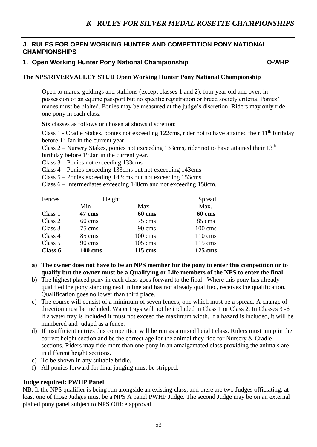# **J. RULES FOR OPEN WORKING HUNTER AND COMPETITION PONY NATIONAL CHAMPIONSHIPS**

# **1. Open Working Hunter Pony National Championship O-WHP**

## **The NPS/RIVERVALLEY STUD Open Working Hunter Pony National Championship**

Open to mares, geldings and stallions (except classes 1 and 2), four year old and over, in possession of an equine passport but no specific registration or breed society criteria. Ponies' manes must be plaited. Ponies may be measured at the judge's discretion. Riders may only ride one pony in each class.

**Six** classes as follows or chosen at shows discretion:

Class 1 - Cradle Stakes, ponies not exceeding 122cms, rider not to have attained their 11<sup>th</sup> birthday before 1<sup>st</sup> Jan in the current year.

Class  $2$  – Nursery Stakes, ponies not exceeding 133cms, rider not to have attained their 13<sup>th</sup>

birthday before  $1<sup>st</sup>$  Jan in the current year.

Class 3 – Ponies not exceeding 133cms

Class 4 – Ponies exceeding 133cms but not exceeding 143cms

Class 5 – Ponies exceeding 143cms but not exceeding 153cms

Class 6 – Intermediates exceeding 148cm and not exceeding 158cm.

| Fences  | Height         |                    | Spread             |
|---------|----------------|--------------------|--------------------|
|         | Min            | Max                | Max.               |
| Class 1 | 47 cms         | 60 cms             | 60 cms             |
| Class 2 | 60 cms         | 75 cms             | 85 cms             |
| Class 3 | 75 cms         | 90 cms             | $100 \text{ cm}$ s |
| Class 4 | 85 cms         | $100 \text{ cm}$ s | $110 \text{ cm}$ s |
| Class 5 | 90 cms         | $105 \text{ cm}$ s | $115 \text{ cm}$ s |
| Class 6 | <b>100 cms</b> | 115 cms            | 125 cms            |

- **a) The owner does not have to be an NPS member for the pony to enter this competition or to qualify but the owner must be a Qualifying or Life members of the NPS to enter the final.**
- b) The highest placed pony in each class goes forward to the final. Where this pony has already qualified the pony standing next in line and has not already qualified, receives the qualification. Qualification goes no lower than third place.
- c) The course will consist of a minimum of seven fences, one which must be a spread. A change of direction must be included. Water trays will not be included in Class 1 or Class 2. In Classes 3 -6 if a water tray is included it must not exceed the maximum width. If a hazard is included, it will be numbered and judged as a fence.
- d) If insufficient entries this competition will be run as a mixed height class. Riders must jump in the correct height section and be the correct age for the animal they ride for Nursery & Cradle sections. Riders may ride more than one pony in an amalgamated class providing the animals are in different height sections.
- e) To be shown in any suitable bridle.
- f) All ponies forward for final judging must be stripped.

### **Judge required: PWHP Panel**

NB: If the NPS qualifier is being run alongside an existing class, and there are two Judges officiating, at least one of those Judges must be a NPS A panel PWHP Judge. The second Judge may be on an external plaited pony panel subject to NPS Office approval.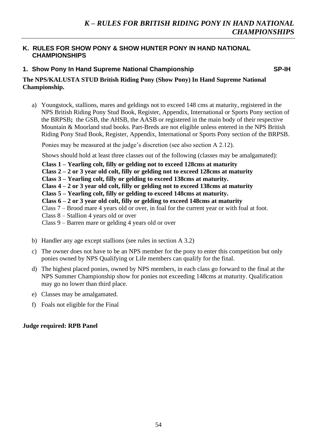# **K. RULES FOR SHOW PONY & SHOW HUNTER PONY IN HAND NATIONAL CHAMPIONSHIPS**

# **1. Show Pony In Hand Supreme National Championship SP-IH SP-IH**

## **The NPS/KALUSTA STUD British Riding Pony (Show Pony) In Hand Supreme National Championship.**

a) Youngstock, stallions, mares and geldings not to exceed 148 cms at maturity, registered in the NPS British Riding Pony Stud Book, Register, Appendix, International or Sports Pony section of the BRPSB**;** the GSB, the AHSB, the AASB or registered in the main body of their respective Mountain & Moorland stud books. Part-Breds are not eligible unless entered in the NPS British Riding Pony Stud Book, Register, Appendix, International or Sports Pony section of the BRPSB.

Ponies may be measured at the judge's discretion (see also section A 2.12).

Shows should hold at least three classes out of the following (classes may be amalgamated):

- **Class 1 – Yearling colt, filly or gelding not to exceed 128cms at maturity**
- **Class 2 – 2 or 3 year old colt, filly or gelding not to exceed 128cms at maturity**
- **Class 3 – Yearling colt, filly or gelding to exceed 138cms at maturity.**
- **Class 4 – 2 or 3 year old colt, filly or gelding not to exceed 138cms at maturity**
- **Class 5 – Yearling colt, filly or gelding to exceed 148cms at maturity.**
- **Class 6 – 2 or 3 year old colt, filly or gelding to exceed 148cms at maturity**
- Class 7 Brood mare 4 years old or over, in foal for the current year or with foal at foot.
- Class 8 Stallion 4 years old or over
- Class 9 Barren mare or gelding 4 years old or over
- b) Handler any age except stallions (see rules in section A 3.2)
- c) The owner does not have to be an NPS member for the pony to enter this competition but only ponies owned by NPS Qualifying or Life members can qualify for the final.
- d) The highest placed ponies, owned by NPS members, in each class go forward to the final at the NPS Summer Championship show for ponies not exceeding 148cms at maturity. Qualification may go no lower than third place.
- e) Classes may be amalgamated.
- f) Foals not eligible for the Final

### **Judge required: RPB Panel**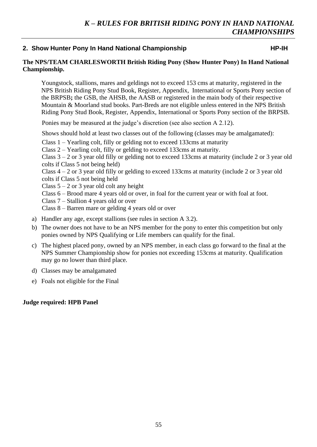# 2. Show Hunter Pony In Hand National Championship **HP-IH HP-IH**

#### **The NPS/TEAM CHARLESWORTH British Riding Pony (Show Hunter Pony) In Hand National Championship.**

Youngstock, stallions, mares and geldings not to exceed 153 cms at maturity, registered in the NPS British Riding Pony Stud Book, Register, Appendix, International or Sports Pony section of the BRPSB**;** the GSB, the AHSB, the AASB or registered in the main body of their respective Mountain & Moorland stud books. Part-Breds are not eligible unless entered in the NPS British Riding Pony Stud Book, Register, Appendix, International or Sports Pony section of the BRPSB.

Ponies may be measured at the judge's discretion (see also section A 2.12).

Shows should hold at least two classes out of the following (classes may be amalgamated):

Class 1 – Yearling colt, filly or gelding not to exceed 133cms at maturity

Class 2 – Yearling colt, filly or gelding to exceed 133cms at maturity.

Class  $3 - 2$  or 3 year old filly or gelding not to exceed 133cms at maturity (include 2 or 3 year old colts if Class 5 not being held)

Class 4 – 2 or 3 year old filly or gelding to exceed 133cms at maturity (include 2 or 3 year old colts if Class 5 not being held

Class  $5 - 2$  or 3 year old colt any height

Class 6 – Brood mare 4 years old or over, in foal for the current year or with foal at foot.

Class 7 – Stallion 4 years old or over

Class 8 – Barren mare or gelding 4 years old or over

- a) Handler any age, except stallions (see rules in section A 3.2).
- b) The owner does not have to be an NPS member for the pony to enter this competition but only ponies owned by NPS Qualifying or Life members can qualify for the final.
- c) The highest placed pony, owned by an NPS member, in each class go forward to the final at the NPS Summer Championship show for ponies not exceeding 153cms at maturity. Qualification may go no lower than third place.
- d) Classes may be amalgamated
- e) Foals not eligible for the Final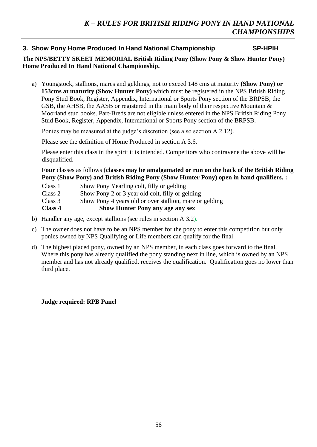# **3. Show Pony Home Produced In Hand National Championship SP-HPIH**

# **The NPS/BETTY SKEET MEMORIAL British Riding Pony (Show Pony & Show Hunter Pony) Home Produced In Hand National Championship.**

a) Youngstock, stallions, mares and geldings, not to exceed 148 cms at maturity **(Show Pony) or 153cms at maturity (Show Hunter Pony)** which must be registered in the NPS British Riding Pony Stud Book, Register, Appendix**,** International or Sports Pony section of the BRPSB; the GSB, the AHSB, the AASB or registered in the main body of their respective Mountain & Moorland stud books. Part-Breds are not eligible unless entered in the NPS British Riding Pony Stud Book, Register, Appendix, International or Sports Pony section of the BRPSB.

Ponies may be measured at the judge's discretion (see also section A 2.12).

Please see the definition of Home Produced in section A 3.6.

Please enter this class in the spirit it is intended. Competitors who contravene the above will be disqualified.

**Four** classes as follows (**classes may be amalgamated or run on the back of the British Riding Pony (Show Pony) and British Riding Pony (Show Hunter Pony) open in hand qualifiers. :**

| Class 4 | <b>Show Hunter Pony any age any sex</b>                 |
|---------|---------------------------------------------------------|
| Class 3 | Show Pony 4 years old or over stallion, mare or gelding |
| Class 2 | Show Pony 2 or 3 year old colt, filly or gelding        |
| Class 1 | Show Pony Yearling colt, filly or gelding               |

- b) Handler any age, except stallions (see rules in section A 3.2).
- c) The owner does not have to be an NPS member for the pony to enter this competition but only ponies owned by NPS Qualifying or Life members can qualify for the final.
- d) The highest placed pony, owned by an NPS member, in each class goes forward to the final. Where this pony has already qualified the pony standing next in line, which is owned by an NPS member and has not already qualified, receives the qualification. Qualification goes no lower than third place.

### **Judge required: RPB Panel**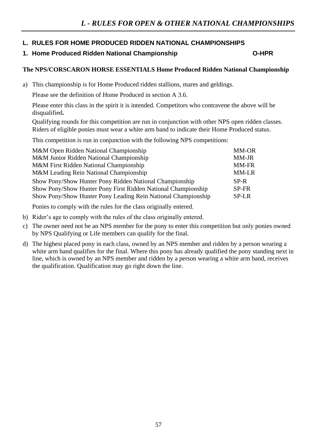# **L. RULES FOR HOME PRODUCED RIDDEN NATIONAL CHAMPIONSHIPS**

# **1. Home Produced Ridden National Championship O-HPR**

# **The NPS/CORSCARON HORSE ESSENTIALS Home Produced Ridden National Championship**

a) This championship is for Home Produced ridden stallions, mares and geldings.

Please see the definition of Home Produced in section A 3.6.

Please enter this class in the spirit it is intended. Competitors who contravene the above will be disqualified**.**

Qualifying rounds for this competition are run in conjunction with other NPS open ridden classes. Riders of eligible ponies must wear a white arm band to indicate their Home Produced status.

This competition is run in conjunction with the following NPS competitions:

| M&M Open Ridden National Championship                         | <b>MM-OR</b> |
|---------------------------------------------------------------|--------------|
| M&M Junior Ridden National Championship                       | MM-JR        |
| M&M First Ridden National Championship                        | <b>MM-FR</b> |
| M&M Leading Rein National Championship                        | MM-LR        |
| Show Pony/Show Hunter Pony Ridden National Championship       | SP-R         |
| Show Pony/Show Hunter Pony First Ridden National Championship | SP-FR        |
| Show Pony/Show Hunter Pony Leading Rein National Championship | <b>SP-LR</b> |
|                                                               |              |

Ponies to comply with the rules for the class originally entered.

- b) Rider's age to comply with the rules of the class originally entered.
- c) The owner need not be an NPS member for the pony to enter this competition but only ponies owned by NPS Qualifying or Life members can qualify for the final.
- d) The highest placed pony in each class, owned by an NPS member and ridden by a person wearing a white arm band qualifies for the final. Where this pony has already qualified the pony standing next in line, which is owned by an NPS member and ridden by a person wearing a white arm band, receives the qualification. Qualification may go right down the line.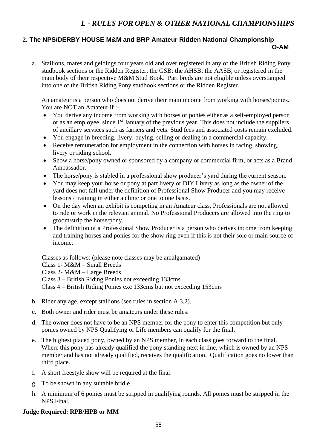# **2. The NPS/DERBY HOUSE M&M and BRP Amateur Ridden National Championship O-AM**

a. Stallions, mares and geldings four years old and over registered in any of the British Riding Pony studbook sections or the Ridden Register; the GSB; the AHSB; the AASB, or registered in the main body of their respective M&M Stud Book. Part breds are not eligible unless overstamped into one of the British Riding Pony studbook sections or the Ridden Register.

An amateur is a person who does not derive their main income from working with horses/ponies. You are NOT an Amateur if :-

- You derive any income from working with horses or ponies either as a self-employed person or as an employee, since 1<sup>st</sup> January of the previous year. This does not include the suppliers of ancillary services such as farriers and vets. Stud fees and associated costs remain excluded.
- You engage in breeding, livery, buying, selling or dealing in a commercial capacity.
- Receive remuneration for employment in the connection with horses in racing, showing, livery or riding school.
- Show a horse/pony owned or sponsored by a company or commercial firm, or acts as a Brand Ambassador.
- The horse/pony is stabled in a professional show producer's yard during the current season.
- You may keep your horse or pony at part livery or DIY Livery as long as the owner of the yard does not fall under the definition of Professional Show Producer and you may receive lessons / training in either a clinic or one to one basis.
- On the day when an exhibit is competing in an Amateur class, Professionals are not allowed to ride or work in the relevant animal. No Professional Producers are allowed into the ring to groom/strip the horse/pony.
- The definition of a Professional Show Producer is a person who derives income from keeping and training horses and ponies for the show ring even if this is not their sole or main source of income.

Classes as follows: (please note classes may be amalgamated)

Class 1- M&M – Small Breeds

Class 2- M&M – Large Breeds

Class 3 – British Riding Ponies not exceeding 133cms

Class 4 – British Riding Ponies exc 133cms but not exceeding 153cms

- b. Rider any age, except stallions (see rules in section A 3.2).
- c. Both owner and rider must be amateurs under these rules.
- d. The owner does not have to be an NPS member for the pony to enter this competition but only ponies owned by NPS Qualifying or Life members can qualify for the final.
- e. The highest placed pony, owned by an NPS member, in each class goes forward to the final. Where this pony has already qualified the pony standing next in line, which is owned by an NPS member and has not already qualified, receives the qualification. Qualification goes no lower than third place.
- f. A short freestyle show will be required at the final.
- g. To be shown in any suitable bridle.
- h. A minimum of 6 ponies must be stripped in qualifying rounds. All ponies must be stripped in the NPS Final.

# **Judge Required: RPB/HPB or MM**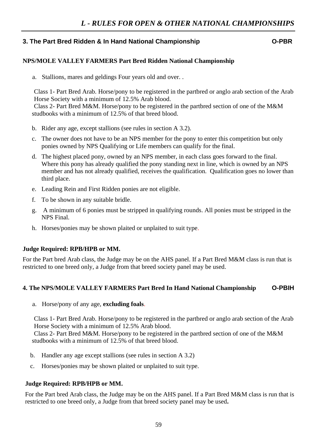# **3. The Part Bred Ridden & In Hand National Championship O-PBR**

#### **NPS/MOLE VALLEY FARMERS Part Bred Ridden National Championship**

a. Stallions, mares and geldings Four years old and over. .

Class 1- Part Bred Arab. Horse/pony to be registered in the partbred or anglo arab section of the Arab Horse Society with a minimum of 12.5% Arab blood.

Class 2- Part Bred M&M. Horse/pony to be registered in the partbred section of one of the M&M studbooks with a minimum of 12.5% of that breed blood.

- b. Rider any age, except stallions (see rules in section A 3.2).
- c. The owner does not have to be an NPS member for the pony to enter this competition but only ponies owned by NPS Qualifying or Life members can qualify for the final.
- d. The highest placed pony, owned by an NPS member, in each class goes forward to the final. Where this pony has already qualified the pony standing next in line, which is owned by an NPS member and has not already qualified, receives the qualification. Qualification goes no lower than third place.
- e. Leading Rein and First Ridden ponies are not eligible.
- f. To be shown in any suitable bridle.
- g. A minimum of 6 ponies must be stripped in qualifying rounds. All ponies must be stripped in the NPS Final.
- h. Horses/ponies may be shown plaited or unplaited to suit type.

#### **Judge Required: RPB/HPB or MM.**

For the Part bred Arab class, the Judge may be on the AHS panel. If a Part Bred M&M class is run that is restricted to one breed only, a Judge from that breed society panel may be used.

### **4. The NPS/MOLE VALLEY FARMERS Part Bred In Hand National Championship O-PBIH**

a. Horse/pony of any age, **excluding foals**.

Class 1- Part Bred Arab. Horse/pony to be registered in the partbred or anglo arab section of the Arab Horse Society with a minimum of 12.5% Arab blood.

Class 2- Part Bred M&M. Horse/pony to be registered in the partbred section of one of the M&M studbooks with a minimum of 12.5% of that breed blood.

- b. Handler any age except stallions (see rules in section A 3.2)
- c. Horses/ponies may be shown plaited or unplaited to suit type.

#### **Judge Required: RPB/HPB or MM.**

For the Part bred Arab class, the Judge may be on the AHS panel. If a Part Bred M&M class is run that is restricted to one breed only, a Judge from that breed society panel may be used**.**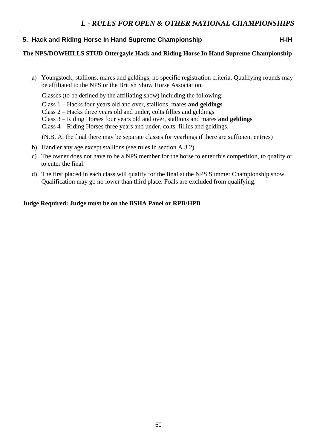# **5. Hack and Riding Horse In Hand Supreme Championship H-IH 14.14**

# **The NPS/DOWHILLS STUD Ottergayle Hack and Riding Horse In Hand Supreme Championship**

a) Youngstock, stallions, mares and geldings, no specific registration criteria. Qualifying rounds may be affiliated to the NPS or the British Show Horse Association.

Classes (to be defined by the affiliating show) including the following:

- Class 1 Hacks four years old and over, stallions, mares **and geldings**
- Class 2 Hacks three years old and under, colts fillies and geldings
- Class 3 Riding Horses four years old and over, stallions and mares **and geldings**
- Class 4 Riding Horses three years and under, colts, fillies and geldings.

(N.B. At the final there may be separate classes for yearlings if there are sufficient entries)

- b) Handler any age except stallions (see rules in section A 3.2).
- c) The owner does not have to be a NPS member for the horse to enter this competition, to qualify or to enter the final.
- d) The first placed in each class will qualify for the final at the NPS Summer Championship show. Qualification may go no lower than third place. Foals are excluded from qualifying.

### **Judge Required: Judge must be on the BSHA Panel or RPB/HPB**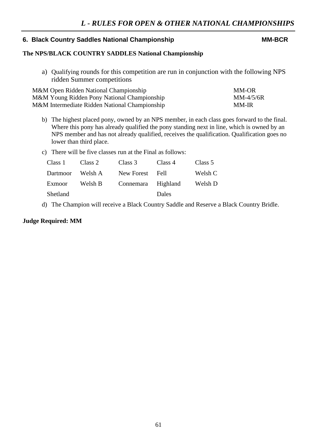# **6. Black Country Saddles National Championship MM-BCR**

# **The NPS/BLACK COUNTRY SADDLES National Championship**

a) Qualifying rounds for this competition are run in conjunction with the following NPS ridden Summer competitions

| M&M Open Ridden National Championship         | MM-OR       |
|-----------------------------------------------|-------------|
| M&M Young Ridden Pony National Championship   | $MM-4/5/6R$ |
| M&M Intermediate Ridden National Championship | MM-IR       |

- b) The highest placed pony, owned by an NPS member, in each class goes forward to the final. Where this pony has already qualified the pony standing next in line, which is owned by an NPS member and has not already qualified, receives the qualification. Qualification goes no lower than third place.
- c) There will be five classes run at the Final as follows:

| Class 1  | Class 2 | Class 3            | Class 4 | Class 5 |
|----------|---------|--------------------|---------|---------|
| Dartmoor | Welsh A | New Forest Fell    |         | Welsh C |
| Exmoor   | Welsh B | Connemara Highland |         | Welsh D |
| Shetland |         |                    | Dales   |         |

d) The Champion will receive a Black Country Saddle and Reserve a Black Country Bridle.

#### **Judge Required: MM**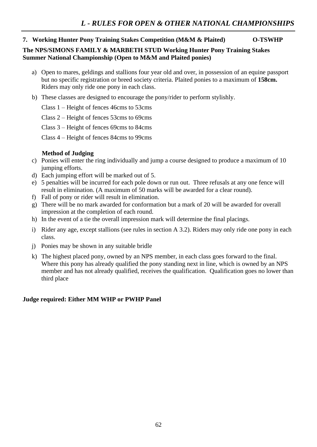# **7. Working Hunter Pony Training Stakes Competition (M&M & Plaited) O-TSWHP**

### **The NPS/SIMONS FAMILY & MARBETH STUD Working Hunter Pony Training Stakes Summer National Championship (Open to M&M and Plaited ponies)**

- a) Open to mares, geldings and stallions four year old and over, in possession of an equine passport but no specific registration or breed society criteria. Plaited ponies to a maximum of **158cm.** Riders may only ride one pony in each class.
- b) These classes are designed to encourage the pony/rider to perform stylishly.
	- Class 1 Height of fences 46cms to 53cms

Class 2 – Height of fences 53cms to 69cms

Class 3 – Height of fences 69cms to 84cms

Class 4 – Height of fences 84cms to 99cms

# **Method of Judging**

- c) Ponies will enter the ring individually and jump a course designed to produce a maximum of 10 jumping efforts.
- d) Each jumping effort will be marked out of 5.
- e) 5 penalties will be incurred for each pole down or run out. Three refusals at any one fence will result in elimination. (A maximum of 50 marks will be awarded for a clear round).
- f) Fall of pony or rider will result in elimination.
- g) There will be no mark awarded for conformation but a mark of 20 will be awarded for overall impression at the completion of each round.
- h) In the event of a tie the overall impression mark will determine the final placings.
- i) Rider any age, except stallions (see rules in section A 3.2). Riders may only ride one pony in each class.
- j) Ponies may be shown in any suitable bridle
- k) The highest placed pony, owned by an NPS member, in each class goes forward to the final. Where this pony has already qualified the pony standing next in line, which is owned by an NPS member and has not already qualified, receives the qualification. Qualification goes no lower than third place

# **Judge required: Either MM WHP or PWHP Panel**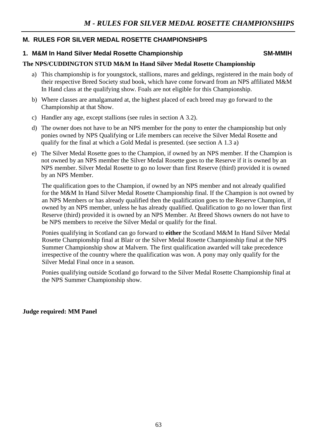# **M. RULES FOR SILVER MEDAL ROSETTE CHAMPIONSHIPS**

# **1. M&M In Hand Silver Medal Rosette Championship SM-MMISS SM-MMIH**

# **The NPS/CUDDINGTON STUD M&M In Hand Silver Medal Rosette Championship**

- a) This championship is for youngstock, stallions, mares and geldings, registered in the main body of their respective Breed Society stud book, which have come forward from an NPS affiliated M&M In Hand class at the qualifying show. Foals are not eligible for this Championship.
- b) Where classes are amalgamated at, the highest placed of each breed may go forward to the Championship at that Show.
- c) Handler any age, except stallions (see rules in section A 3.2).
- d) The owner does not have to be an NPS member for the pony to enter the championship but only ponies owned by NPS Qualifying or Life members can receive the Silver Medal Rosette and qualify for the final at which a Gold Medal is presented. (see section A 1.3 a)
- e) The Silver Medal Rosette goes to the Champion, if owned by an NPS member. If the Champion is not owned by an NPS member the Silver Medal Rosette goes to the Reserve if it is owned by an NPS member. Silver Medal Rosette to go no lower than first Reserve (third) provided it is owned by an NPS Member.

The qualification goes to the Champion, if owned by an NPS member and not already qualified for the M&M In Hand Silver Medal Rosette Championship final. If the Champion is not owned by an NPS Members or has already qualified then the qualification goes to the Reserve Champion, if owned by an NPS member, unless he has already qualified. Qualification to go no lower than first Reserve (third) provided it is owned by an NPS Member. At Breed Shows owners do not have to be NPS members to receive the Silver Medal or qualify for the final.

Ponies qualifying in Scotland can go forward to **either** the Scotland M&M In Hand Silver Medal Rosette Championship final at Blair or the Silver Medal Rosette Championship final at the NPS Summer Championship show at Malvern. The first qualification awarded will take precedence irrespective of the country where the qualification was won. A pony may only qualify for the Silver Medal Final once in a season.

Ponies qualifying outside Scotland go forward to the Silver Medal Rosette Championship final at the NPS Summer Championship show.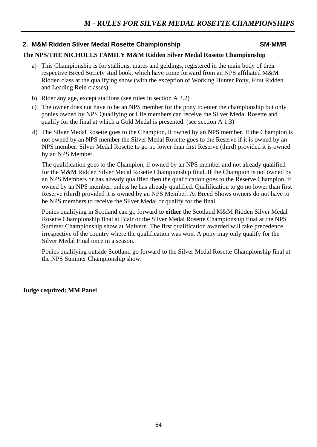# 2. M&M Ridden Silver Medal Rosette Championship **SM-MMR**

## **The NPS/THE NICHOLLS FAMILY M&M Ridden Silver Medal Rosette Championship**

- a) This Championship is for stallions, mares and geldings, registered in the main body of their respective Breed Society stud book, which have come forward from an NPS affiliated M&M Ridden class at the qualifying show (with the exception of Working Hunter Pony, First Ridden and Leading Rein classes).
- b) Rider any age, except stallions (see rules in section A 3.2)
- c) The owner does not have to be an NPS member for the pony to enter the championship but only ponies owned by NPS Qualifying or Life members can receive the Silver Medal Rosette and qualify for the final at which a Gold Medal is presented. (see section A 1.3)
- d) The Silver Medal Rosette goes to the Champion, if owned by an NPS member. If the Champion is not owned by an NPS member the Silver Medal Rosette goes to the Reserve if it is owned by an NPS member. Silver Medal Rosette to go no lower than first Reserve (third) provided it is owned by an NPS Member.

The qualification goes to the Champion, if owned by an NPS member and not already qualified for the M&M Ridden Silver Medal Rosette Championship final. If the Champion is not owned by an NPS Members or has already qualified then the qualification goes to the Reserve Champion, if owned by an NPS member, unless he has already qualified. Qualification to go no lower than first Reserve (third) provided it is owned by an NPS Member. At Breed Shows owners do not have to be NPS members to receive the Silver Medal or qualify for the final.

Ponies qualifying in Scotland can go forward to **either** the Scotland M&M Ridden Silver Medal Rosette Championship final at Blair or the Silver Medal Rosette Championship final at the NPS Summer Championship show at Malvern. The first qualification awarded will take precedence irrespective of the country where the qualification was won. A pony may only qualify for the Silver Medal Final once in a season.

Ponies qualifying outside Scotland go forward to the Silver Medal Rosette Championship final at the NPS Summer Championship show.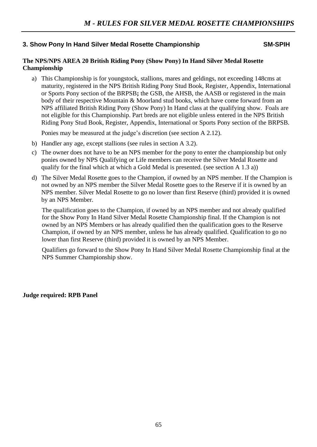# **3. Show Pony In Hand Silver Medal Rosette Championship SM-SPIH SM-SPIH**

#### **The NPS/NPS AREA 20 British Riding Pony (Show Pony) In Hand Silver Medal Rosette Championship**

a) This Championship is for youngstock, stallions, mares and geldings, not exceeding 148cms at maturity, registered in the NPS British Riding Pony Stud Book, Register, Appendix, International or Sports Pony section of the BRPSB**;** the GSB, the AHSB, the AASB or registered in the main body of their respective Mountain & Moorland stud books, which have come forward from an NPS affiliated British Riding Pony (Show Pony) In Hand class at the qualifying show. Foals are not eligible for this Championship. Part breds are not eligible unless entered in the NPS British Riding Pony Stud Book, Register, Appendix, International or Sports Pony section of the BRPSB.

Ponies may be measured at the judge's discretion (see section A 2.12).

- b) Handler any age, except stallions (see rules in section A 3.2).
- c) The owner does not have to be an NPS member for the pony to enter the championship but only ponies owned by NPS Qualifying or Life members can receive the Silver Medal Rosette and qualify for the final which at which a Gold Medal is presented. (see section A 1.3 a))
- d) The Silver Medal Rosette goes to the Champion, if owned by an NPS member. If the Champion is not owned by an NPS member the Silver Medal Rosette goes to the Reserve if it is owned by an NPS member. Silver Medal Rosette to go no lower than first Reserve (third) provided it is owned by an NPS Member.

The qualification goes to the Champion, if owned by an NPS member and not already qualified for the Show Pony In Hand Silver Medal Rosette Championship final. If the Champion is not owned by an NPS Members or has already qualified then the qualification goes to the Reserve Champion, if owned by an NPS member, unless he has already qualified. Qualification to go no lower than first Reserve (third) provided it is owned by an NPS Member.

Qualifiers go forward to the Show Pony In Hand Silver Medal Rosette Championship final at the NPS Summer Championship show.

**Judge required: RPB Panel**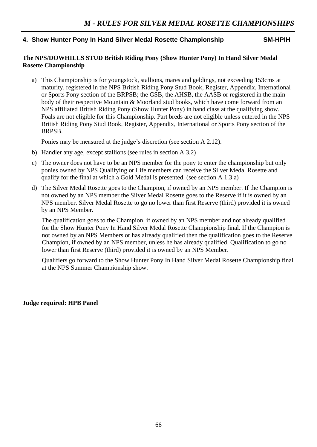# **4. Show Hunter Pony In Hand Silver Medal Rosette Championship SM-HPIH**

# **The NPS/DOWHILLS STUD British Riding Pony (Show Hunter Pony) In Hand Silver Medal Rosette Championship**

a) This Championship is for youngstock, stallions, mares and geldings, not exceeding 153cms at maturity, registered in the NPS British Riding Pony Stud Book, Register, Appendix, International or Sports Pony section of the BRPSB; the GSB, the AHSB, the AASB or registered in the main body of their respective Mountain & Moorland stud books, which have come forward from an NPS affiliated British Riding Pony (Show Hunter Pony) in hand class at the qualifying show. Foals are not eligible for this Championship. Part breds are not eligible unless entered in the NPS British Riding Pony Stud Book, Register, Appendix, International or Sports Pony section of the BRPSB.

Ponies may be measured at the judge's discretion (see section A 2.12).

- b) Handler any age, except stallions (see rules in section A 3.2)
- c) The owner does not have to be an NPS member for the pony to enter the championship but only ponies owned by NPS Qualifying or Life members can receive the Silver Medal Rosette and qualify for the final at which a Gold Medal is presented. (see section A 1.3 a)
- d) The Silver Medal Rosette goes to the Champion, if owned by an NPS member. If the Champion is not owned by an NPS member the Silver Medal Rosette goes to the Reserve if it is owned by an NPS member. Silver Medal Rosette to go no lower than first Reserve (third) provided it is owned by an NPS Member.

The qualification goes to the Champion, if owned by an NPS member and not already qualified for the Show Hunter Pony In Hand Silver Medal Rosette Championship final. If the Champion is not owned by an NPS Members or has already qualified then the qualification goes to the Reserve Champion, if owned by an NPS member, unless he has already qualified. Qualification to go no lower than first Reserve (third) provided it is owned by an NPS Member.

Qualifiers go forward to the Show Hunter Pony In Hand Silver Medal Rosette Championship final at the NPS Summer Championship show.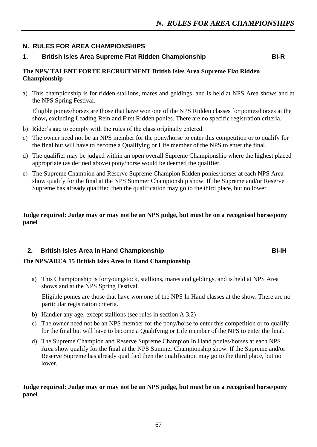# **N. RULES FOR AREA CHAMPIONSHIPS**

# **1. British Isles Area Supreme Flat Ridden Championship BI-R**

# **The NPS/ TALENT FORTE RECRUITMENT British Isles Area Supreme Flat Ridden Championship**

a) This championship is for ridden stallions, mares and geldings, and is held at NPS Area shows and at the NPS Spring Festival.

Eligible ponies/horses are those that have won one of the NPS Ridden classes for ponies/horses at the show**,** excluding Leading Rein and First Ridden ponies. There are no specific registration criteria.

- b) Rider's age to comply with the rules of the class originally entered.
- c) The owner need not be an NPS member for the pony/horse to enter this competition or to qualify for the final but will have to become a Qualifying or Life member of the NPS to enter the final.
- d) The qualifier may be judged within an open overall Supreme Championship where the highest placed appropriate (as defined above) pony/horse would be deemed the qualifier.
- e) The Supreme Champion and Reserve Supreme Champion Ridden ponies/horses at each NPS Area show qualify for the final at the NPS Summer Championship show. If the Supreme and/or Reserve Supreme has already qualified then the qualification may go to the third place, but no lower.

# **Judge required: Judge may or may not be an NPS judge, but must be on a recognised horse/pony panel**

# **2. British Isles Area In Hand Championship BI-IH**

# **The NPS/AREA 15 British Isles Area In Hand Championship**

a) This Championship is for youngstock, stallions, mares and geldings, and is held at NPS Area shows and at the NPS Spring Festival.

Eligible ponies are those that have won one of the NPS In Hand classes at the show. There are no particular registration criteria.

- b) Handler any age, except stallions (see rules in section A 3.2)
- c) The owner need not be an NPS member for the pony/horse to enter this competition or to qualify for the final but will have to become a Qualifying or Life member of the NPS to enter the final.
- d) The Supreme Champion and Reserve Supreme Champion In Hand ponies/horses at each NPS Area show qualify for the final at the NPS Summer Championship show. If the Supreme and/or Reserve Supreme has already qualified then the qualification may go to the third place, but no lower.

# **Judge required: Judge may or may not be an NPS judge, but must be on a recognised horse/pony panel**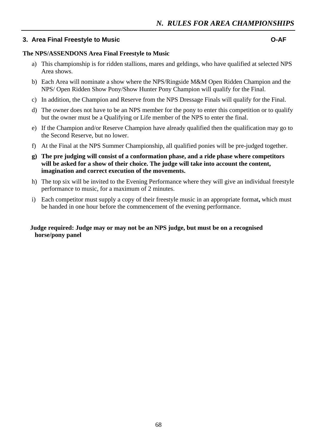# **3. Area Final Freestyle to Music O-AF**

#### **The NPS/ASSENDONS Area Final Freestyle to Music**

- a) This championship is for ridden stallions, mares and geldings, who have qualified at selected NPS Area shows.
- b) Each Area will nominate a show where the NPS/Ringside M&M Open Ridden Champion and the NPS/ Open Ridden Show Pony/Show Hunter Pony Champion will qualify for the Final.
- c) In addition, the Champion and Reserve from the NPS Dressage Finals will qualify for the Final.
- d) The owner does not have to be an NPS member for the pony to enter this competition or to qualify but the owner must be a Qualifying or Life member of the NPS to enter the final.
- e) If the Champion and/or Reserve Champion have already qualified then the qualification may go to the Second Reserve, but no lower.
- f) At the Final at the NPS Summer Championship, all qualified ponies will be pre-judged together.
- **g) The pre judging will consist of a conformation phase, and a ride phase where competitors will be asked for a show of their choice. The judge will take into account the content, imagination and correct execution of the movements.**
- h) The top six will be invited to the Evening Performance where they will give an individual freestyle performance to music, for a maximum of 2 minutes.
- i) Each competitor must supply a copy of their freestyle music in an appropriate format**,** which must be handed in one hour before the commencement of the evening performance.

### **Judge required: Judge may or may not be an NPS judge, but must be on a recognised horse/pony panel**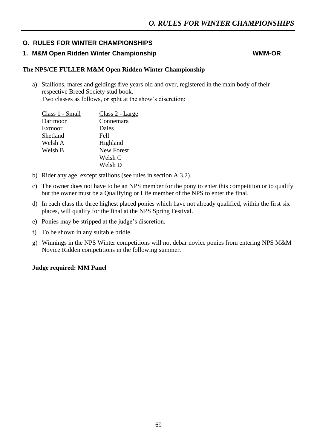# **O. RULES FOR WINTER CHAMPIONSHIPS**

# 1. M&M Open Ridden Winter Championship WMM-OR

#### **The NPS/CE FULLER M&M Open Ridden Winter Championship**

a) Stallions, mares and geldings **f**ive years old and over, registered in the main body of their respective Breed Society stud book. Two classes as follows, or split at the show's discretion:

| Class 2 - Large   |
|-------------------|
| Connemara         |
| Dales             |
| <b>Fell</b>       |
| Highland          |
| <b>New Forest</b> |
| Welsh C           |
| Welsh D           |
|                   |

- b) Rider any age, except stallions (see rules in section A 3.2).
- c) The owner does not have to be an NPS member for the pony to enter this competition or to qualify but the owner must be a Qualifying or Life member of the NPS to enter the final.
- d) In each class the three highest placed ponies which have not already qualified, within the first six places, will qualify for the final at the NPS Spring Festival.
- e) Ponies may be stripped at the judge's discretion.
- f) To be shown in any suitable bridle.
- g) Winnings in the NPS Winter competitions will not debar novice ponies from entering NPS M&M Novice Ridden competitions in the following summer.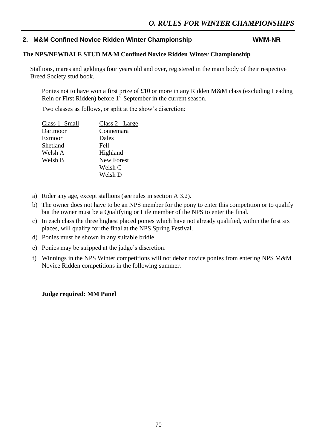# **2. M&M Confined Novice Ridden Winter Championship WMM-NR**

## **The NPS/NEWDALE STUD M&M Confined Novice Ridden Winter Championship**

Stallions, mares and geldings four years old and over, registered in the main body of their respective Breed Society stud book.

Ponies not to have won a first prize of £10 or more in any Ridden M&M class (excluding Leading Rein or First Ridden) before 1<sup>st</sup> September in the current season.

Two classes as follows, or split at the show's discretion:

| Class 1- Small | Class 2 - Large   |
|----------------|-------------------|
| Dartmoor       | Connemara         |
| Exmoor         | Dales             |
| Shetland       | <b>Fell</b>       |
| Welsh A        | Highland          |
| Welsh B        | <b>New Forest</b> |
|                | Welsh C           |
|                | Welsh D           |
|                |                   |

- a) Rider any age, except stallions (see rules in section A 3.2).
- b) The owner does not have to be an NPS member for the pony to enter this competition or to qualify but the owner must be a Qualifying or Life member of the NPS to enter the final.
- c) In each class the three highest placed ponies which have not already qualified, within the first six places, will qualify for the final at the NPS Spring Festival.
- d) Ponies must be shown in any suitable bridle.
- e) Ponies may be stripped at the judge's discretion.
- f) Winnings in the NPS Winter competitions will not debar novice ponies from entering NPS M&M Novice Ridden competitions in the following summer.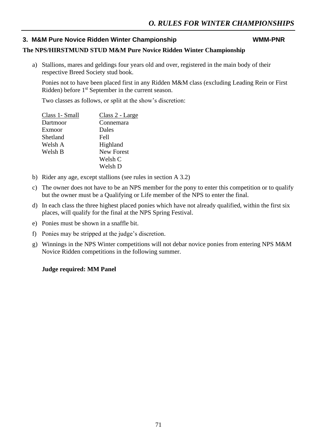# **3. M&M Pure Novice Ridden Winter Championship WMM-PNR WMM-PNR**

# **The NPS/HIRSTMUND STUD M&M Pure Novice Ridden Winter Championship**

a) Stallions, mares and geldings four years old and over, registered in the main body of their respective Breed Society stud book.

Ponies not to have been placed first in any Ridden M&M class (excluding Leading Rein or First Ridden) before 1<sup>st</sup> September in the current season.

Two classes as follows, or split at the show's discretion:

| Class 1- Small | Class 2 - Large   |
|----------------|-------------------|
| Dartmoor       | Connemara         |
| Exmoor         | Dales             |
| Shetland       | <b>Fell</b>       |
| Welsh A        | Highland          |
| Welsh B        | <b>New Forest</b> |
|                | Welsh C           |
|                | Welsh D           |
|                |                   |

- b) Rider any age, except stallions (see rules in section A 3.2)
- c) The owner does not have to be an NPS member for the pony to enter this competition or to qualify but the owner must be a Qualifying or Life member of the NPS to enter the final.
- d) In each class the three highest placed ponies which have not already qualified, within the first six places, will qualify for the final at the NPS Spring Festival.
- e) Ponies must be shown in a snaffle bit.
- f) Ponies may be stripped at the judge's discretion.
- g) Winnings in the NPS Winter competitions will not debar novice ponies from entering NPS M&M Novice Ridden competitions in the following summer.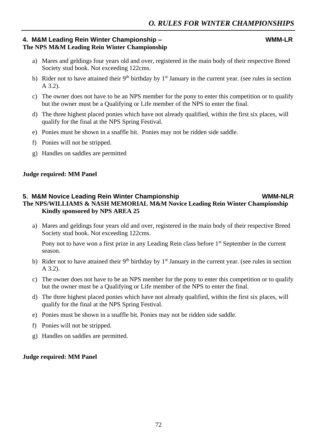## **4. M&M Leading Rein Winter Championship – WMM-LR The NPS M&M Leading Rein Winter Championship**

- a) Mares and geldings four years old and over, registered in the main body of their respective Breed Society stud book. Not exceeding 122cms.
- b) Rider not to have attained their  $9<sup>th</sup>$  birthday by  $1<sup>st</sup>$  January in the current year. (see rules in section A 3.2).
- c) The owner does not have to be an NPS member for the pony to enter this competition or to qualify but the owner must be a Qualifying or Life member of the NPS to enter the final.
- d) The three highest placed ponies which have not already qualified, within the first six places, will qualify for the final at the NPS Spring Festival.
- e) Ponies must be shown in a snaffle bit. Ponies may not be ridden side saddle.
- f) Ponies will not be stripped.
- g) Handles on saddles are permitted

#### **Judge required: MM Panel**

### **5. M&M Novice Leading Rein Winter Championship WMM-NLR The NPS/WILLIAMS & NASH MEMORIAL M&M Novice Leading Rein Winter Championship Kindly sponsored by NPS AREA 25**

a) Mares and geldings four years old and over, registered in the main body of their respective Breed Society stud book. Not exceeding 122cms.

Pony not to have won a first prize in any Leading Rein class before 1<sup>st</sup> September in the current season.

- b) Rider not to have attained their  $9<sup>th</sup>$  birthday by  $1<sup>st</sup>$  January in the current year. (see rules in section A 3.2).
- c) The owner does not have to be an NPS member for the pony to enter this competition or to qualify but the owner must be a Qualifying or Life member of the NPS to enter the final.
- d) The three highest placed ponies which have not already qualified, within the first six places, will qualify for the final at the NPS Spring Festival.
- e) Ponies must be shown in a snaffle bit. Ponies may not be ridden side saddle.
- f) Ponies will not be stripped.
- g) Handles on saddles are permitted.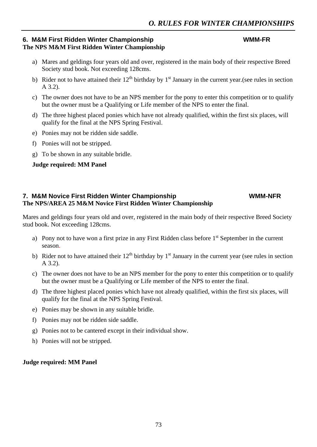### **6. M&M First Ridden Winter Championship WMM-FR The NPS M&M First Ridden Winter Championship**

- a) Mares and geldings four years old and over, registered in the main body of their respective Breed Society stud book. Not exceeding 128cms.
- b) Rider not to have attained their  $12<sup>th</sup>$  birthday by  $1<sup>st</sup>$  January in the current year.(see rules in section A 3.2).
- c) The owner does not have to be an NPS member for the pony to enter this competition or to qualify but the owner must be a Qualifying or Life member of the NPS to enter the final.
- d) The three highest placed ponies which have not already qualified, within the first six places, will qualify for the final at the NPS Spring Festival.
- e) Ponies may not be ridden side saddle.
- f) Ponies will not be stripped.
- g) To be shown in any suitable bridle.

#### **Judge required: MM Panel**

# **7. M&M Novice First Ridden Winter Championship WMM-NFR WMM-NFR The NPS/AREA 25 M&M Novice First Ridden Winter Championship**

Mares and geldings four years old and over, registered in the main body of their respective Breed Society stud book. Not exceeding 128cms.

- a) Pony not to have won a first prize in any First Ridden class before  $1<sup>st</sup>$  September in the current season.
- b) Rider not to have attained their  $12<sup>th</sup>$  birthday by  $1<sup>st</sup>$  January in the current year (see rules in section A 3.2).
- c) The owner does not have to be an NPS member for the pony to enter this competition or to qualify but the owner must be a Qualifying or Life member of the NPS to enter the final.
- d) The three highest placed ponies which have not already qualified, within the first six places, will qualify for the final at the NPS Spring Festival.
- e) Ponies may be shown in any suitable bridle.
- f) Ponies may not be ridden side saddle.
- g) Ponies not to be cantered except in their individual show.
- h) Ponies will not be stripped.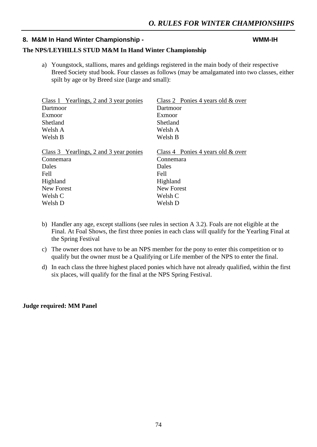# **8. M&M In Hand Winter Championship - WMM-IH**

#### **The NPS/LEYHILLS STUD M&M In Hand Winter Championship**

a) Youngstock, stallions, mares and geldings registered in the main body of their respective Breed Society stud book. Four classes as follows (may be amalgamated into two classes, either spilt by age or by Breed size (large and small):

| Class 1 Yearlings, 2 and 3 year ponies | Class 2 Ponies 4 years old & over    |  |  |
|----------------------------------------|--------------------------------------|--|--|
| Dartmoor                               | Dartmoor                             |  |  |
| Exmoor                                 | Exmoor                               |  |  |
| Shetland                               | Shetland                             |  |  |
| Welsh A                                | Welsh A                              |  |  |
| Welsh B                                | Welsh B                              |  |  |
| Class 3 Yearlings, 2 and 3 year ponies | Class 4 Ponies 4 years old $\&$ over |  |  |
| Connemara                              | Connemara                            |  |  |
| Dales                                  | Dales                                |  |  |
| Fell                                   | Fell                                 |  |  |
| Highland                               | Highland                             |  |  |
| New Forest                             | New Forest                           |  |  |
| Welsh C                                | Welsh C                              |  |  |
| Welsh D                                | Welsh D                              |  |  |

- b) Handler any age, except stallions (see rules in section A 3.2). Foals are not eligible at the Final. At Foal Shows, the first three ponies in each class will qualify for the Yearling Final at the Spring Festival
- c) The owner does not have to be an NPS member for the pony to enter this competition or to qualify but the owner must be a Qualifying or Life member of the NPS to enter the final.
- d) In each class the three highest placed ponies which have not already qualified, within the first six places, will qualify for the final at the NPS Spring Festival.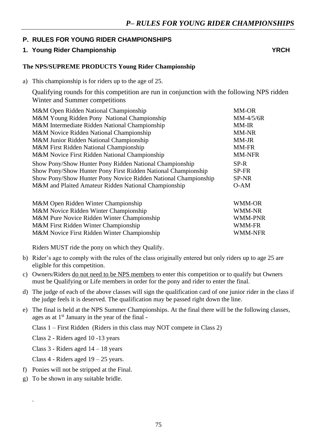# **P. RULES FOR YOUNG RIDER CHAMPIONSHIPS**

# **1. Young Rider Championship YRCH**

# **The NPS/SUPREME PRODUCTS Young Rider Championship**

a) This championship is for riders up to the age of 25.

Qualifying rounds for this competition are run in conjunction with the following NPS ridden Winter and Summer competitions

| M&M Open Ridden National Championship                          | <b>MM-OR</b>  |
|----------------------------------------------------------------|---------------|
| M&M Young Ridden Pony National Championship                    | $MM-4/5/6R$   |
| M&M Intermediate Ridden National Championship                  | <b>MM-IR</b>  |
| M&M Novice Ridden National Championship                        | MM-NR         |
| M&M Junior Ridden National Championship                        | MM-JR         |
| M&M First Ridden National Championship                         | MM-FR         |
| M&M Novice First Ridden National Championship                  | <b>MM-NFR</b> |
| Show Pony/Show Hunter Pony Ridden National Championship        | SP-R          |
| Show Pony/Show Hunter Pony First Ridden National Championship  | SP-FR         |
| Show Pony/Show Hunter Pony Novice Ridden National Championship | SP-NR         |
| M&M and Plaited Amateur Ridden National Championship           | $O-AM$        |
|                                                                |               |
| M&M Open Ridden Winter Championship                            | WMM-OR        |
| M&M Novice Ridden Winter Championship                          | <b>WMM-NR</b> |
| M&M Pure Novice Ridden Winter Championship                     | WMM-PNR       |

M&M First Ridden Winter Championship WMM-FR M&M Novice First Ridden Winter Championship WMM-NFR

Riders MUST ride the pony on which they Qualify.

- b) Rider's age to comply with the rules of the class originally entered but only riders up to age 25 are eligible for this competition.
- c) Owners/Riders do not need to be NPS members to enter this competition or to qualify but Owners must be Qualifying or Life members in order for the pony and rider to enter the final.
- d) The judge of each of the above classes will sign the qualification card of one junior rider in the class if the judge feels it is deserved. The qualification may be passed right down the line.
- e) The final is held at the NPS Summer Championships. At the final there will be the following classes, ages as at  $1<sup>st</sup>$  January in the year of the final -

Class 1 – First Ridden (Riders in this class may NOT compete in Class 2)

Class 2 - Riders aged 10 -13 years

Class 3 - Riders aged 14 – 18 years

Class 4 - Riders aged 19 – 25 years.

- f) Ponies will not be stripped at the Final.
- g) To be shown in any suitable bridle.

.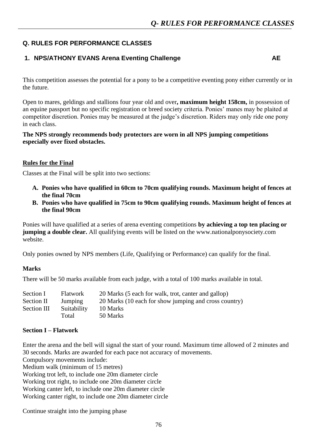# **Q. RULES FOR PERFORMANCE CLASSES**

# **1. NPS/ATHONY EVANS Arena Eventing Challenge AE**

This competition assesses the potential for a pony to be a competitive eventing pony either currently or in the future.

Open to mares, geldings and stallions four year old and over**, maximum height 158cm,** in possession of an equine passport but no specific registration or breed society criteria. Ponies' manes may be plaited at competitor discretion. Ponies may be measured at the judge's discretion. Riders may only ride one pony in each class.

#### **The NPS strongly recommends body protectors are worn in all NPS jumping competitions especially over fixed obstacles.**

#### **Rules for the Final**

Classes at the Final will be split into two sections:

- **A. Ponies who have qualified in 60cm to 70cm qualifying rounds. Maximum height of fences at the final 70cm**
- **B. Ponies who have qualified in 75cm to 90cm qualifying rounds. Maximum height of fences at the final 90cm**

Ponies will have qualified at a series of arena eventing competitions **by achieving a top ten placing or jumping a double clear.** All qualifying events will be listed on the www.nationalponysociety.com website.

Only ponies owned by NPS members (Life, Qualifying or Performance) can qualify for the final.

#### **Marks**

There will be 50 marks available from each judge, with a total of 100 marks available in total.

| <b>Flatwork</b> | 20 Marks (5 each for walk, trot, canter and gallop)   |
|-----------------|-------------------------------------------------------|
| Jumping         | 20 Marks (10 each for show jumping and cross country) |
| Suitability     | 10 Marks                                              |
| Total           | 50 Marks                                              |
|                 |                                                       |

#### **Section I – Flatwork**

Enter the arena and the bell will signal the start of your round. Maximum time allowed of 2 minutes and 30 seconds. Marks are awarded for each pace not accuracy of movements.

Compulsory movements include:

Medium walk (minimum of 15 metres)

Working trot left, to include one 20m diameter circle

Working trot right, to include one 20m diameter circle

Working canter left, to include one 20m diameter circle

Working canter right, to include one 20m diameter circle

Continue straight into the jumping phase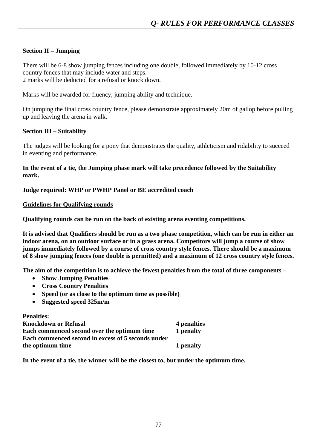# **Section II – Jumping**

There will be 6-8 show jumping fences including one double, followed immediately by 10-12 cross country fences that may include water and steps. 2 marks will be deducted for a refusal or knock down.

Marks will be awarded for fluency, jumping ability and technique.

On jumping the final cross country fence, please demonstrate approximately 20m of gallop before pulling up and leaving the arena in walk.

# **Section III – Suitability**

The judges will be looking for a pony that demonstrates the quality, athleticism and ridability to succeed in eventing and performance.

**In the event of a tie, the Jumping phase mark will take precedence followed by the Suitability mark.**

### **Judge required: WHP or PWHP Panel or BE accredited coach**

#### **Guidelines for Qualifying rounds**

**Qualifying rounds can be run on the back of existing arena eventing competitions.**

**It is advised that Qualifiers should be run as a two phase competition, which can be run in either an indoor arena, on an outdoor surface or in a grass arena. Competitors will jump a course of show jumps immediately followed by a course of cross country style fences. There should be a maximum of 8 show jumping fences (one double is permitted) and a maximum of 12 cross country style fences.** 

**The aim of the competition is to achieve the fewest penalties from the total of three components –**

- **Show Jumping Penalties**
- **Cross Country Penalties**
- **Speed (or as close to the optimum time as possible)**
- **Suggested speed 325m/m**

| <b>Penalties:</b>                                  |             |
|----------------------------------------------------|-------------|
| <b>Knockdown or Refusal</b>                        | 4 penalties |
| Each commenced second over the optimum time        | 1 penalty   |
| Each commenced second in excess of 5 seconds under |             |
| the optimum time                                   | 1 penalty   |

**In the event of a tie, the winner will be the closest to, but under the optimum time.**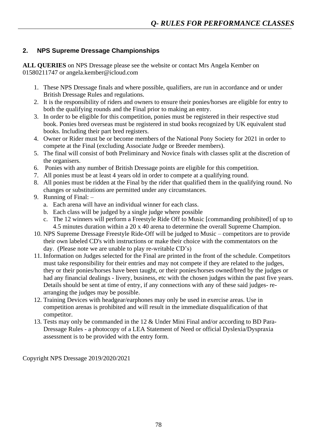# **2. NPS Supreme Dressage Championships**

**ALL QUERIES** on NPS Dressage please see the website or contact Mrs Angela Kember on 01580211747 or angela.kember@icloud.com

- 1. These NPS Dressage finals and where possible, qualifiers, are run in accordance and or under British Dressage Rules and regulations.
- 2. It is the responsibility of riders and owners to ensure their ponies/horses are eligible for entry to both the qualifying rounds and the Final prior to making an entry.
- 3. In order to be eligible for this competition, ponies must be registered in their respective stud book. Ponies bred overseas must be registered in stud books recognized by UK equivalent stud books. Including their part bred registers.
- 4. Owner or Rider must be or become members of the National Pony Society for 2021 in order to compete at the Final (excluding Associate Judge or Breeder members).
- 5. The final will consist of both Preliminary and Novice finals with classes split at the discretion of the organisers.
- 6. Ponies with any number of British Dressage points are eligible for this competition.
- 7. All ponies must be at least 4 years old in order to compete at a qualifying round.
- 8. All ponies must be ridden at the Final by the rider that qualified them in the qualifying round. No changes or substitutions are permitted under any circumstances.
- 9. Running of Final:
	- a. Each arena will have an individual winner for each class.
	- b. Each class will be judged by a single judge where possible
	- c. The 12 winners will perform a Freestyle Ride Off to Music [commanding prohibited] of up to 4.5 minutes duration within a 20 x 40 arena to determine the overall Supreme Champion.
- 10. NPS Supreme Dressage Freestyle Ride-Off will be judged to Music competitors are to provide their own labeled CD's with instructions or make their choice with the commentators on the day. (Please note we are unable to play re-writable CD's)
- 11. Information on Judges selected for the Final are printed in the front of the schedule. Competitors must take responsibility for their entries and may not compete if they are related to the judges, they or their ponies/horses have been taught, or their ponies/horses owned/bred by the judges or had any financial dealings - livery, business, etc with the chosen judges within the past five years. Details should be sent at time of entry, if any connections with any of these said judges- rearranging the judges may be possible.
- 12. Training Devices with headgear/earphones may only be used in exercise areas. Use in competition arenas is prohibited and will result in the immediate disqualification of that competitor.
- 13. Tests may only be commanded in the 12 & Under Mini Final and/or according to BD Para-Dressage Rules - a photocopy of a LEA Statement of Need or official Dyslexia/Dyspraxia assessment is to be provided with the entry form.

Copyright NPS Dressage 2019/2020/2021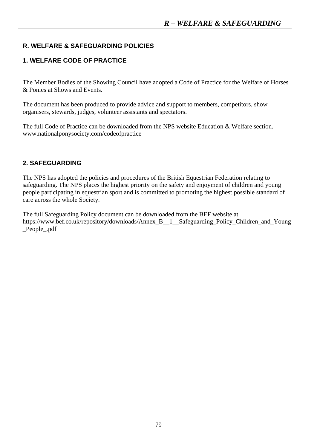# **R. WELFARE & SAFEGUARDING POLICIES**

# **1. WELFARE CODE OF PRACTICE**

The Member Bodies of the Showing Council have adopted a Code of Practice for the Welfare of Horses & Ponies at Shows and Events.

The document has been produced to provide advice and support to members, competitors, show organisers, stewards, judges, volunteer assistants and spectators.

The full Code of Practice can be downloaded from the NPS website Education & Welfare section. www.nationalponysociety.com/codeofpractice

# **2. SAFEGUARDING**

The NPS has adopted the policies and procedures of the British Equestrian Federation relating to safeguarding. The NPS places the highest priority on the safety and enjoyment of children and young people participating in equestrian sport and is committed to promoting the highest possible standard of care across the whole Society.

The full Safeguarding Policy document can be downloaded from the BEF website at https://www.bef.co.uk/repository/downloads/Annex\_B\_\_1\_\_Safeguarding\_Policy\_Children\_and\_Young \_People\_.pdf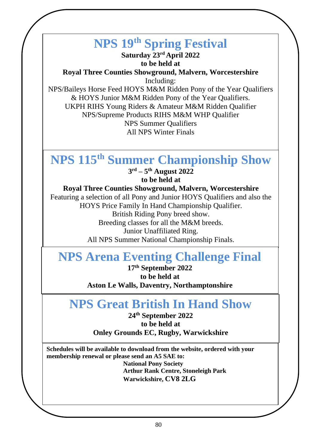# **NPS 19th Spring Festival**

**Saturday 23rd April 2022 to be held at** 

**Royal Three Counties Showground, Malvern, Worcestershire** Including:

NPS/Baileys Horse Feed HOYS M&M Ridden Pony of the Year Qualifiers & HOYS Junior M&M Ridden Pony of the Year Qualifiers. UKPH RIHS Young Riders & Amateur M&M Ridden Qualifier NPS/Supreme Products RIHS M&M WHP Qualifier NPS Summer Qualifiers All NPS Winter Finals

#### **NPS 115th Summer Championship Show 2 nd – 4 th August 2022 NPS 115th Summer Championship Show**

**to be held at 3 rd – 5 th August 2022 to be held at** 

#### W DU HEM at<br>**Royal Three Counties Showground, Malvern, Worcestershire Royal Three Counties Showground, Malvern, Worcestershire**

Featuring a selection of all Pony and Junior HOYS Qualifiers and also the  $\mathbf{E}_{\text{max}}$   $\mathbf{E}_{\text{max}}$   $\mathbf{E}_{\text{max}}$   $\mathbf{E}_{\text{max}}$   $\mathbf{E}_{\text{max}}$   $\mathbf{E}_{\text{max}}$   $\mathbf{E}_{\text{max}}$   $\mathbf{E}_{\text{max}}$   $\mathbf{E}_{\text{max}}$   $\mathbf{E}_{\text{max}}$   $\mathbf{E}_{\text{max}}$   $\mathbf{E}_{\text{max}}$   $\mathbf{E}_{\text{max}}$   $\mathbf{E}_{\text{max}}$   $\mathbf{E}_{\text{max}}$   $\mathbf{E}_{\text{max$ HOYS Price Family In Hand Championship Qualifier. **BIHAI KROWS FOR PRIZE MONEY FINALS.** Breeding classes for all the M&M breeds. Featuring a selection of all Pony and Junior HOYS Qualifiers and also the British Riding Pony breed show.

n Unamiatu<br>Matianal Char Junior Unaffiliated Ring.

All NPS Summer National Championship Finals.

# **NPS Arena Eventing Challenge Final**

**The Great British In Hand Show 17th September 2022 September 2022**<br> **September 2022 to be held at Aston Le Walls, Daventry, Northamptonshire to be held at** 

# **XXXXXX NPS Great British In Hand Show**

**24th September 2022 to be held at Onley Grounds EC, Rugby, Warwickshire**

**Schedules will be available to download from the website, ordered with your membership renewal or please send an A5 SAE to:**

**National Pony Society Arthur Rank Centre, Stoneleigh Park Warwickshire, CV8 2LG**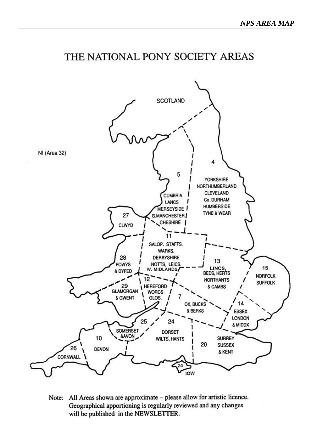



Note: All Areas shown are approximate - please allow for artistic licence. Geographical apportioning is regularly reviewed and any changes will be published in the NEWSLETTER.